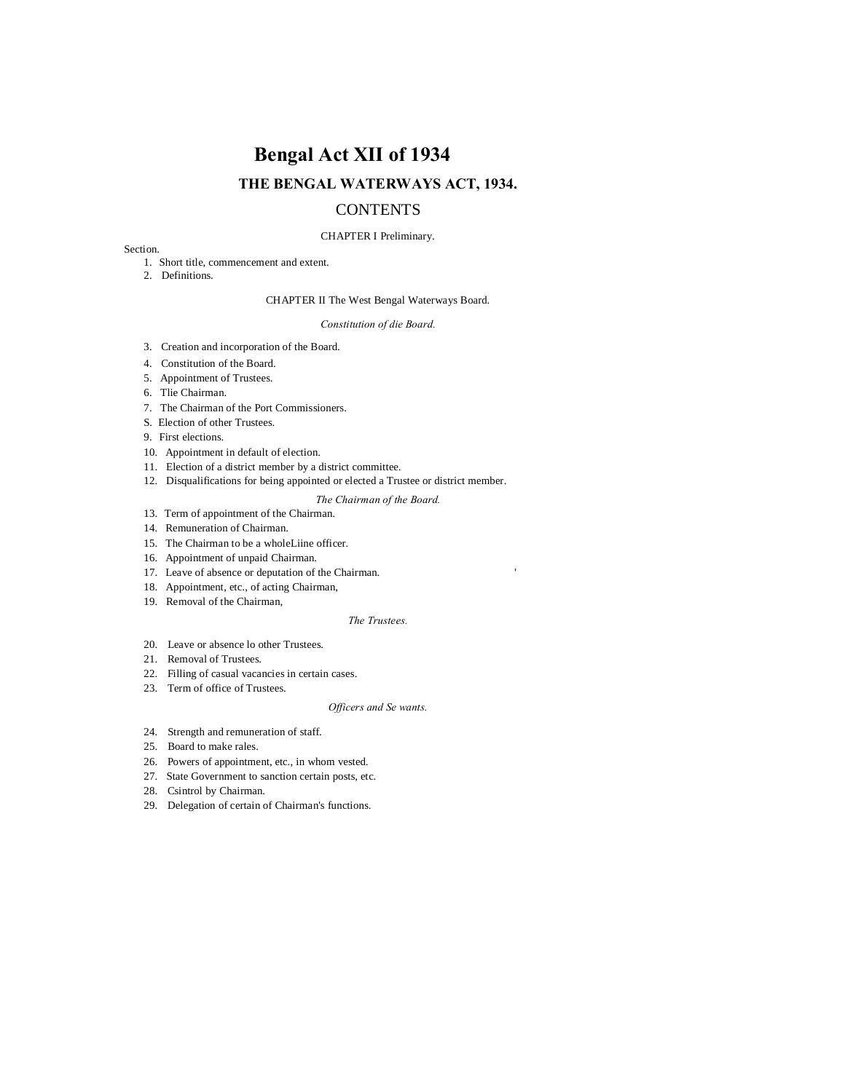# **Bengal Act XII of 1934 THE BENGAL WATERWAYS ACT, 1934.**

## **CONTENTS**

## CHAPTER I Preliminary.

## Section.

- 1. Short title, commencement and extent.
- 2. Definitions.

## CHAPTER II The West Bengal Waterways Board.

#### *Constitution of die Board.*

- 3. Creation and incorporation of the Board.
- 4. Constitution of the Board.
- 5. Appointment of Trustees.
- 6. Tlie Chairman.
- 7. The Chairman of the Port Commissioners.
- S. Election of other Trustees.
- 9. First elections.
- 10. Appointment in default of election.
- 11. Election of a district member by a district committee.
- 12. Disqualifications for being appointed or elected a Trustee or district member.
	- *The Chairman of the Board.*
- 13. Term of appointment of the Chairman.
- 14. Remuneration of Chairman.
- 15. The Chairman to be a wholeLiine officer.
- 16. Appointment of unpaid Chairman.
- 17. Leave of absence or deputation of the Chairman. '
- 18. Appointment, etc., of acting Chairman,
- 19. Removal of the Chairman,

## *The Trustees.*

- 20. Leave or absence lo other Trustees.
- 21. Removal of Trustees.
- 22. Filling of casual vacancies in certain cases.
- 23. Term of office of Trustees.

## *Officers and Se wants.*

- 24. Strength and remuneration of staff.
- 25. Board to make rales.
- 26. Powers of appointment, etc., in whom vested.
- 27. State Government to sanction certain posts, etc.
- 28. Csintrol by Chairman.
- 29. Delegation of certain of Chairman's functions.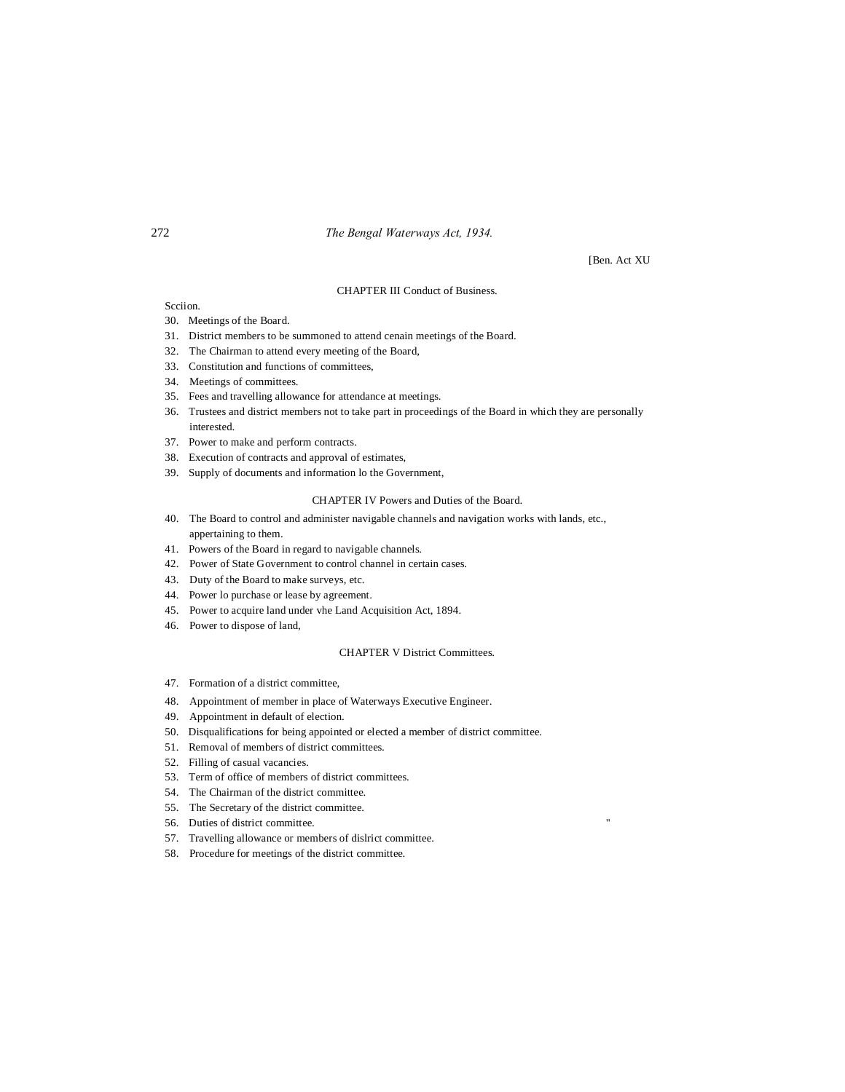## 272 *The Bengal Waterways Act, 1934.*

[Ben. Act XU

## CHAPTER III Conduct of Business.

Scciion.

- 30. Meetings of the Board.
- 31. District members to be summoned to attend cenain meetings of the Board.
- 32. The Chairman to attend every meeting of the Board,
- 33. Constitution and functions of committees,
- 34. Meetings of committees.
- 35. Fees and travelling allowance for attendance at meetings.
- 36. Trustees and district members not to take part in proceedings of the Board in which they are personally interested.
- 37. Power to make and perform contracts.
- 38. Execution of contracts and approval of estimates,
- 39. Supply of documents and information lo the Government,

## CHAPTER IV Powers and Duties of the Board.

- 40. The Board to control and administer navigable channels and navigation works with lands, etc., appertaining to them.
- 41. Powers of the Board in regard to navigable channels.
- 42. Power of State Government to control channel in certain cases.
- 43. Duty of the Board to make surveys, etc.
- 44. Power lo purchase or lease by agreement.
- 45. Power to acquire land under vhe Land Acquisition Act, 1894.
- 46. Power to dispose of land,

## CHAPTER V District Committees.

- 47. Formation of a district committee,
- 48. Appointment of member in place of Waterways Executive Engineer.
- 49. Appointment in default of election.
- 50. Disqualifications for being appointed or elected a member of district committee.
- 51. Removal of members of district committees.
- 52. Filling of casual vacancies.
- 53. Term of office of members of district committees.
- 54. The Chairman of the district committee.
- 55. The Secretary of the district committee.
- 56. Duties of district committee.
- 57. Travelling allowance or members of dislrict committee.
- 58. Procedure for meetings of the district committee.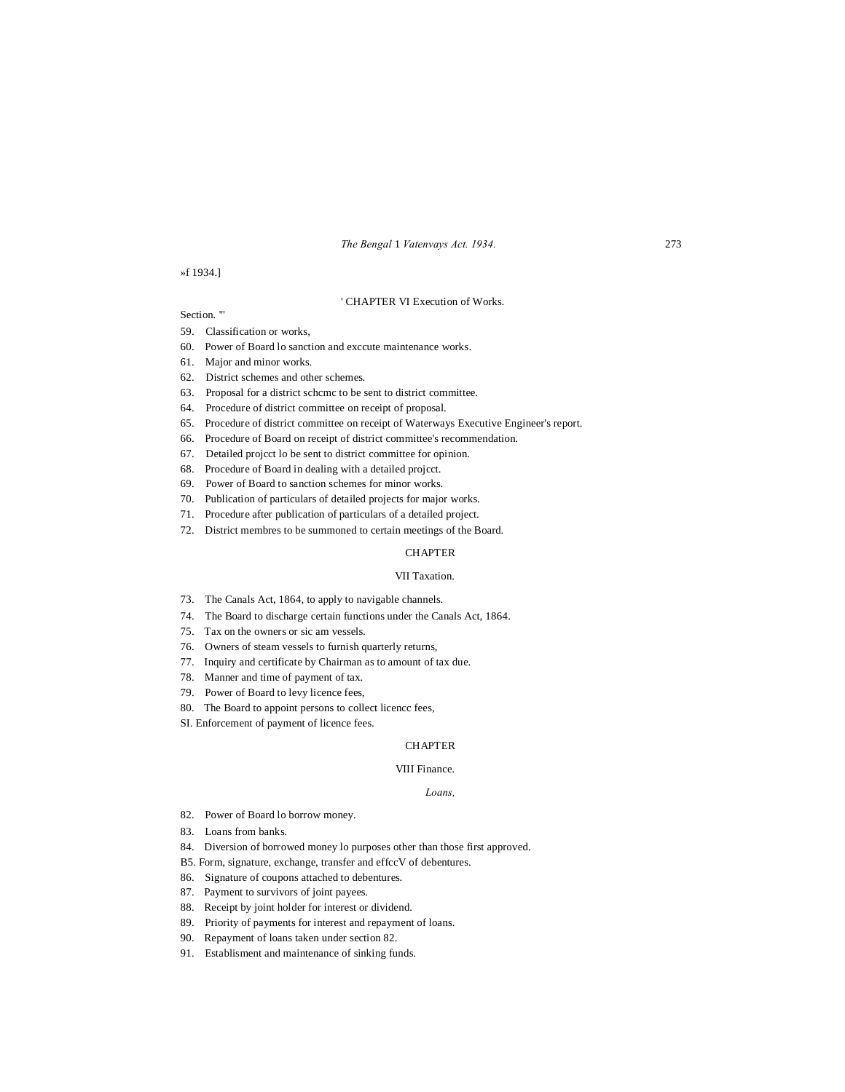*The Bengal* 1 *Vatenvays Act. 1934.* 273

## »f 1934.]

#### ' CHAPTER VI Execution of Works.

## Section."

- 59. Classification or works,
- 60. Power of Board lo sanction and exccute maintenance works.
- 61. Major and minor works.
- 62. District schemes and other schemes.
- 63. Proposal for a district schcmc to be sent to district committee.
- 64. Procedure of district committee on receipt of proposal.
- 65. Procedure of district committee on receipt of Waterways Executive Engineer's report.
- 66. Procedure of Board on receipt of district committee's recommendation.
- 67. Detailed projcct lo be sent to district committee for opinion.
- 68. Procedure of Board in dealing with a detailed projcct.
- 69. Power of Board to sanction schemes for minor works.
- 70. Publication of particulars of detailed projects for major works.
- 71. Procedure after publication of particulars of a detailed project.
- 72. District membres to be summoned to certain meetings of the Board.

## **CHAPTER**

## VII Taxation.

- 73. The Canals Act, 1864, to apply to navigable channels.
- 74. The Board to discharge certain functions under the Canals Act, 1864.
- 75. Tax on the owners or sic am vessels.
- 76. Owners of steam vessels to furnish quarterly returns,
- 77. Inquiry and certificate by Chairman as to amount of tax due.
- 78. Manner and time of payment of tax.
- 79. Power of Board to levy licence fees,
- 80. The Board to appoint persons to collect licencc fees,
- SI. Enforcement of payment of licence fees.

#### **CHAPTER**

## VIII Finance.

#### *Loans,*

- 82. Power of Board lo borrow money.
- 83. Loans from banks.
- 84. Diversion of borrowed money lo purposes other than those first approved.
- B5. Form, signature, exchange, transfer and effccV of debentures.
- 86. Signature of coupons attached to debentures.
- 87. Payment to survivors of joint payees.
- 88. Receipt by joint holder for interest or dividend.
- 89. Priority of payments for interest and repayment of loans.
- 90. Repayment of loans taken under section 82.
- 91. Establisment and maintenance of sinking funds.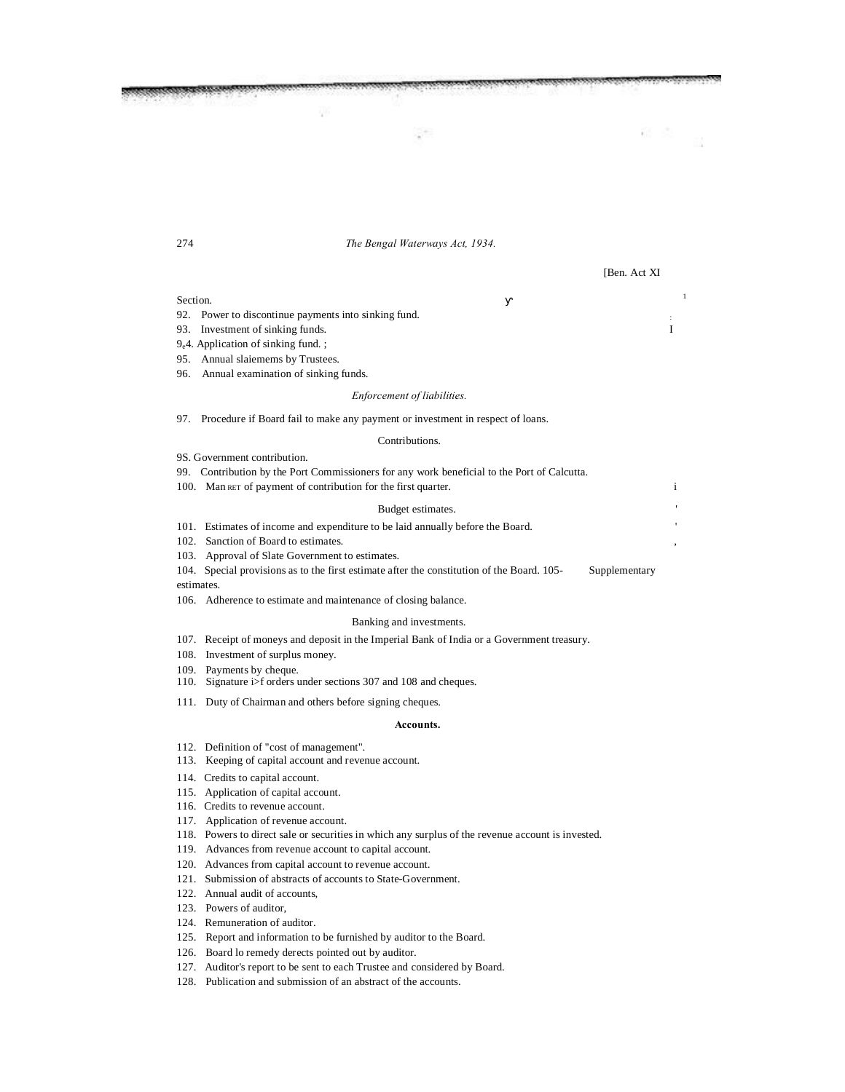274 *The Bengal Waterways Act, 1934.*

[Ben. Act XI

## Section.

92. Power to discontinue payments into sinking fund.

- 93. Investment of sinking funds. I
- 9e4. Application of sinking fund. ;
- 95. Annual slaiemems by Trustees.
- 96. Annual examination of sinking funds.

#### *Enforcement of liabilities.*

97. Procedure if Board fail to make any payment or investment in respect of loans.

## Contributions.

9S. Government contribution.

- 99. Contribution by the Port Commissioners for any work beneficial to the Port of Calcutta.
- 100. Man RET of payment of contribution for the first quarter.

#### Budget estimates.

101. Estimates of income and expenditure to be laid annually before the Board. '

- 102. Sanction of Board to estimates.
- 103. Approval of Slate Government to estimates.

104. Special provisions as to the first estimate after the constitution of the Board. 105- Supplementary estimates.

106. Adherence to estimate and maintenance of closing balance.

#### Banking and investments.

- 107. Receipt of moneys and deposit in the Imperial Bank of India or a Government treasury.
- 108. Investment of surplus money.
- 109. Payments by cheque.
- 110. Signature i>f orders under sections 307 and 108 and cheques.
- 111. Duty of Chairman and others before signing cheques.

#### **Accounts.**

- 112. Definition of "cost of management".
- 113. Keeping of capital account and revenue account.
- 114. Credits to capital account.
- 115. Application of capital account.
- 116. Credits to revenue account.
- 117. Application of revenue account.
- 118. Powers to direct sale or securities in which any surplus of the revenue account is invested.
- 119. Advances from revenue account to capital account.
- 120. Advances from capital account to revenue account.
- 121. Submission of abstracts of accounts to State-Government.
- 122. Annual audit of accounts,
- 123. Powers of auditor,
- 124. Remuneration of auditor.
- 125. Report and information to be furnished by auditor to the Board.
- 126. Board lo remedy derects pointed out by auditor.
- 127. Auditor's report to be sent to each Trustee and considered by Board.
- 128. Publication and submission of an abstract of the accounts.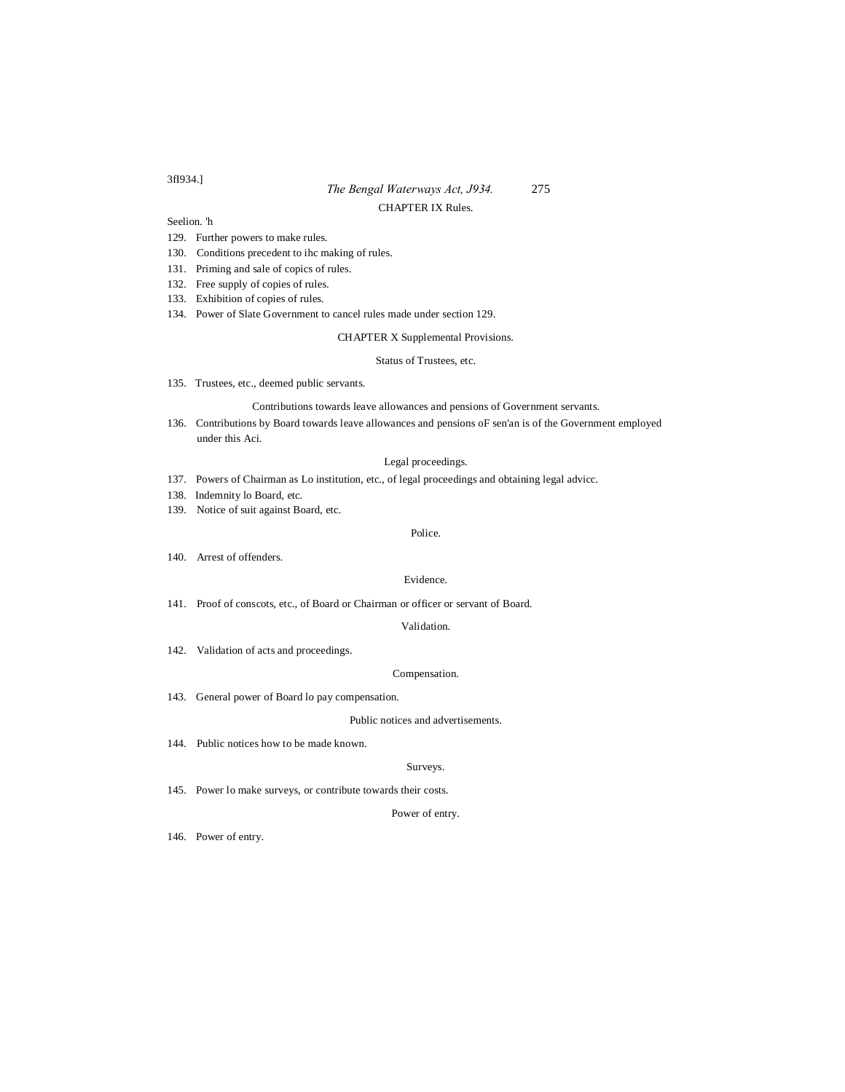## *The Bengal Waterways Act, J934.* 275 CHAPTER IX Rules.

Seelion. 'h

- 129. Further powers to make rules.
- 130. Conditions precedent to ihc making of rules.
- 131. Priming and sale of copics of rules.
- 132. Free supply of copies of rules.
- 133. Exhibition of copies of rules.
- 134. Power of Slate Government to cancel rules made under section 129.

#### CHAPTER X Supplemental Provisions.

#### Status of Trustees, etc.

135. Trustees, etc., deemed public servants.

## Contributions towards leave allowances and pensions of Government servants.

136. Contributions by Board towards leave allowances and pensions oF sen'an is of the Government employed under this Aci.

## Legal proceedings.

- 137. Powers of Chairman as Lo institution, etc., of legal proceedings and obtaining legal advicc.
- 138. Indemnity lo Board, etc.
- 139. Notice of suit against Board, etc.

## Police.

140. Arrest of offenders.

## Evidence.

141. Proof of conscots, etc., of Board or Chairman or officer or servant of Board.

## Validation.

142. Validation of acts and proceedings.

## Compensation.

143. General power of Board lo pay compensation.

## Public notices and advertisements.

144. Public notices how to be made known.

## Surveys.

145. Power lo make surveys, or contribute towards their costs.

## Power of entry.

146. Power of entry.

## 3fI934.]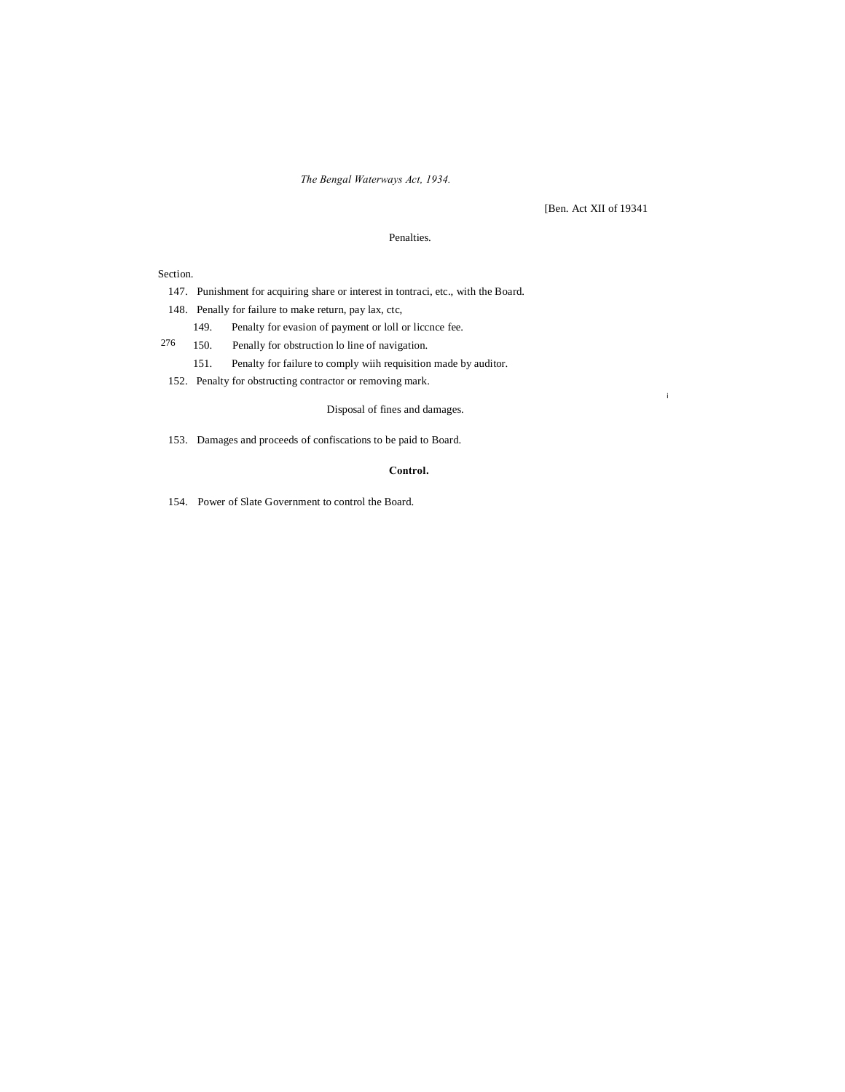*The Bengal Waterways Act, 1934.*

[Ben. Act XII of 19341

i

## Penalties.

Section.

147. Punishment for acquiring share or interest in tontraci, etc., with the Board.

148. Penally for failure to make return, pay lax, ctc,

- 149. Penalty for evasion of payment or loll or liccnce fee.
- 276 150. Penally for obstruction lo line of navigation.

151. Penalty for failure to comply wiih requisition made by auditor.

152. Penalty for obstructing contractor or removing mark.

## Disposal of fines and damages.

153. Damages and proceeds of confiscations to be paid to Board.

## **Control.**

154. Power of Slate Government to control the Board.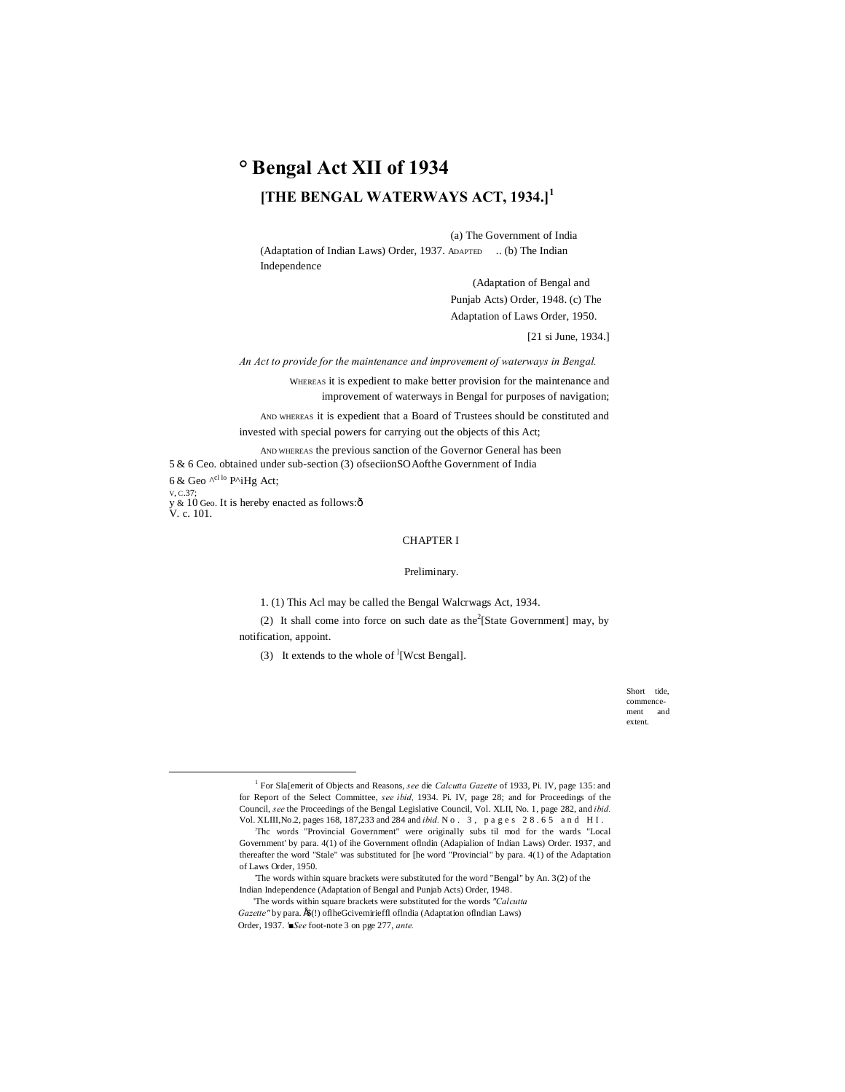## **° Bengal Act XII of 1934 [THE BENGAL WATERWAYS ACT, 1934.]<sup>1</sup>**

(a) The Government of India (Adaptation of Indian Laws) Order, 1937. ADAPTED .. (b) The Indian Independence

> (Adaptation of Bengal and Punjab Acts) Order, 1948. (c) The Adaptation of Laws Order, 1950.

> > [21 si June, 1934.]

*An Act to provide for the maintenance and improvement of waterways in Bengal.*

WHEREAS it is expedient to make better provision for the maintenance and improvement of waterways in Bengal for purposes of navigation;

AND WHEREAS it is expedient that a Board of Trustees should be constituted and invested with special powers for carrying out the objects of this Act;

AND WHEREAS the previous sanction of the Governor General has been 5 & 6 Ceo. obtained under sub-section (3) ofseciionSOAofthe Government of India 6 & Geo  $\wedge^{c11o}$  P^iHg Act; V, C.37; y & 10 Geo. It is hereby enacted as follows:ô<br>V. c. 101.

## CHAPTER I

#### Preliminary.

1. (1) This Acl may be called the Bengal Walcrwags Act, 1934.

(2) It shall come into force on such date as the  $2$ [State Government] may, by notification, appoint.

(3) It extends to the whole of  $\text{I}[West Bengal]$ .

Short tide, commencement and extent.

 <sup>1</sup> For Sla[emerit of Objects and Reasons, *see* die *Calcutta Gazette* of 1933, Pi. IV, page 135: and for Report of the Select Committee, *see ibid,* 1934. Pi. IV, page 28; and for Proceedings of the Council, *see* the Proceedings of the Bengal Legislative Council, Vol. XLII, No. 1, page 282, and *ibid.* Vol. XLIII,No.2, pages 168, 187,233 and 284 and *ibid.* N o . 3 , p a g e s 2 8 . 6 5 a n d H I .

<sup>:</sup> Thc words "Provincial Government" were originally subs til mod for the wards "Local Government' by para. 4(1) of ihe Government oflndin (Adapialion of Indian Laws) Order. 1937, and thereafter the word "Stale" was substituted for [he word "Provincial" by para. 4(1) of the Adaptation of Laws Order, 1950.

<sup>&#</sup>x27;The words within square brackets were substituted for the word "Bengal" by An. 3(2) of the Indian Independence (Adaptation of Bengal and Punjab Acts) Order, 1948.

<sup>&#</sup>x27;The words within square brackets were substituted for the words *"Calcutta* 

Gazette" by para.  $f(x)$  of the Gcivemirieffl of India (Adaptation of Indian Laws) Order, 1937. *'■See* foot-note 3 on pge 277, *ante.*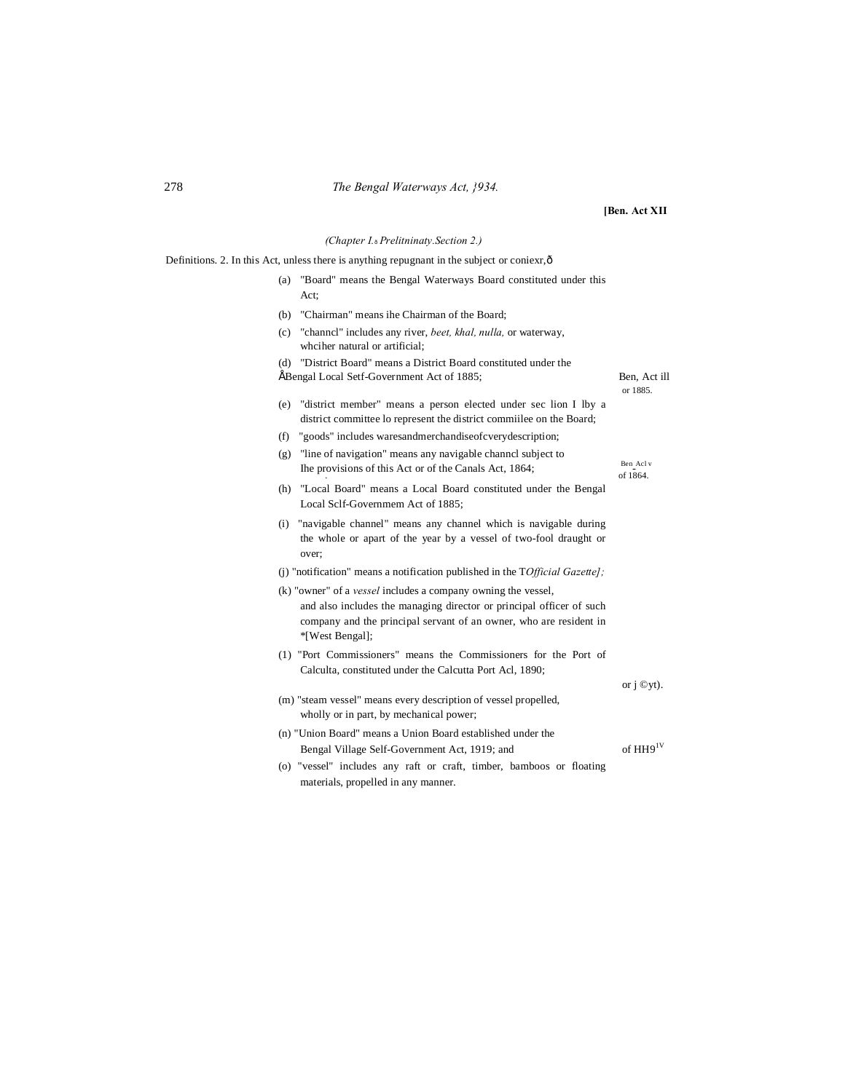## 278 *The Bengal Waterways Act, }934.*

**[Ben. Act XII**

Ben Acl v

or j ©yt).

*(Chapter I.*—*Prelitninaty.Section 2.)*

Definitions. 2. In this Act, unless there is anything repugnant in the subject or coniexr, ô

- (a) "Board" means the Bengal Waterways Board constituted under this Act;
- (b) "Chairman" means ihe Chairman of the Board;
- (c) "channcl" includes any river, *beet, khal, nulla,* or waterway, whciher natural or artificial;
- (d) "District Board" means a District Board constituted under the • Bengal Local Setf-Government Act of 1885; Ben, Act ill or 1885.
- (e) "district member" means a person elected under sec lion I lby a district committee lo represent the district commiilee on the Board;
- (f) "goods" includes waresandmerchandiseofcverydescription;
- (g) "line of navigation" means any navigable channcl subject to The provisions of this Act or of the Canals Act, 1864; Ben\_Acl of 1864.
- (h) "Local Board" means a Local Board constituted under the Bengal Local Sclf-Governmem Act of 1885;
- (i) "navigable channel" means any channel which is navigable during the whole or apart of the year by a vessel of two-fool draught or over;
- (j) "notification" means a notification published in the T*Official Gazette];*
- (k) "owner" of a *vessel* includes a company owning the vessel, and also includes the managing director or principal officer of such company and the principal servant of an owner, who are resident in \*[West Bengal];
- (1) "Port Commissioners" means the Commissioners for the Port of Calculta, constituted under the Calcutta Port Acl, 1890;
- (m) "steam vessel" means every description of vessel propelled, wholly or in part, by mechanical power;
- (n) "Union Board" means a Union Board established under the Bengal Village Self-Government Act, 1919; and of HH9<sup>1V</sup>
- (o) "vessel" includes any raft or craft, timber, bamboos or floating materials, propelled in any manner.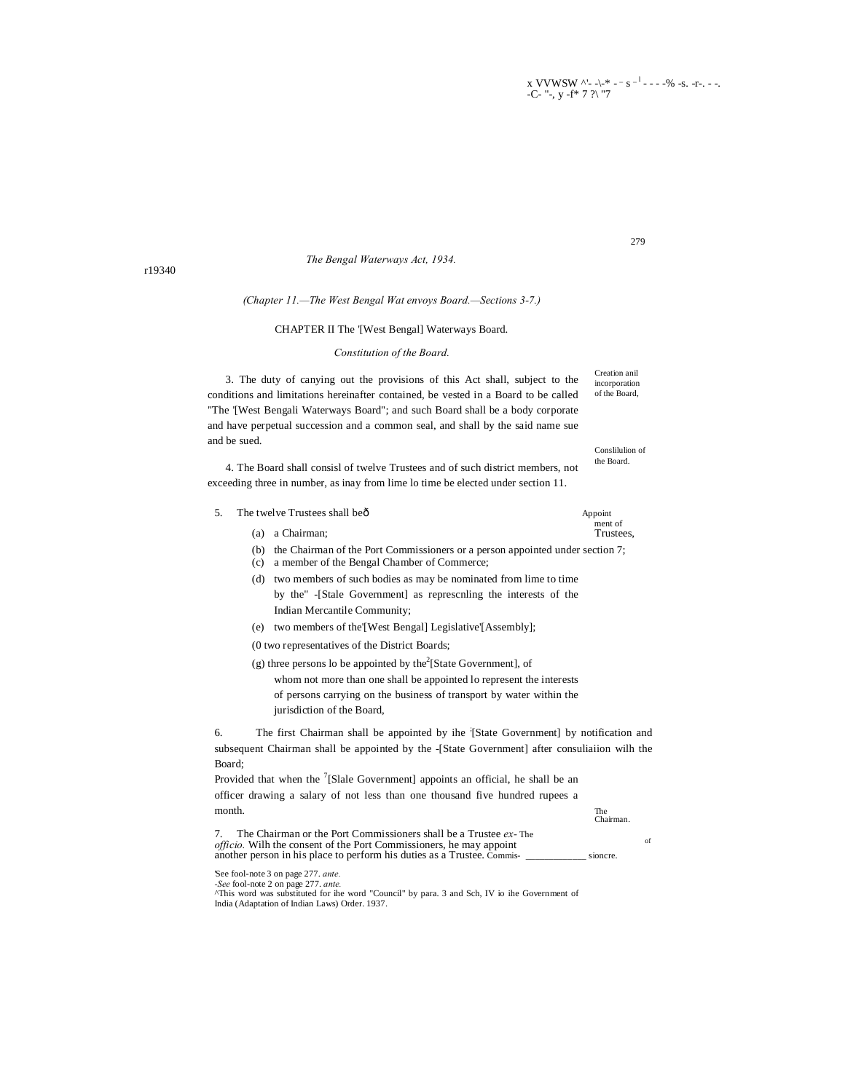x VVWSW ^'- -\-\* - - s <sup>-1</sup> - - - -% -s. -r-. - -. -C- "-,  $y - f * 7 ?$  "7

279

The Bengal Waterways Act, 1934.

## (Chapter 11.-The West Bengal Wat envoys Board.-Sections 3-7.)

### CHAPTER II The '[West Bengal] Waterways Board.

#### Constitution of the Board.

Creation anil 3. The duty of canying out the provisions of this Act shall, subject to the incorporation of the Board, conditions and limitations hereinafter contained, be vested in a Board to be called "The '[West Bengali Waterways Board"; and such Board shall be a body corporate and have perpetual succession and a common seal, and shall by the said name sue and be sued. Constitution of

4. The Board shall consisl of twelve Trustees and of such district members, not exceeding three in number, as inay from lime lo time be elected under section 11.

- 5. The twelve Trustees shall beô
	- (a) a Chairman:
	- (b) the Chairman of the Port Commissioners or a person appointed under section 7;
	- (c) a member of the Bengal Chamber of Commerce;
	- (d) two members of such bodies as may be nominated from lime to time by the" -[Stale Government] as represcnling the interests of the Indian Mercantile Community;
	- (e) two members of the [West Bengal] Legislative [Assembly];
	- (0 two representatives of the District Boards;
	- (g) three persons lo be appointed by the<sup>2</sup>[State Government], of whom not more than one shall be appointed lo represent the interests of persons carrying on the business of transport by water within the jurisdiction of the Board,

6. The first Chairman shall be appointed by ihe [State Government] by notification and subsequent Chairman shall be appointed by the -[State Government] after consuliaiion wilh the Board;

Provided that when the  $\frac{7}{5}$ [Slale Government] appoints an official, he shall be an officer drawing a salary of not less than one thousand five hundred rupees a month

| month.                                                                                                                                                                                                                    | The<br>Chairman. |    |
|---------------------------------------------------------------------------------------------------------------------------------------------------------------------------------------------------------------------------|------------------|----|
| The Chairman or the Port Commissioners shall be a Trustee ex-The<br><i>officio.</i> Wilh the consent of the Port Commissioners, he may appoint<br>another person in his place to perform his duties as a Trustee. Commis- | sioncre.         | of |

See fool-note 3 on page 277. ante.

-See fool-note 2 on page 277. ante.<br>
"This word was substituted for ihe word "Council" by para. 3 and Sch, IV io ihe Government of India (Adaptation of Indian Laws) Order. 1937.

r19340

Appoint ment of

the Board.

Trustees.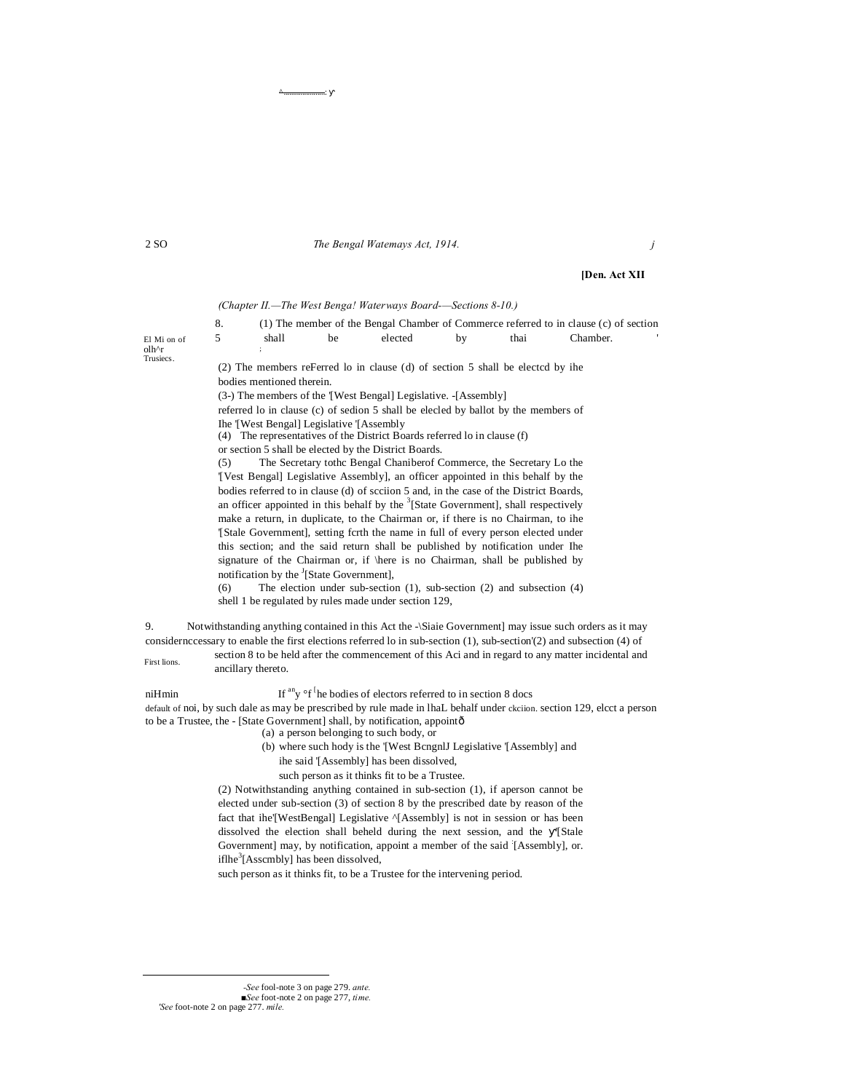2 SO *The Bengal Watemays Act, 1914. j*

## **[Den. Act XII**

*(Chapter II.—The West Benga! Waterways Board-—Sections 8-10.)*

|                                       |       |    |         |    |      | (1) The member of the Bengal Chamber of Commerce referred to in clause (c) of section |  |
|---------------------------------------|-------|----|---------|----|------|---------------------------------------------------------------------------------------|--|
| El Mi on of                           | shall | be | elected | hv | thai | Chamber.                                                                              |  |
| $olh$ <sup><math>\wedge</math>r</sup> |       |    |         |    |      |                                                                                       |  |

(2) The members reFerred lo in clause (d) of section 5 shall be electcd by ihe bodies mentioned therein.

(3-) The members of the '[West Bengal] Legislative. -[Assembly]

referred lo in clause (c) of sedion 5 shall be elecled by ballot by the members of Ihe '[West Bengal] Legislative '[Assembly

(4) The representatives of the District Boards referred lo in clause (f)

or section 5 shall be elected by the District Boards.

^<del>...................</del>:

(5) The Secretary tothc Bengal Chaniberof Commerce, the Secretary Lo the '[Vest Bengal] Legislative Assembly], an officer appointed in this behalf by the bodies referred to in clause (d) of scciion 5 and, in the case of the District Boards, an officer appointed in this behalf by the  $3$ [State Government], shall respectively make a return, in duplicate, to the Chairman or, if there is no Chairman, to ihe '[Stale Government], setting fcrth the name in full of every person elected under this section; and the said return shall be published by notification under Ihe signature of the Chairman or, if \here is no Chairman, shall be published by notification by the <sup>J</sup>[State Government],

(6) The election under sub-section (1), sub-section (2) and subsection (4) shell 1 be regulated by rules made under section 129,

9. Notwithstanding anything contained in this Act the -\Siaie Government] may issue such orders as it may considernccessary to enable the first elections referred lo in sub-section (1), sub-section'(2) and subsection (4) of

First lions. section 8 to be held after the commencement of this Aci and in regard to any matter incidental and ancillary thereto.

niHmin If  $\sup$  of  $\big[$ he bodies of electors referred to in section 8 docs default of noi, by such dale as may be prescribed by rule made in lhaL behalf under ckciion. section 129, elcct a person to be a Trustee, the - [State Government] shall, by notification, appointô

(a) a person belonging to such body, or

(b) where such hody is the '[West BcngnlJ Legislative '[Assembly] and

ihe said '[Assembly] has been dissolved,

such person as it thinks fit to be a Trustee.

(2) Notwithstanding anything contained in sub-section (1), if aperson cannot be elected under sub-section (3) of section 8 by the prescribed date by reason of the fact that ihe'[WestBengal] Legislative ^[Assembly] is not in session or has been dissolved the election shall beheld during the next session, and the '[Stale Government] may, by notification, appoint a member of the said [Assembly], or. iflhe ${}^{3}$ [Asscmbly] has been dissolved,

such person as it thinks fit, to be a Trustee for the intervening period.

*-See* fool-note 3 on page 279. *ante. ■See* foot-note 2 on page 277, *time. 'See* foot-note 2 on page 277. *mile.*

-

olh^r **Trusiecs**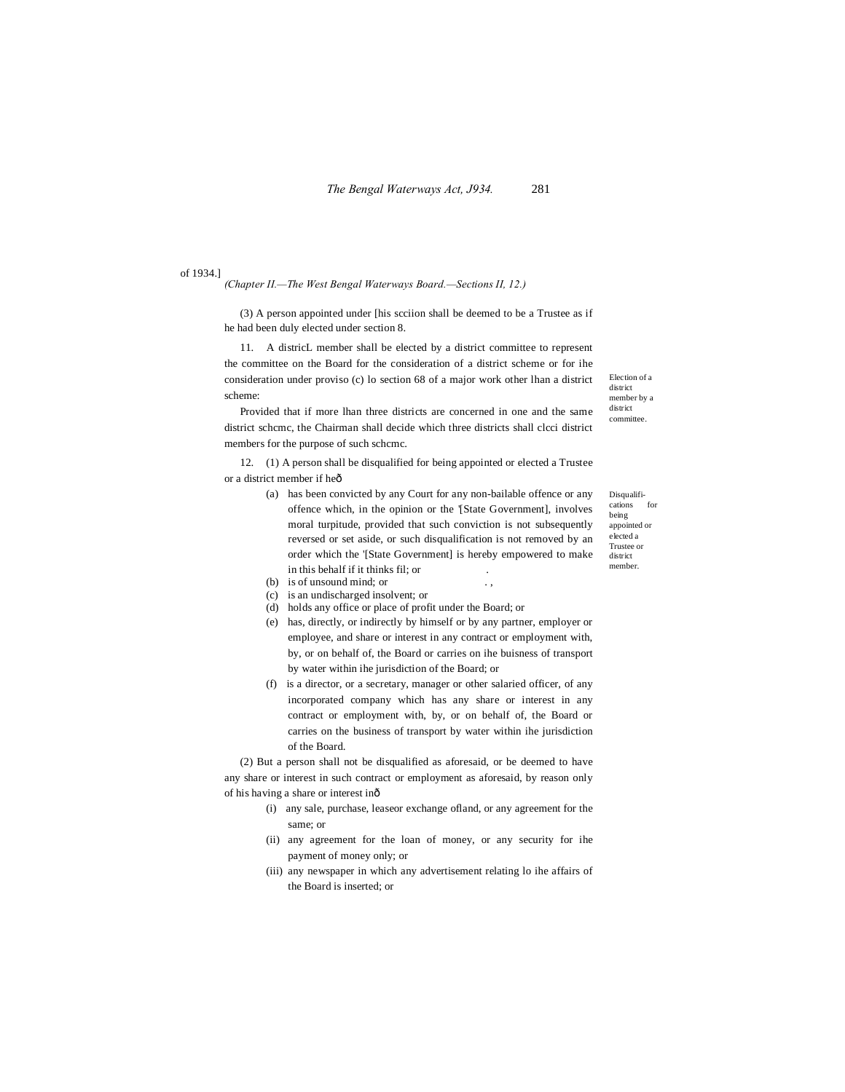of 1934.]

#### *(Chapter II.—The West Bengal Waterways Board.—Sections II, 12.)*

(3) A person appointed under [his scciion shall be deemed to be a Trustee as if he had been duly elected under section 8.

11. A districL member shall be elected by a district committee to represent the committee on the Board for the consideration of a district scheme or for ihe consideration under proviso (c) lo section 68 of a major work other lhan a district scheme:

Provided that if more lhan three districts are concerned in one and the same district schcmc, the Chairman shall decide which three districts shall clcci district members for the purpose of such schcmc.

12. (1) A person shall be disqualified for being appointed or elected a Trustee or a district member if heô

- (a) has been convicted by any Court for any non-bailable offence or any offence which, in the opinion or the '[State Government], involves moral turpitude, provided that such conviction is not subsequently reversed or set aside, or such disqualification is not removed by an order which the '[State Government] is hereby empowered to make in this behalf if it thinks fil; or .
- (b) is of unsound mind; or ...
- (c) is an undischarged insolvent; or
- (d) holds any office or place of profit under the Board; or
- (e) has, directly, or indirectly by himself or by any partner, employer or employee, and share or interest in any contract or employment with, by, or on behalf of, the Board or carries on ihe buisness of transport by water within ihe jurisdiction of the Board; or
- (f) is a director, or a secretary, manager or other salaried officer, of any incorporated company which has any share or interest in any contract or employment with, by, or on behalf of, the Board or carries on the business of transport by water within ihe jurisdiction of the Board.

(2) But a person shall not be disqualified as aforesaid, or be deemed to have any share or interest in such contract or employment as aforesaid, by reason only of his having a share or interest in—

- (i) any sale, purchase, leaseor exchange ofland, or any agreement for the same; or
- (ii) any agreement for the loan of money, or any security for ihe payment of money only; or
- (iii) any newspaper in which any advertisement relating lo ihe affairs of the Board is inserted; or

Disqualifications for being appointed or elected a Trustee or

district member.

Election of a district member by a district committee.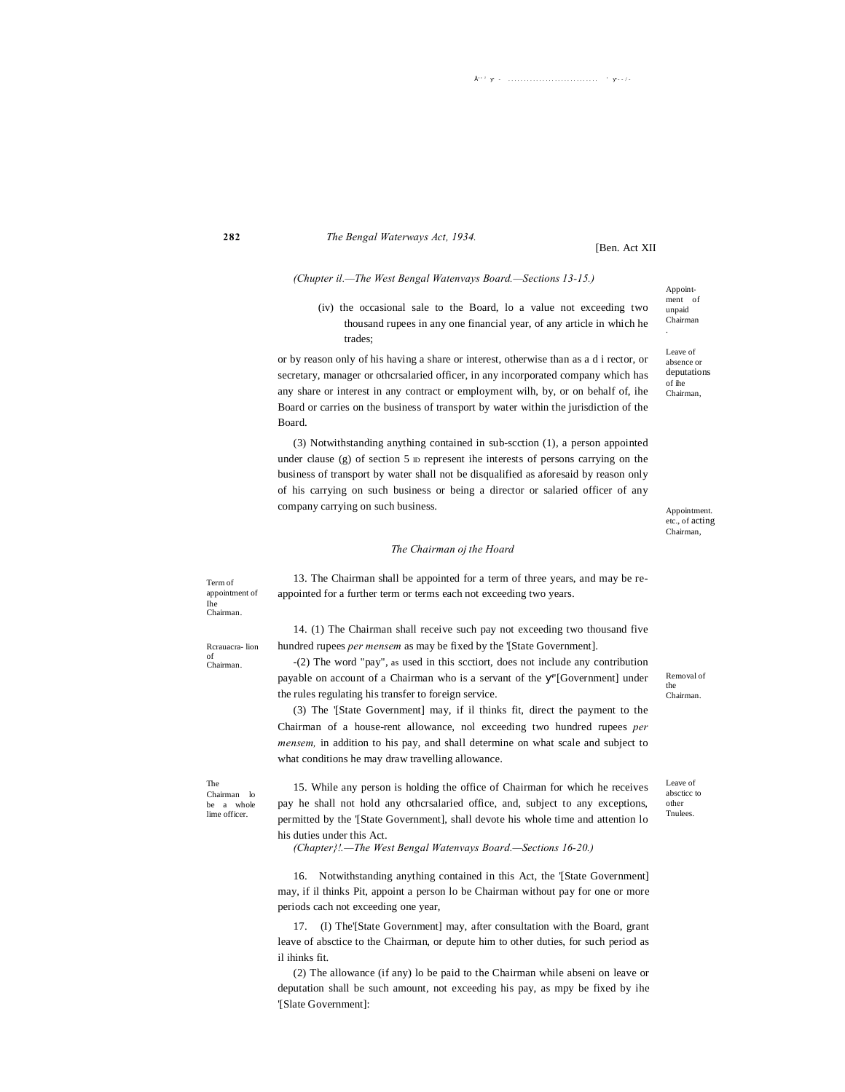## *The Bengal Waterways Act, 1934.*

[Ben. Act XII

## *(Chupter il.—The West Bengal Watenvays Board.—Sections 13-15.)*

(iv) the occasional sale to the Board, lo a value not exceeding two thousand rupees in any one financial year, of any article in which he trades;

or by reason only of his having a share or interest, otherwise than as a d i rector, or secretary, manager or othcrsalaried officer, in any incorporated company which has any share or interest in any contract or employment wilh, by, or on behalf of, ihe Board or carries on the business of transport by water within the jurisdiction of the Board.

(3) Notwithstanding anything contained in sub-scction (1), a person appointed under clause (g) of section  $5 \text{ D}$  represent ihe interests of persons carrying on the business of transport by water shall not be disqualified as aforesaid by reason only of his carrying on such business or being a director or salaried officer of any company carrying on such business.

#### Appointment. etc., of acting Chairman,

#### *The Chairman oj the Hoard*

Term of appointment of Ihe Chairman.

**282**

13. The Chairman shall be appointed for a term of three years, and may be reappointed for a further term or terms each not exceeding two years.

Rcrauacra- lion of Chairman.

14. (1) The Chairman shall receive such pay not exceeding two thousand five hundred rupees *per mensem* as may be fixed by the '[State Government].

-(2) The word "pay", as used in this scctiort, does not include any contribution payable on account of a Chairman who is a servant of the "[Government] under the rules regulating his transfer to foreign service.

(3) The '[State Government] may, if il thinks fit, direct the payment to the Chairman of a house-rent allowance, nol exceeding two hundred rupees *per mensem,* in addition to his pay, and shall determine on what scale and subject to what conditions he may draw travelling allowance.

The Chairman lo be a whole lime officer.

15. While any person is holding the office of Chairman for which he receives pay he shall not hold any othcrsalaried office, and, subject to any exceptions, permitted by the '[State Government], shall devote his whole time and attention lo his duties under this Act.

*(Chapter}!.—The West Bengal Watenvays Board.—Sections 16-20.)*

16. Notwithstanding anything contained in this Act, the '[State Government] may, if il thinks Pit, appoint a person lo be Chairman without pay for one or more periods cach not exceeding one year,

17. (I) The'[State Government] may, after consultation with the Board, grant leave of absctice to the Chairman, or depute him to other duties, for such period as il ihinks fit.

(2) The allowance (if any) lo be paid to the Chairman while abseni on leave or deputation shall be such amount, not exceeding his pay, as mpy be fixed by ihe '[Slate Government]:

Appointment of unpaid Chairman

.

Leave of absence or deputations of ihe Chairman,

Removal of the Chairman.

Leave of abscticc to other Tnulees.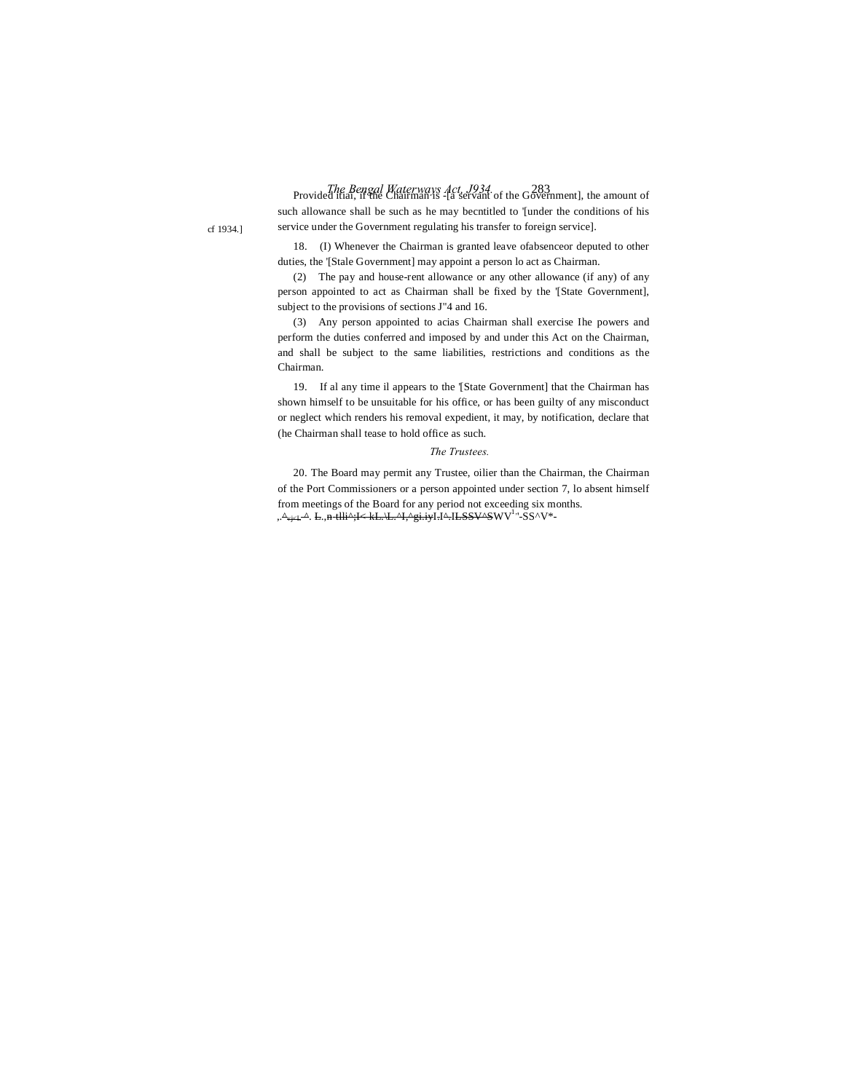*The Bengal Waterways Act, J934.* 283 Provided itiai, if the Chairman is -[a servant of the Government], the amount of such allowance shall be such as he may becntitled to '[under the conditions of his service under the Government regulating his transfer to foreign service].

18. (I) Whenever the Chairman is granted leave ofabsenceor deputed to other duties, the '[Stale Government] may appoint a person lo act as Chairman.

(2) The pay and house-rent allowance or any other allowance (if any) of any person appointed to act as Chairman shall be fixed by the '[State Government], subject to the provisions of sections J"4 and 16.

(3) Any person appointed to acias Chairman shall exercise Ihe powers and perform the duties conferred and imposed by and under this Act on the Chairman, and shall be subject to the same liabilities, restrictions and conditions as the Chairman.

19. If al any time il appears to the '[State Government] that the Chairman has shown himself to be unsuitable for his office, or has been guilty of any misconduct or neglect which renders his removal expedient, it may, by notification, declare that (he Chairman shall tease to hold office as such.

#### *The Trustees.*

20. The Board may permit any Trustee, oilier than the Chairman, the Chairman of the Port Commissioners or a person appointed under section 7, lo absent himself from meetings of the Board for any period not exceeding six months. ,.^<sub>vj<L</sub>^. L.,n-tlli^;I< kL.\L.^I,^gi.iyI.I^.ILSSV^SWV<sup>1,</sup>'-SS^V\*-

cf 1934.]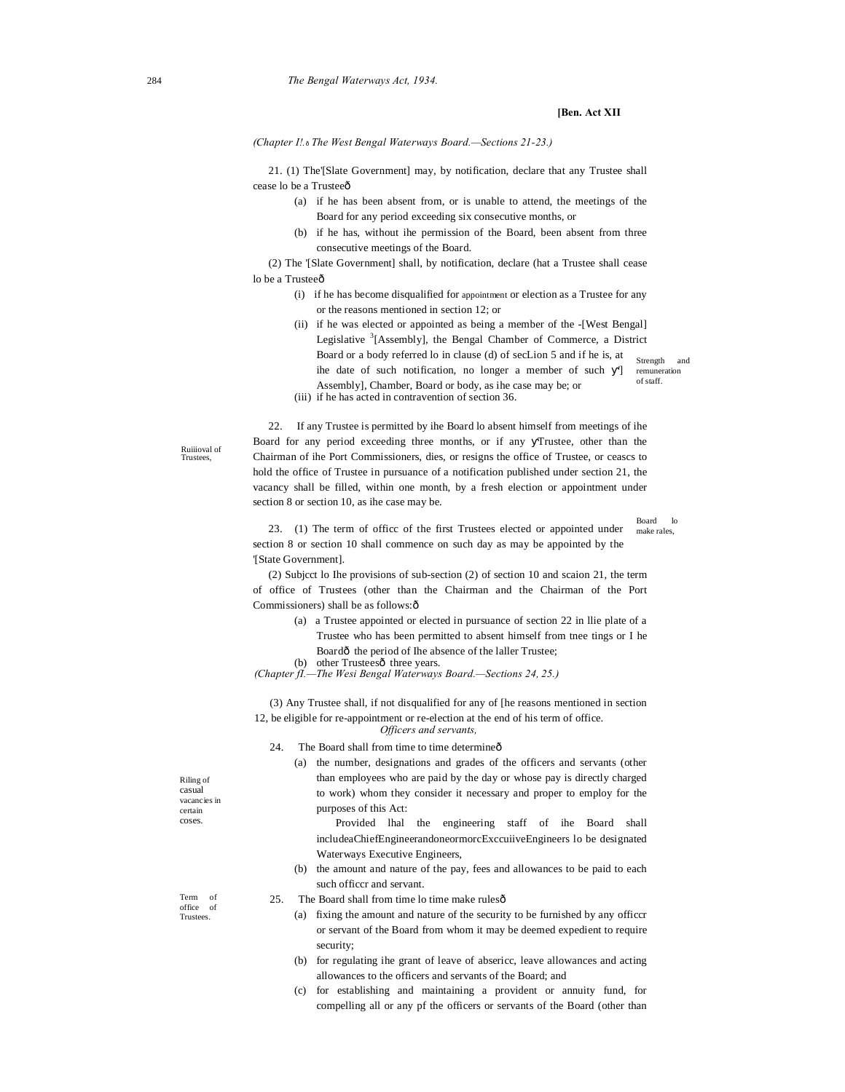## **[Ben. Act XII**

Board lo make rales,

*(Chapter I!.*—*The West Bengal Waterways Board.—Sections 21-23.)*

21. (1) The'[Slate Government] may, by notification, declare that any Trustee shall cease lo be a Trusteeô

- (a) if he has been absent from, or is unable to attend, the meetings of the Board for any period exceeding six consecutive months, or
- (b) if he has, without ihe permission of the Board, been absent from three consecutive meetings of the Board.

(2) The '[Slate Government] shall, by notification, declare (hat a Trustee shall cease lo be a Trusteeô

- (i) if he has become disqualified for appointment or election as a Trustee for any or the reasons mentioned in section 12; or
- Strength remuneration of staff. (ii) if he was elected or appointed as being a member of the -[West Bengal] Legislative <sup>3</sup>[Assembly], the Bengal Chamber of Commerce, a District Board or a body referred lo in clause (d) of secLion 5 and if he is, at ihe date of such notification, no longer a member of such '] Assembly], Chamber, Board or body, as ihe case may be; or

(iii) if he has acted in contravention of section 36.

Ruiiioval of Trustees,

22. If any Trustee is permitted by ihe Board lo absent himself from meetings of ihe Board for any period exceeding three months, or if any Trustee, other than the Chairman of ihe Port Commissioners, dies, or resigns the office of Trustee, or ceascs to hold the office of Trustee in pursuance of a notification published under section 21, the vacancy shall be filled, within one month, by a fresh election or appointment under section 8 or section 10, as ihe case may be.

23. (1) The term of officc of the first Trustees elected or appointed under section 8 or section 10 shall commence on such day as may be appointed by the '[State Government].

(2) Subjcct lo Ihe provisions of sub-section (2) of section 10 and scaion 21, the term of office of Trustees (other than the Chairman and the Chairman of the Port Commissioners) shall be as follows: ô

> (a) a Trustee appointed or elected in pursuance of section 22 in llie plate of a Trustee who has been permitted to absent himself from tnee tings or I he Boardô the period of Ihe absence of the laller Trustee;

(b) other Trustees<sub>ô</sub> three years.

*(Chapter fI.—The Wesi Bengal Waterways Board.—Sections 24, 25.)*

(3) Any Trustee shall, if not disqualified for any of [he reasons mentioned in section 12, be eligible for re-appointment or re-election at the end of his term of office.

*Officers and servants,*

- 24. The Board shall from time to time determine  $\hat{o}$ 
	- (a) the number, designations and grades of the officers and servants (other than employees who are paid by the day or whose pay is directly charged to work) whom they consider it necessary and proper to employ for the purposes of this Act:

Provided lhal the engineering staff of ihe Board shall includeaChiefEngineerandoneormorcExccuiiveEngineers lo be designated Waterways Executive Engineers,

(b) the amount and nature of the pay, fees and allowances to be paid to each such officcr and servant.

| The Board shall from time to time make rulesô<br>25. |  |  |
|------------------------------------------------------|--|--|
|------------------------------------------------------|--|--|

- (a) fixing the amount and nature of the security to be furnished by any officcr or servant of the Board from whom it may be deemed expedient to require security;
- (b) for regulating ihe grant of leave of absericc, leave allowances and acting allowances to the officers and servants of the Board; and
- (c) for establishing and maintaining a provident or annuity fund, for compelling all or any pf the officers or servants of the Board (other than

Riling of casual vacancies in certain coses.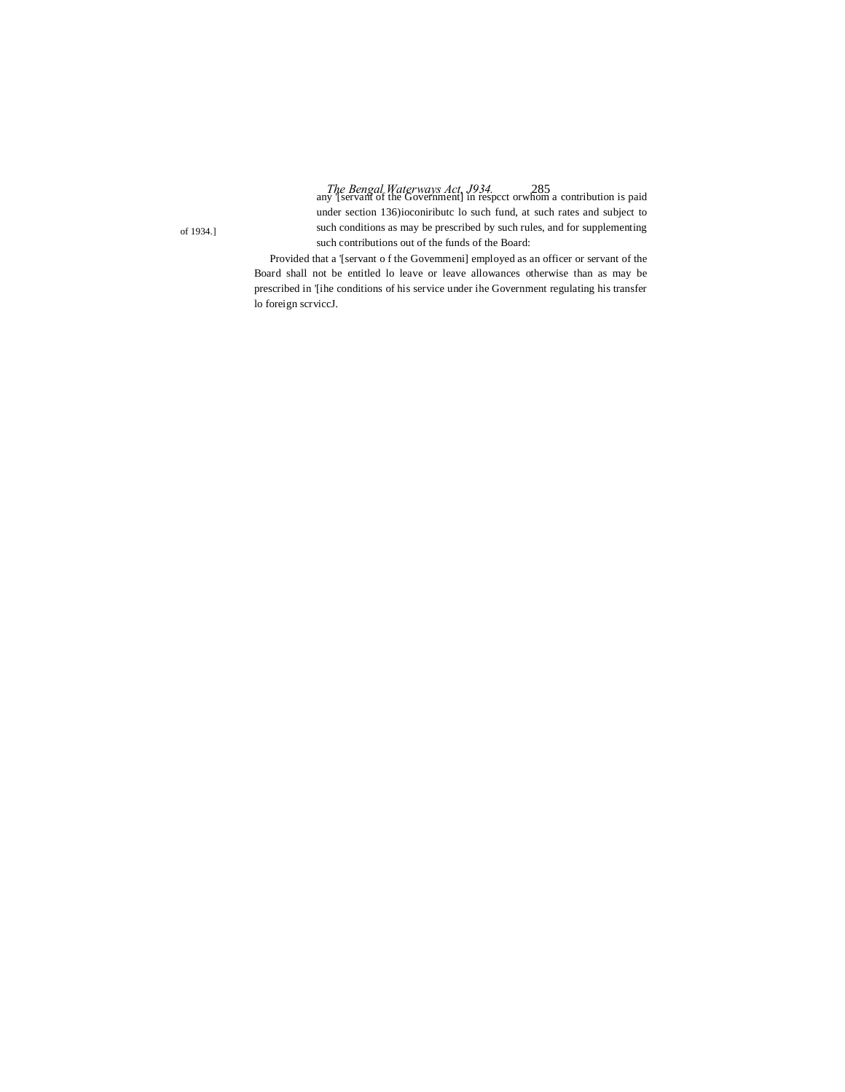*The Bengal Waterways Act, J934.* 285 any '[servant of the Government] in respcct orwhom a contribution is paid under section 136)ioconiributc lo such fund, at such rates and subject to such conditions as may be prescribed by such rules, and for supplementing

Provided that a '[servant o f the Govemmeni] employed as an officer or servant of the Board shall not be entitled lo leave or leave allowances otherwise than as may be prescribed in '[ihe conditions of his service under ihe Government regulating his transfer lo foreign scrviccJ.

such contributions out of the funds of the Board:

of 1934.]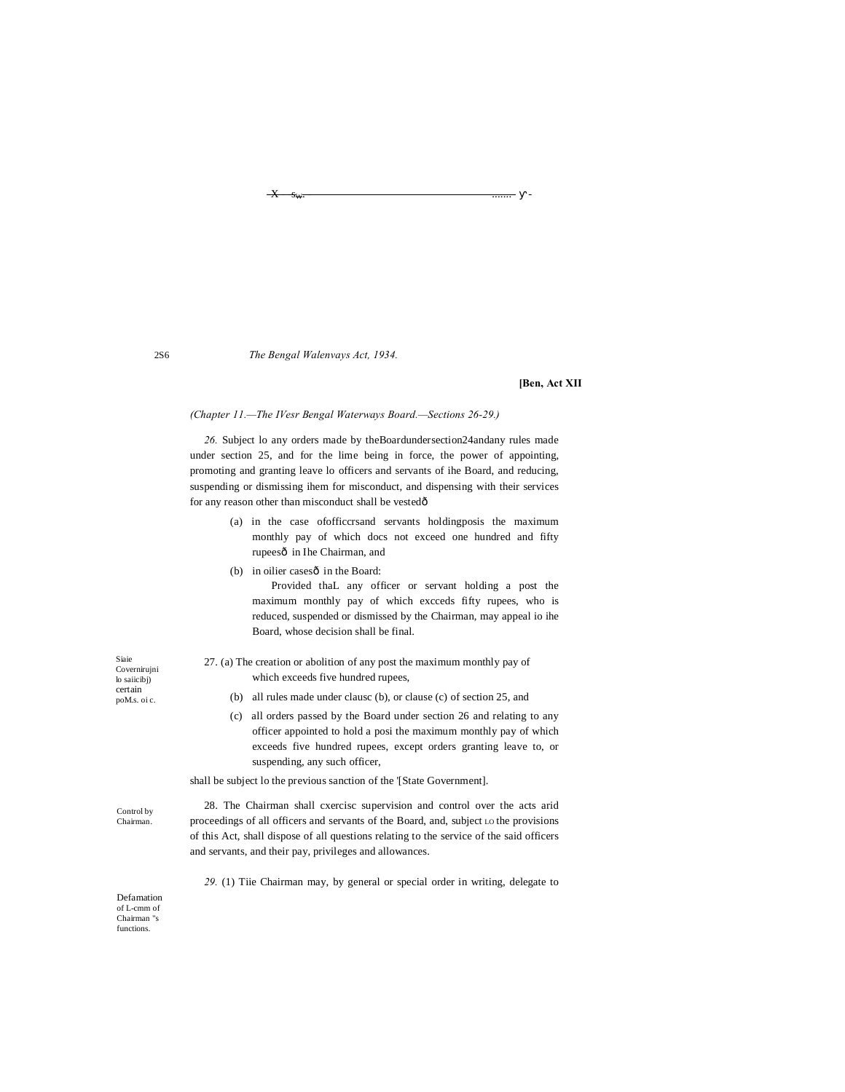*The Bengal Walenvays Act, 1934.*

#### **[Ben, Act XII**

#### *(Chapter 11.—The IVesr Bengal Waterways Board.—Sections 26-29.)*

*26.* Subject lo any orders made by theBoardundersection24andany rules made under section 25, and for the lime being in force, the power of appointing, promoting and granting leave lo officers and servants of ihe Board, and reducing, suspending or dismissing ihem for misconduct, and dispensing with their services for any reason other than misconduct shall be vestedô

> (a) in the case ofofficcrsand servants holdingposis the maximum monthly pay of which docs not exceed one hundred and fifty rupeesô in Ihe Chairman, and

 $\overline{X}$  -  $s_{\psi}$ .

- (b) in oilier casesô in the Board: Provided thaL any officer or servant holding a post the maximum monthly pay of which excceds fifty rupees, who is reduced, suspended or dismissed by the Chairman, may appeal io ihe Board, whose decision shall be final.
- 27. (a) The creation or abolition of any post the maximum monthly pay of which exceeds five hundred rupees,
	- (b) all rules made under clausc (b), or clause (c) of section 25, and
	- (c) all orders passed by the Board under section 26 and relating to any officer appointed to hold a posi the maximum monthly pay of which exceeds five hundred rupees, except orders granting leave to, or suspending, any such officer,

shall be subject lo the previous sanction of the '[State Government].

28. The Chairman shall cxercisc supervision and control over the acts arid proceedings of all officers and servants of the Board, and, subject LO the provisions of this Act, shall dispose of all questions relating to the service of the said officers and servants, and their pay, privileges and allowances.

*29.* (1) Tiie Chairman may, by general or special order in writing, delegate to

Defamation of L-cmm of Chairman "s functions.

2S6

Siaie Covernirujni lo saiicibj) certain poM.s. oi c.

Control by Chairman.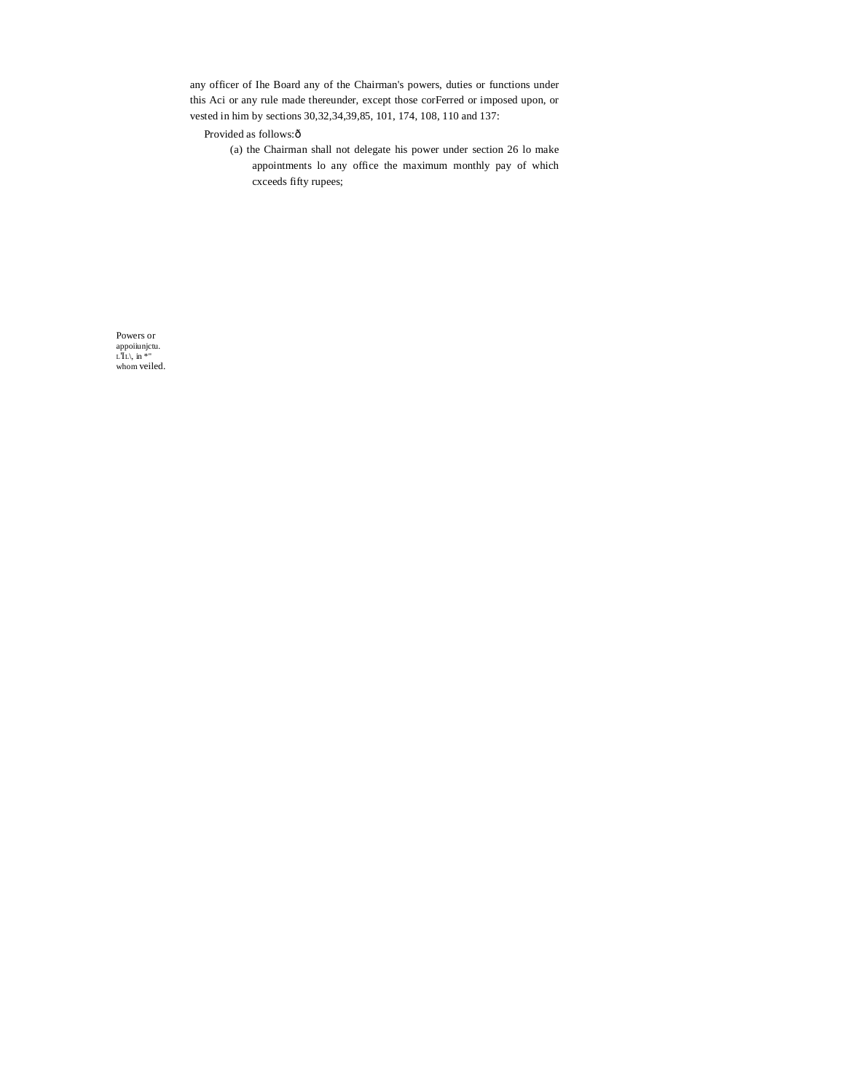any officer of Ihe Board any of the Chairman's powers, duties or functions under this Aci or any rule made thereunder, except those corFerred or imposed upon, or vested in him by sections 30, 32, 34, 39, 85, 101, 174, 108, 110 and 137:

Provided as follows:ô

(a) the Chairman shall not delegate his power under section 26 lo make appointments lo any office the maximum monthly pay of which cxceeds fifty rupees;

Powers or appoint in  $LTL$ , in  $*$  "<br>whom veiled.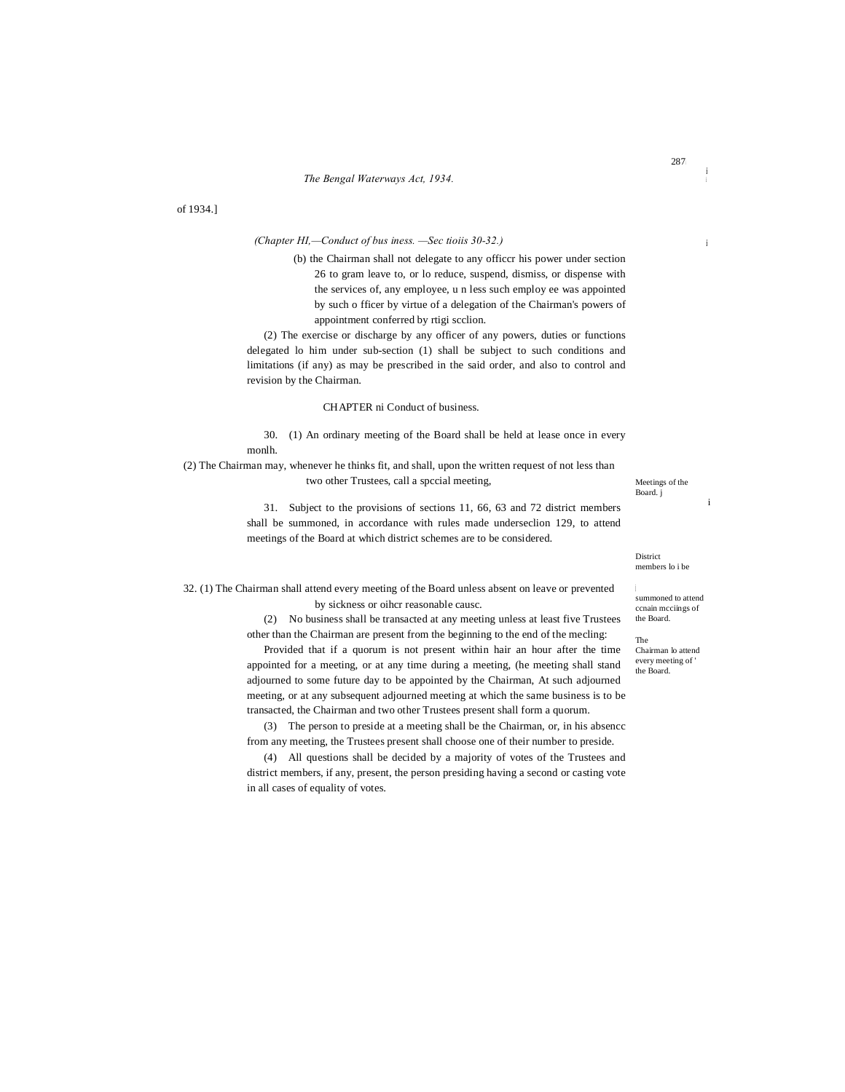of 1934.]

## *(Chapter HI,—Conduct of bus iness. —Sec tioiis 30-32.)*

(b) the Chairman shall not delegate to any officcr his power under section 26 to gram leave to, or lo reduce, suspend, dismiss, or dispense with the services of, any employee, u n less such employ ee was appointed by such o fficer by virtue of a delegation of the Chairman's powers of appointment conferred by rtigi scclion.

(2) The exercise or discharge by any officer of any powers, duties or functions delegated lo him under sub-section (1) shall be subject to such conditions and limitations (if any) as may be prescribed in the said order, and also to control and revision by the Chairman.

#### CHAPTER ni Conduct of business.

30. (1) An ordinary meeting of the Board shall be held at lease once in every monlh.

(2) The Chairman may, whenever he thinks fit, and shall, upon the written request of not less than two other Trustees, call a spccial meeting,

Meetings of the Board. j

i

31. Subject to the provisions of sections 11, 66, 63 and 72 district members shall be summoned, in accordance with rules made underseclion 129, to attend meetings of the Board at which district schemes are to be considered.

> District members lo i be

<sub>l</sub><br>summoned to attend ccnain mcciings of the Board.

The Chairman lo attend every meeting of ' the Board.

32. (1) The Chairman shall attend every meeting of the Board unless absent on leave or prevented by sickness or oihcr reasonable causc.

> (2) No business shall be transacted at any meeting unless at least five Trustees other than the Chairman are present from the beginning to the end of the mecling:

Provided that if a quorum is not present within hair an hour after the time appointed for a meeting, or at any time during a meeting, (he meeting shall stand adjourned to some future day to be appointed by the Chairman, At such adjourned meeting, or at any subsequent adjourned meeting at which the same business is to be transacted, the Chairman and two other Trustees present shall form a quorum.

(3) The person to preside at a meeting shall be the Chairman, or, in his absencc from any meeting, the Trustees present shall choose one of their number to preside.

(4) All questions shall be decided by a majority of votes of the Trustees and district members, if any, present, the person presiding having a second or casting vote in all cases of equality of votes.

i

i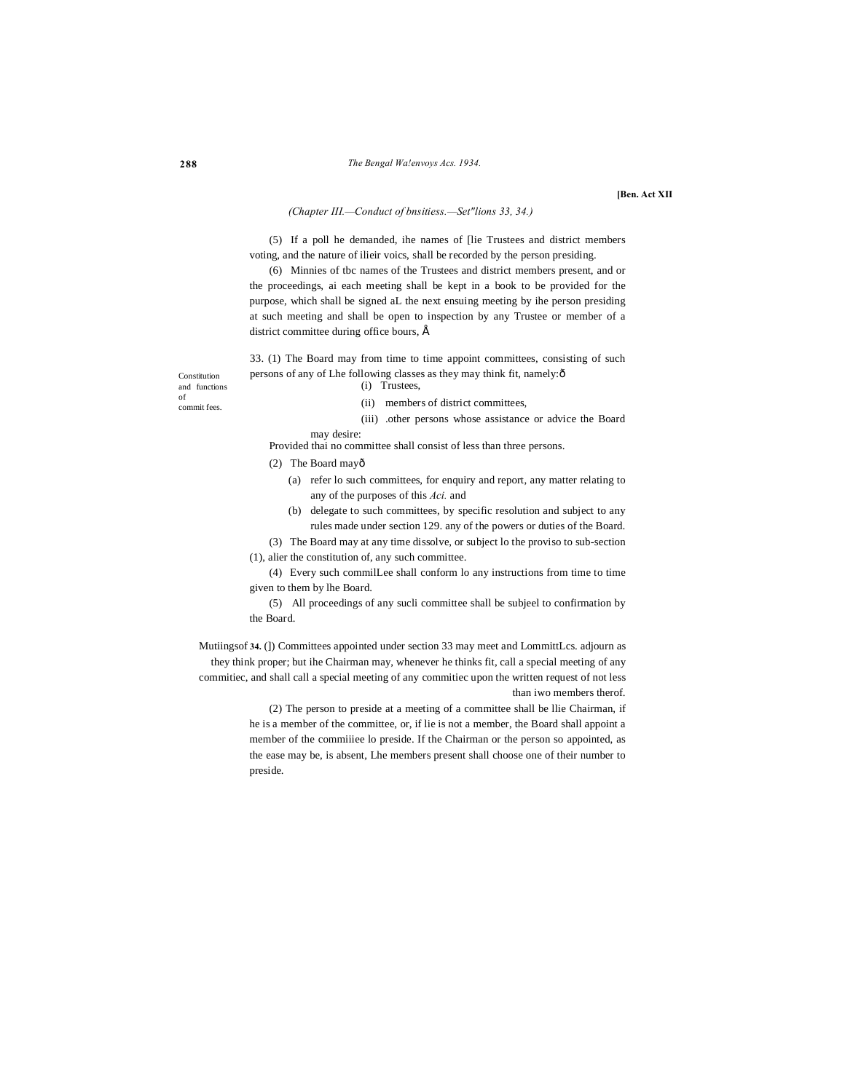**[Ben. Act XII**

## *(Chapter III.—Conduct of bnsitiess.—Set"lions 33, 34.)*

(5) If a poll he demanded, ihe names of [lie Trustees and district members voting, and the nature of ilieir voics, shall be recorded by the person presiding.

(6) Minnies of tbc names of the Trustees and district members present, and or the proceedings, ai each meeting shall be kept in a book to be provided for the purpose, which shall be signed aL the next ensuing meeting by ihe person presiding at such meeting and shall be open to inspection by any Trustee or member of a district committee during office bours,  $\acute{E}$ 

33. (1) The Board may from time to time appoint committees, consisting of such persons of any of Lhe following classes as they may think fit, namely: ô (i) Trustees,

Constitution and functions of commit fees.

(ii) members of district committees,

(iii) .other persons whose assistance or advice the Board may desire:

Provided thai no committee shall consist of less than three persons.

(2) The Board mayô

- (a) refer lo such committees, for enquiry and report, any matter relating to any of the purposes of this *Aci.* and
- (b) delegate to such committees, by specific resolution and subject to any rules made under section 129. any of the powers or duties of the Board.
- (3) The Board may at any time dissolve, or subject lo the proviso to sub-section

(1), alier the constitution of, any such committee.

(4) Every such commilLee shall conform lo any instructions from time to time given to them by lhe Board.

(5) All proceedings of any sucli committee shall be subjeel to confirmation by the Board.

Mutiingsof **34.** (]) Committees appointed under section 33 may meet and LommittLcs. adjourn as they think proper; but ihe Chairman may, whenever he thinks fit, call a special meeting of any commitiec, and shall call a special meeting of any commitiec upon the written request of not less than iwo members therof.

> (2) The person to preside at a meeting of a committee shall be llie Chairman, if he is a member of the committee, or, if lie is not a member, the Board shall appoint a member of the commiiiee lo preside. If the Chairman or the person so appointed, as the ease may be, is absent, Lhe members present shall choose one of their number to preside.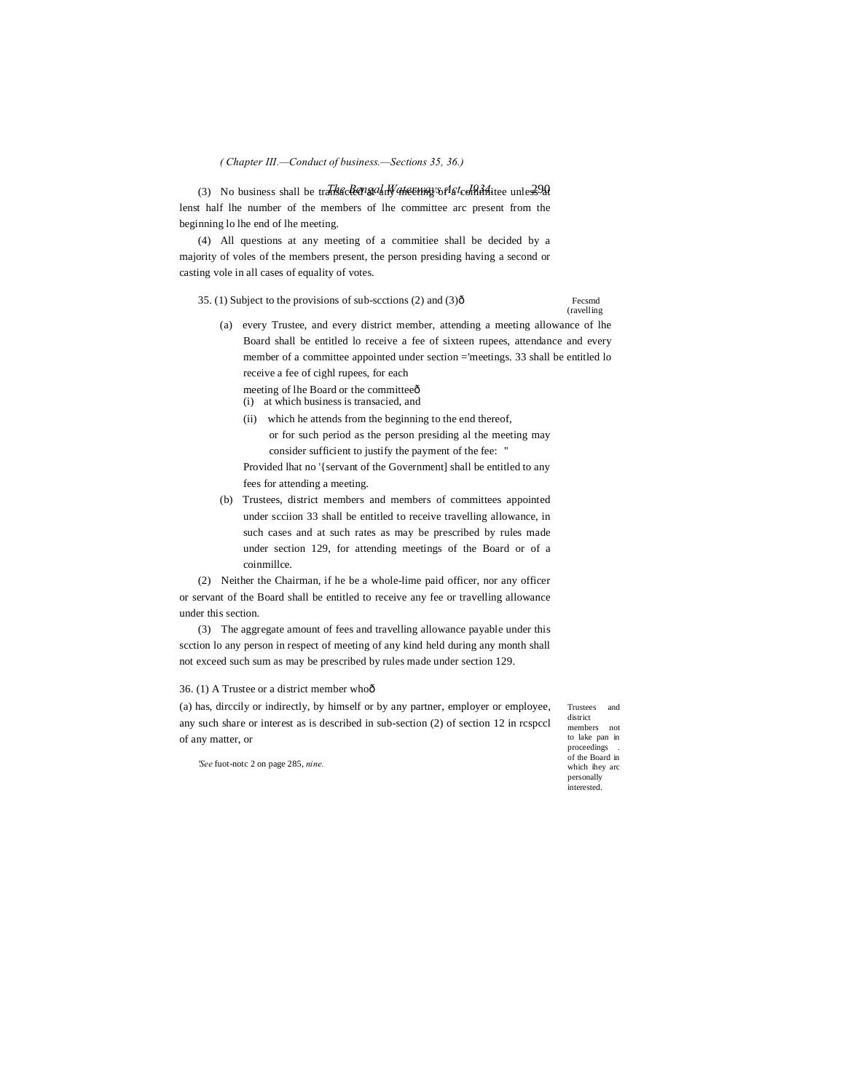*( Chapter III.—Conduct of business.—Sections 35, 36.)*

(3) No business shall be transacter and Mateury of a committee unless 20 lenst half lhe number of the members of lhe committee arc present from the beginning lo lhe end of lhe meeting.

(4) All questions at any meeting of a commitiee shall be decided by a majority of voles of the members present, the person presiding having a second or casting vole in all cases of equality of votes.

35. (1) Subject to the provisions of sub-sections (2) and (3) $\hat{0}$  Fecsmd

(ravelling

- (a) every Trustee, and every district member, attending a meeting allowance of lhe Board shall be entitled lo receive a fee of sixteen rupees, attendance and every member of a committee appointed under section ='meetings. 33 shall be entitled lo receive a fee of cighl rupees, for each
	- meeting of lhe Board or the committee $\hat{o}$
	- (i) at which business is transacied, and
	- (ii) which he attends from the beginning to the end thereof, or for such period as the person presiding al the meeting may consider sufficient to justify the payment of the fee: "

Provided lhat no '{servant of the Government] shall be entitled to any fees for attending a meeting.

(b) Trustees, district members and members of committees appointed under scciion 33 shall be entitled to receive travelling allowance, in such cases and at such rates as may be prescribed by rules made under section 129, for attending meetings of the Board or of a coinmillce.

(2) Neither the Chairman, if he be a whole-lime paid officer, nor any officer or servant of the Board shall be entitled to receive any fee or travelling allowance under this section.

(3) The aggregate amount of fees and travelling allowance payable under this scction lo any person in respect of meeting of any kind held during any month shall not exceed such sum as may be prescribed by rules made under section 129.

## 36. (1) A Trustee or a district member who—

(a) has, dirccily or indirectly, by himself or by any partner, employer or employee, any such share or interest as is described in sub-section (2) of section 12 in rcspccl of any matter, or

Trustees and district members not to lake pan in proceedings . of the Board in which ihey arc personally interested.

*'See* fuot-notc 2 on page 285, *nine.*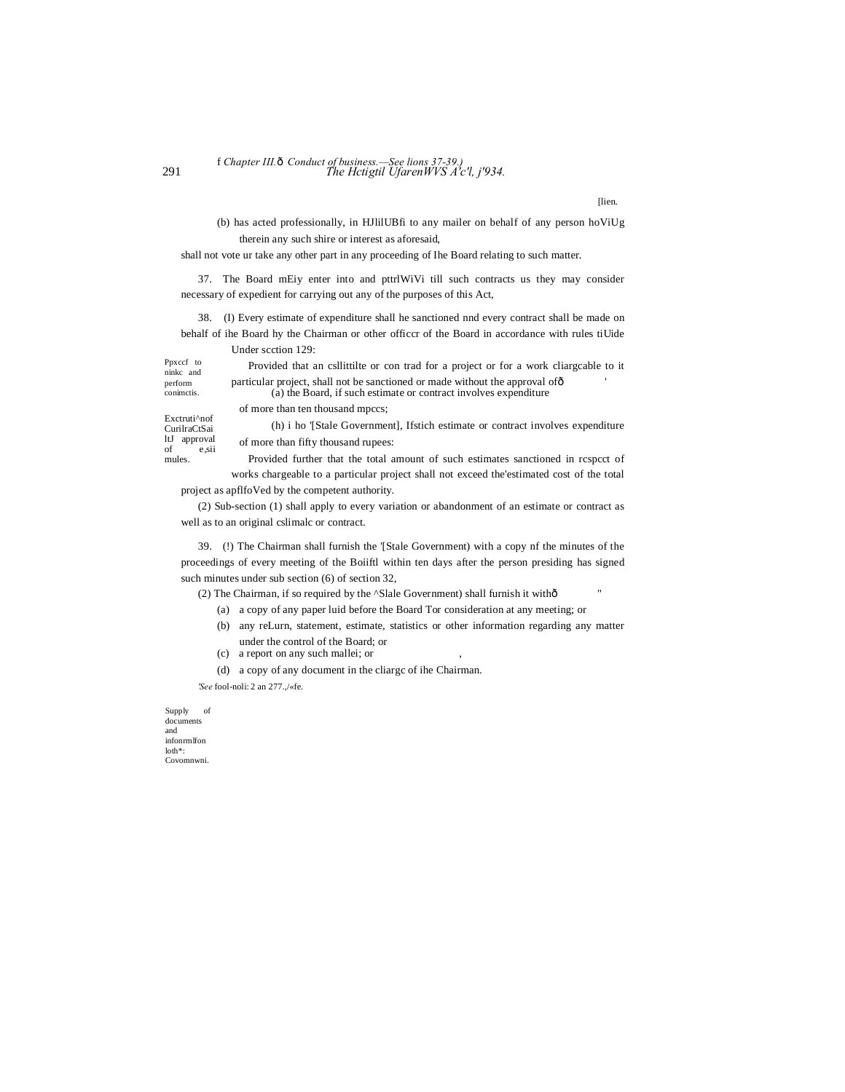## 291 *The Hctigtil UfarenWVS A'c'l, j'934.* f *Chapter III.*—*Conduct of business.—See lions 37-39.)*

[lien.

(b) has acted professionally, in HJlilUBfi to any mailer on behalf of any person hoViUg therein any such shire or interest as aforesaid,

shall not vote ur take any other part in any proceeding of Ihe Board relating to such matter.

37. The Board mEiy enter into and pttrlWiVi till such contracts us they may consider necessary of expedient for carrying out any of the purposes of this Act,

38. (I) Every estimate of expenditure shall he sanctioned nnd every contract shall be made on behalf of ihe Board hy the Chairman or other officcr of the Board in accordance with rules tiUide Under scction 129:

Ppxccf to ninkc and perform conimctis.

Provided that an csllittilte or con trad for a project or for a work cliargcable to it particular project, shall not be sanctioned or made without the approval of  $\delta$ (a) the Board, if such estimate or contract involves expenditure

Exctruti^nof CurilraCtSai ltJ approval of e,sii mules.

of more than ten thousand mpccs;

(h) i ho '[Stale Government], Ifstich estimate or contract involves expenditure of more than fifty thousand rupees:

Provided further that the total amount of such estimates sanctioned in rcspcct of works chargeable to a particular project shall not exceed the'estimated cost of the total

project as apflfoVed by the competent authority.

(2) Sub-section (1) shall apply to every variation or abandonment of an estimate or contract as well as to an original cslimalc or contract.

39. (!) The Chairman shall furnish the '[Stale Government) with a copy nf the minutes of the proceedings of every meeting of the Boiiftl within ten days after the person presiding has signed such minutes under sub section (6) of section 32,

(2) The Chairman, if so required by the ^Slale Government) shall furnish it withô

- (a) a copy of any paper luid before the Board Tor consideration at any meeting; or
- (b) any reLurn, statement, estimate, statistics or other information regarding any matter under the control of the Board; or
- (c) a report on any such mallei; or ,
- (d) a copy of any document in the cliargc of ihe Chairman.

*'See* fool-noli: 2 an 277.,/«fe.

Supply of documents and infonrmlfon loth\*: Covomnwni.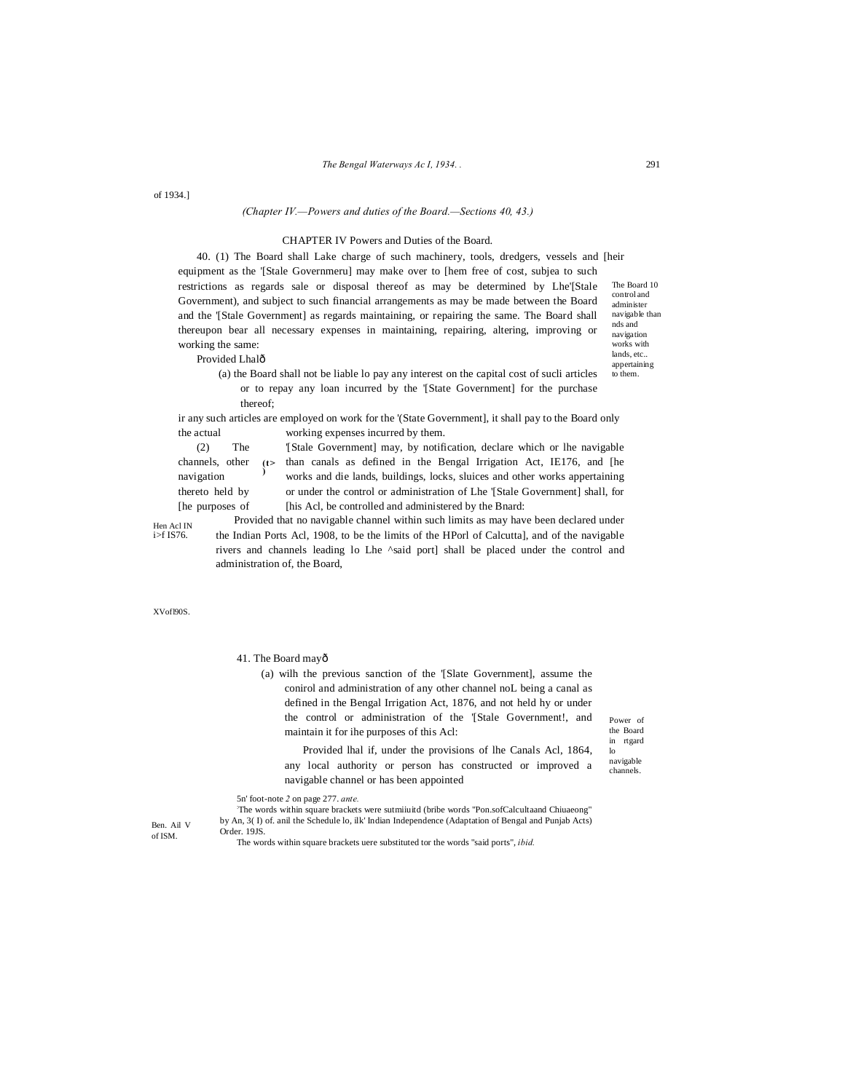of 1934.]

## *(Chapter IV.—Powers and duties of the Board.—Sections 40, 43.)*

## CHAPTER IV Powers and Duties of the Board.

The Board 10 control and administer 40. (1) The Board shall Lake charge of such machinery, tools, dredgers, vessels and [heir equipment as the '[Stale Governmeru] may make over to [hem free of cost, subjea to such restrictions as regards sale or disposal thereof as may be determined by Lhe'[Stale Government), and subject to such financial arrangements as may be made between the Board and the '[Stale Government] as regards maintaining, or repairing the same. The Board shall thereupon bear all necessary expenses in maintaining, repairing, altering, improving or working the same:

navigable than nds and navigation works with lands, etc.. appertaining

to them.

Provided Lhalô

**)**

(a) the Board shall not be liable lo pay any interest on the capital cost of sucli articles or to repay any loan incurred by the '[State Government] for the purchase thereof;

ir any such articles are employed on work for the '(State Government], it shall pay to the Board only the actual working expenses incurred by them.

channels, other  $(t>$  than canals as defined in the Bengal Irrigation Act, IE176, and [he (2) The '[Stale Government] may, by notification, declare which or lhe navigable navigation buildings, locks, sluices and other works appertaining thereto held by or under the control or administration of Lhe '[Stale Government] shall, for [he purposes of [his Acl, be controlled and administered by the Bnard:

Provided that no navigable channel within such limits as may have been declared under the Indian Ports Acl, 1908, to be the limits of the HPorl of Calcutta], and of the navigable rivers and channels leading lo Lhe ^said port] shall be placed under the control and

XVofl90S.

Hen Acl IN  $i > f$  IS76.

41. The Board may—

administration of, the Board,

(a) wilh the previous sanction of the '[Slate Government], assume the conirol and administration of any other channel noL being a canal as defined in the Bengal Irrigation Act, 1876, and not held hy or under the control or administration of the '[Stale Government!, and maintain it for ihe purposes of this Acl:

Power of the Board in rtgard lo

navigable channels. Provided lhal if, under the provisions of lhe Canals Acl, 1864, any local authority or person has constructed or improved a

5n' foot-note *2* on page 277. *ante.*

: The words within square brackets were sutmiiuitd (bribe words "Pon.sofCalcultaand Chiuaeong" by An, 3( I) of. anil the Schedule lo, ilk' Indian Independence (Adaptation of Bengal and Punjab Acts) Order. 19JS.

Ben. Ail V of ISM.

The words within square brackets uere substituted tor the words "said ports", *ibid.*

navigable channel or has been appointed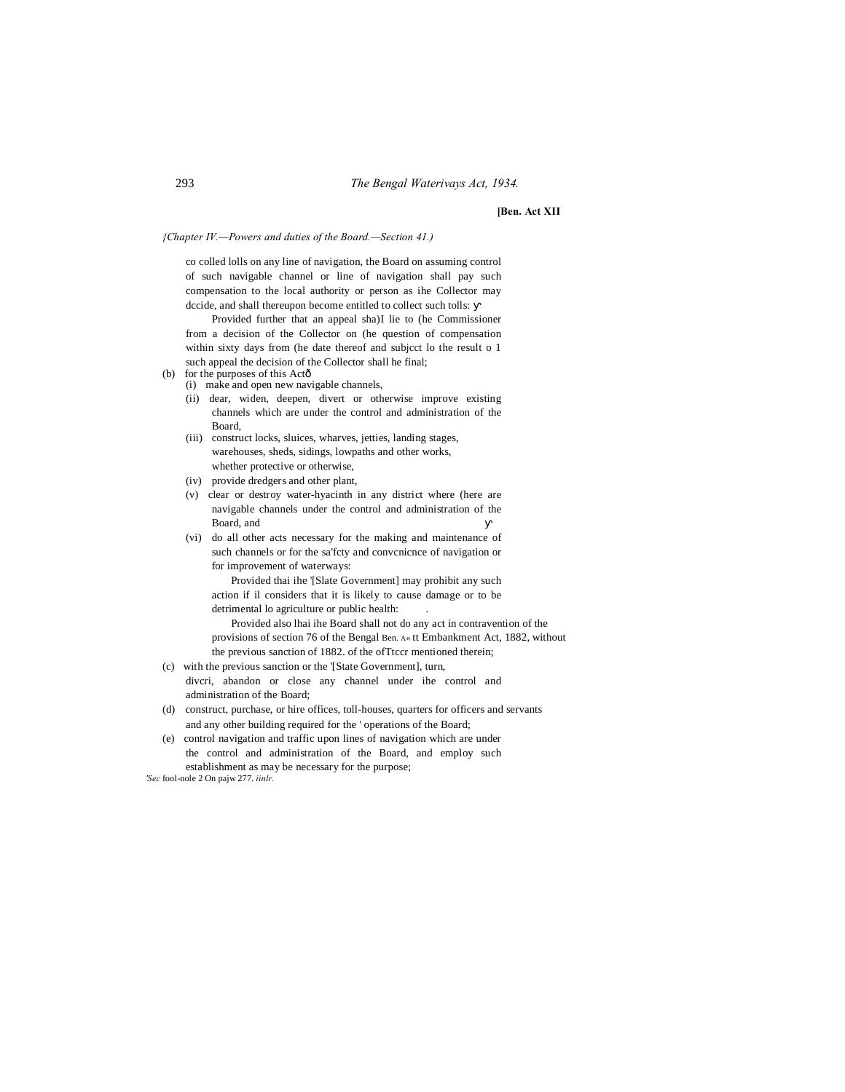**[Ben. Act XII**

*{Chapter IV.—Powers and duties of the Board.—Section 41.)*

co colled lolls on any line of navigation, the Board on assuming control of such navigable channel or line of navigation shall pay such compensation to the local authority or person as ihe Collector may dccide, and shall thereupon become entitled to collect such tolls:

Provided further that an appeal sha)I lie to (he Commissioner from a decision of the Collector on (he question of compensation within sixty days from (he date thereof and subjcct lo the result o 1 such appeal the decision of the Collector shall he final;

- (b) for the purposes of this Actô
	- (i) make and open new navigable channels,
	- (ii) dear, widen, deepen, divert or otherwise improve existing channels which are under the control and administration of the Board,
	- (iii) construct locks, sluices, wharves, jetties, landing stages, warehouses, sheds, sidings, lowpaths and other works, whether protective or otherwise,
	- (iv) provide dredgers and other plant,
	- (v) clear or destroy water-hyacinth in any district where (here are navigable channels under the control and administration of the Board, and
	- (vi) do all other acts necessary for the making and maintenance of such channels or for the sa'fcty and convcnicnce of navigation or for improvement of waterways:

Provided thai ihe '[Slate Government] may prohibit any such action if il considers that it is likely to cause damage or to be detrimental lo agriculture or public health:

Provided also lhai ihe Board shall not do any act in contravention of the provisions of section 76 of the Bengal Ben. A« tt Embankment Act, 1882, without the previous sanction of 1882. of the ofTtccr mentioned therein;

- (c) with the previous sanction or the '[State Government], turn, divcri, abandon or close any channel under ihe control and administration of the Board;
- (d) construct, purchase, or hire offices, toll-houses, quarters for officers and servants and any other building required for the ' operations of the Board;
- (e) control navigation and traffic upon lines of navigation which are under the control and administration of the Board, and employ such establishment as may be necessary for the purpose;

*'Sec* fool-nole 2 On pajw 277. *iinlr.*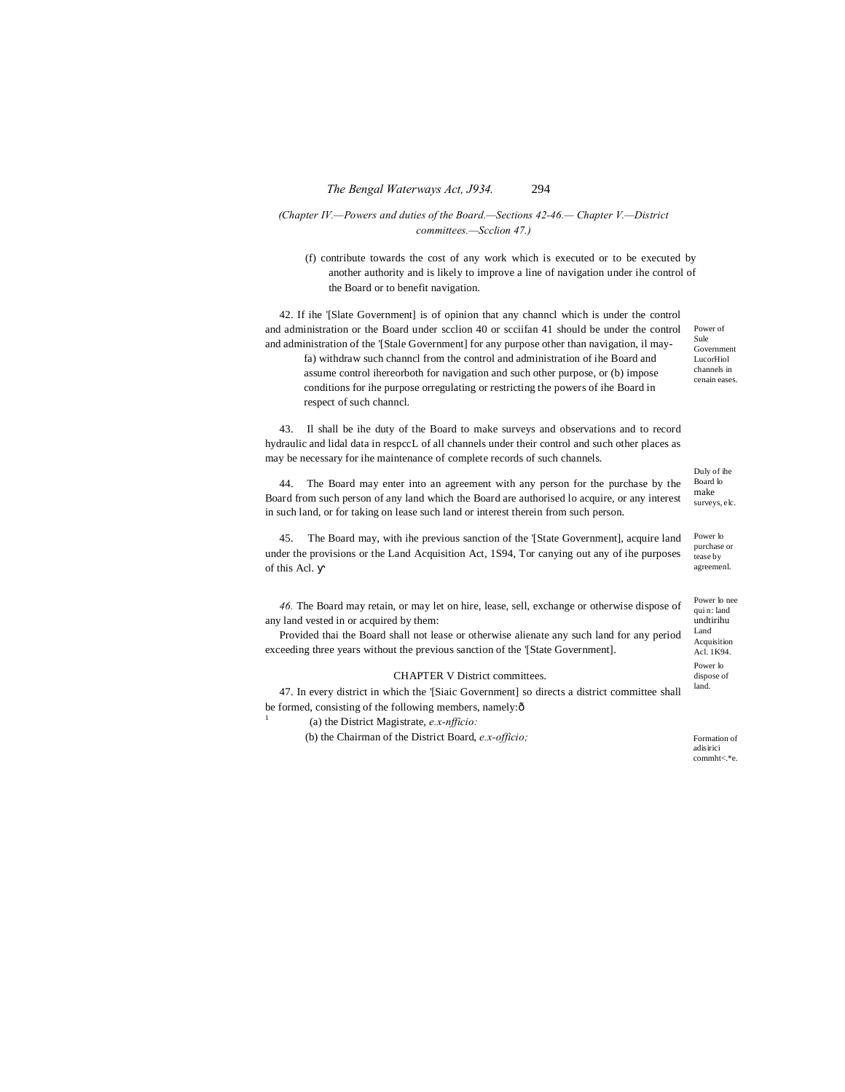## *(Chapter IV.—Powers and duties of the Board.—Sections 42-46.— Chapter V.—District committees.—Scclion 47.)*

(f) contribute towards the cost of any work which is executed or to be executed by another authority and is likely to improve a line of navigation under ihe control of the Board or to benefit navigation.

42. If ihe '[Slate Government] is of opinion that any channcl which is under the control and administration or the Board under scclion 40 or scciifan 41 should be under the control and administration of the '[Stale Government] for any purpose other than navigation, il mayfa) withdraw such channcl from the control and administration of ihe Board and assume control ihereorboth for navigation and such other purpose, or (b) impose conditions for ihe purpose orregulating or restricting the powers of ihe Board in respect of such channcl.

43. Il shall be ihe duty of the Board to make surveys and observations and to record hydraulic and lidal data in respccL of all channels under their control and such other places as may be necessary for ihe maintenance of complete records of such channels.

44. The Board may enter into an agreement with any person for the purchase by the Board from such person of any land which the Board are authorised lo acquire, or any interest in such land, or for taking on lease such land or interest therein from such person.

Power lo 45. The Board may, with ihe previous sanction of the '[State Government], acquire land under the provisions or the Land Acquisition Act, 1S94, Tor canying out any of ihe purposes of this Acl.

*46.* The Board may retain, or may let on hire, lease, sell, exchange or otherwise dispose of any land vested in or acquired by them:

Provided thai the Board shall not lease or otherwise alienate any such land for any period exceeding three years without the previous sanction of the '[State Government].

## CHAPTER V District committees.

47. In every district in which the '[Siaic Government] so directs a district committee shall be formed, consisting of the following members, namely: $\delta$ 

<sup>1</sup> (a) the District Magistrate, *e.x-nfficio:*

(b) the Chairman of the District Board, *e.x-officio;*

Formation of adisirici commht<.\*e.

Government LucorHiol channels in cenain eases.

Power of Sule

Duly of ihe Board lo make surveys, elc.

purchase or tease by agreemenl.

Power lo nee qui n: land undtirihu Land Acquisition Acl. 1K94. Power lo dispose of land.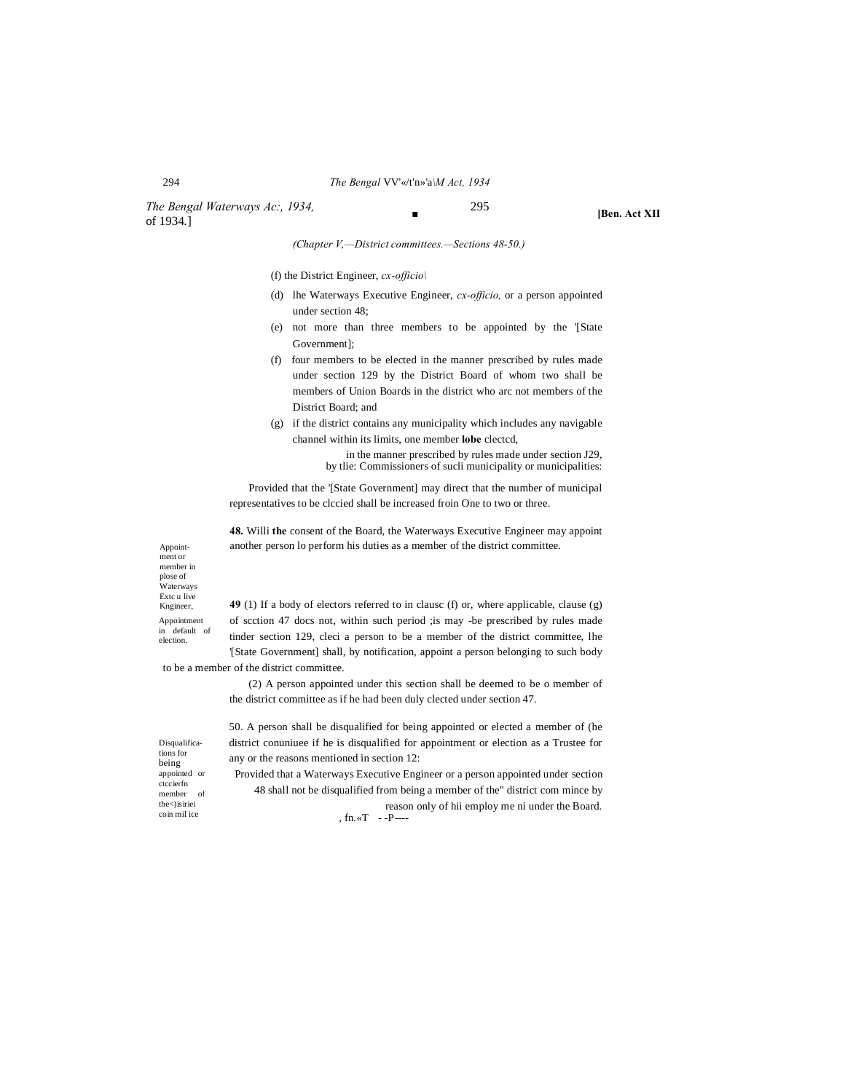## 294 *The Bengal* VV'«/t'n»'a*\M Act, 1934*

*The Bengal Waterways Ac:, 1934,* 295 of 1934.]

**■ [Ben. Act XII**

*(Chapter V,—District committees.—Sections 48-50.)*

(f) the District Engineer, *cx-officio\*

- (d) lhe Waterways Executive Engineer, *cx-officio,* or a person appointed under section 48;
- (e) not more than three members to be appointed by the '[State Government];
- (f) four members to be elected in the manner prescribed by rules made under section 129 by the District Board of whom two shall be members of Union Boards in the district who arc not members of the District Board; and
- (g) if the district contains any municipality which includes any navigable channel within its limits, one member **lobe** clectcd,

in the manner prescribed by rules made under section J29, by tlie: Commissioners of sucli municipality or municipalities:

Provided that the '[State Government] may direct that the number of municipal representatives to be clccied shall be increased froin One to two or three.

**48.** Willi **the** consent of the Board, the Waterways Executive Engineer may appoint another person lo perform his duties as a member of the district committee.

Appointment or member in plose of .<br>Waterways Extc u live Kngineer, Appointment

in default of election.

**49** (1) If a body of electors referred to in clausc (f) or, where applicable, clause (g) of scction 47 docs not, within such period ;is may -be prescribed by rules made tinder section 129, cleci a person to be a member of the district committee, lhe '[State Government] shall, by notification, appoint a person belonging to such body

to be a member of the district committee.

(2) A person appointed under this section shall be deemed to be o member of the district committee as if he had been duly clected under section 47.

Disqualifications for being appointed or ctccierfn member of the<)isiriei coin mil ice

50. A person shall be disqualified for being appointed or elected a member of (he district conuniuee if he is disqualified for appointment or election as a Trustee for any or the reasons mentioned in section 12:

Provided that a Waterways Executive Engineer or a person appointed under section 48 shall not be disqualified from being a member of the" district com mince by reason only of hii employ me ni under the Board. ,  $fn.$ « $T - P$ ----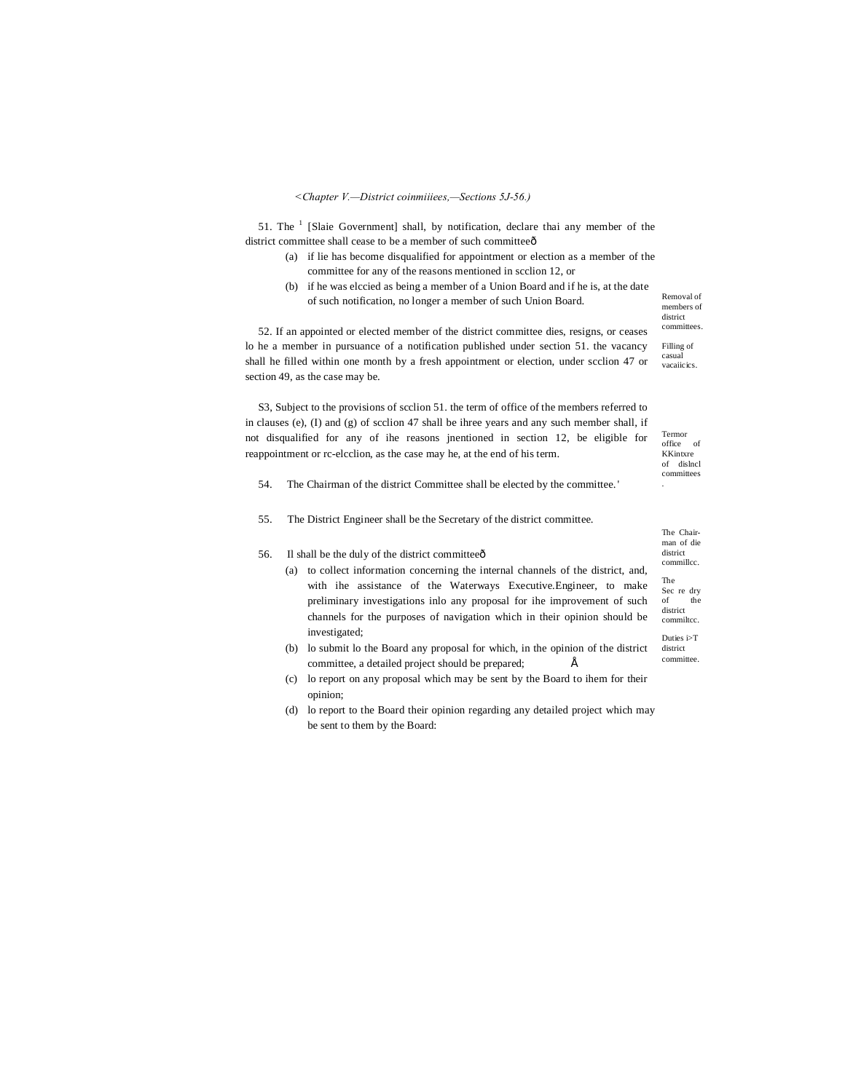## *<Chapter V.—District coinmiiiees,—Sections 5J-56.)*

51. The  $<sup>1</sup>$  [Slaie Government] shall, by notification, declare thai any member of the</sup> district committee shall cease to be a member of such committeeô

- (a) if lie has become disqualified for appointment or election as a member of the committee for any of the reasons mentioned in scclion 12, or
- (b) if he was elccied as being a member of a Union Board and if he is, at the date of such notification, no longer a member of such Union Board.

Removal of members of district committees.

Filling of casual vacaiicics.

Termor office of KKintxre of dislncl committees .

52. If an appointed or elected member of the district committee dies, resigns, or ceases lo he a member in pursuance of a notification published under section 51. the vacancy shall he filled within one month by a fresh appointment or election, under scclion 47 or section 49, as the case may be.

S3, Subject to the provisions of scclion 51. the term of office of the members referred to in clauses (e), (I) and (g) of scclion 47 shall be ihree years and any such member shall, if not disqualified for any of ihe reasons jnentioned in section 12, be eligible for reappointment or rc-elcclion, as the case may he, at the end of his term.

- 54. The Chairman of the district Committee shall be elected by the committee. '
- 55. The District Engineer shall be the Secretary of the district committee.

56. Il shall be the duly of the district committee $\hat{o}$ 

- (a) to collect information concerning the internal channels of the district, and, with ihe assistance of the Waterways Executive.Engineer, to make preliminary investigations inlo any proposal for ihe improvement of such channels for the purposes of navigation which in their opinion should be investigated;
- (b) lo submit lo the Board any proposal for which, in the opinion of the district committee, a detailed project should be prepared;  $\acute{E}$
- (c) lo report on any proposal which may be sent by the Board to ihem for their opinion;
- (d) lo report to the Board their opinion regarding any detailed project which may be sent to them by the Board:

The Chairman of die district commillcc. The Sec re dry  $\delta$ district commiltcc. Duties i>T

district

committee.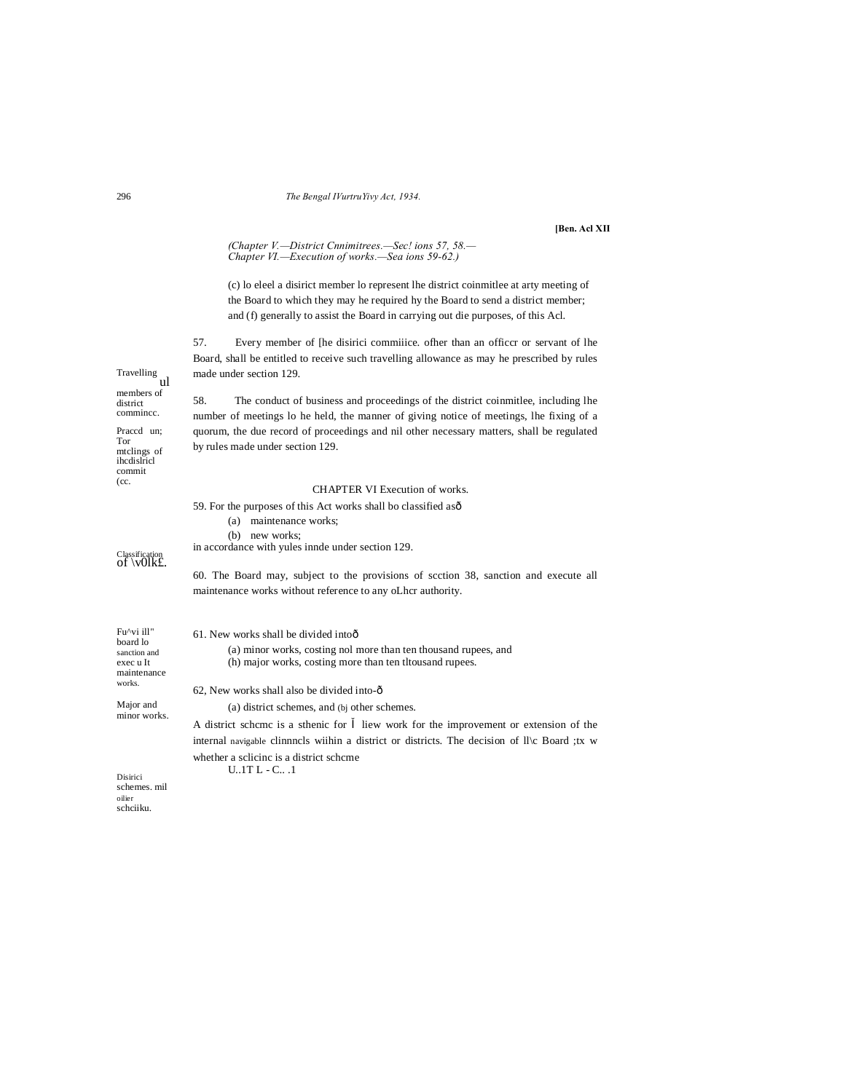#### The Bengal IVurtruYivy Act, 1934.

#### [Ben. Acl XII

#### (Chapter V.-District Cnnimitrees.-Sec! ions 57, 58.-Chapter VI.-Execution of works.-Sea ions 59-62.)

(c) lo eleel a disirict member lo represent lhe district coinmitlee at arty meeting of the Board to which they may he required hy the Board to send a district member; and (f) generally to assist the Board in carrying out die purposes, of this Acl.

57. Every member of [he disirici commiiice. ofher than an officer or servant of lhe Board, shall be entitled to receive such travelling allowance as may he prescribed by rules made under section 129.

58. The conduct of business and proceedings of the district coinmitlee, including lhe number of meetings lo he held, the manner of giving notice of meetings, lhe fixing of a quorum, the due record of proceedings and nil other necessary matters, shall be regulated by rules made under section 129.

## CHAPTER VI Execution of works.

internal navigable clinnnels wiihin a district or districts. The decision of II\c Board ;tx w

| 59. For the purposes of this Act works shall bo classified as $\delta$<br>maintenance works;<br>(a)<br>(b) new works;<br>in accordance with yules innde under section 129. |
|----------------------------------------------------------------------------------------------------------------------------------------------------------------------------|
| 60. The Board may, subject to the provisions of section 38, sanction and execute all<br>maintenance works without reference to any oLhcr authority.                        |
| 61. New works shall be divided intoot                                                                                                                                      |
| (a) minor works, costing nol more than ten thousand rupees, and<br>(h) major works, costing more than ten throusand rupees.                                                |
| 62, New works shall also be divided into-ô                                                                                                                                 |
| (a) district schemes, and (bj other schemes.                                                                                                                               |
| A district scheme is a sthenic for liew work for the improvement or extension of the                                                                                       |

whether a sclicinc is a district scheme  $U..1T L - C..\;.1$ 

Disirici<br>schemes. mil  $oiler$ schciiku.

296

Travelling<br>ul

members of

Praced un;

mtclings of ihedislricl commit<br>(cc.

Classification<br>Of \v01k£.

Fu^vi ill" board lo sanction and exec u It maintenance  ${\rm works.}$ Major and minor works.

district commince.

Tor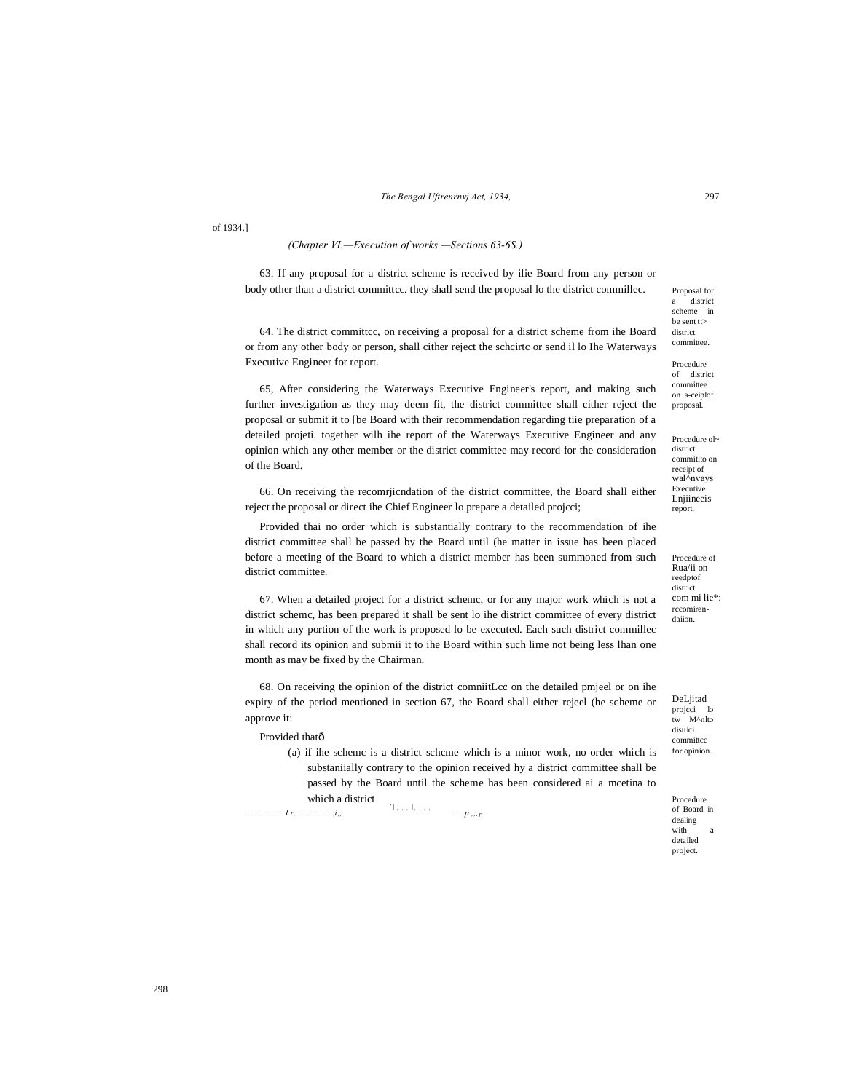of 1934.]

## *(Chapter VI.—Execution of works.—Sections 63-6S.)*

63. If any proposal for a district scheme is received by ilie Board from any person or body other than a district committcc. they shall send the proposal lo the district commillec.

64. The district committcc, on receiving a proposal for a district scheme from ihe Board or from any other body or person, shall cither reject the schcirtc or send il lo Ihe Waterways Executive Engineer for report.

65, After considering the Waterways Executive Engineer's report, and making such further investigation as they may deem fit, the district committee shall cither reject the proposal or submit it to [be Board with their recommendation regarding tiie preparation of a detailed projeti. together wilh ihe report of the Waterways Executive Engineer and any opinion which any other member or the district committee may record for the consideration of the Board.

66. On receiving the recomrjicndation of the district committee, the Board shall either reject the proposal or direct ihe Chief Engineer lo prepare a detailed projcci;

Provided thai no order which is substantially contrary to the recommendation of ihe district committee shall be passed by the Board until (he matter in issue has been placed before a meeting of the Board to which a district member has been summoned from such district committee.

67. When a detailed project for a district schemc, or for any major work which is not a district schemc, has been prepared it shall be sent lo ihe district committee of every district in which any portion of the work is proposed lo be executed. Each such district commillec shall record its opinion and submii it to ihe Board within such lime not being less lhan one month as may be fixed by the Chairman.

68. On receiving the opinion of the district comniitLcc on the detailed pmjeel or on ihe expiry of the period mentioned in section 67, the Board shall either rejeel (he scheme or approve it:

Provided thatô

 $T_{\cdot} \ldots I_{\cdot} \ldots$  . (a) if ihe schemc is a district schcme which is a minor work, no order which is substaniially contrary to the opinion received hy a district committee shall be passed by the Board until the scheme has been considered ai a mcetina to which a district

*..... ..............I r, ...................,i" .......p.;,,T*

Proposal for  $\int$  district scheme in be sent tt> district committee.

Procedure of district committee on a-ceiplof proposal.

Procedure ol~ district commitlto on receipt of wal^nvays Executive Lnjiineeis report.

Procedure of Rua/ii on reedptof district com mi lie\*: rccomirendaiion.

DeLjitad projcci tw M^nlto disuici committcc for opinion.

Procedure of Board in dealing with detailed project.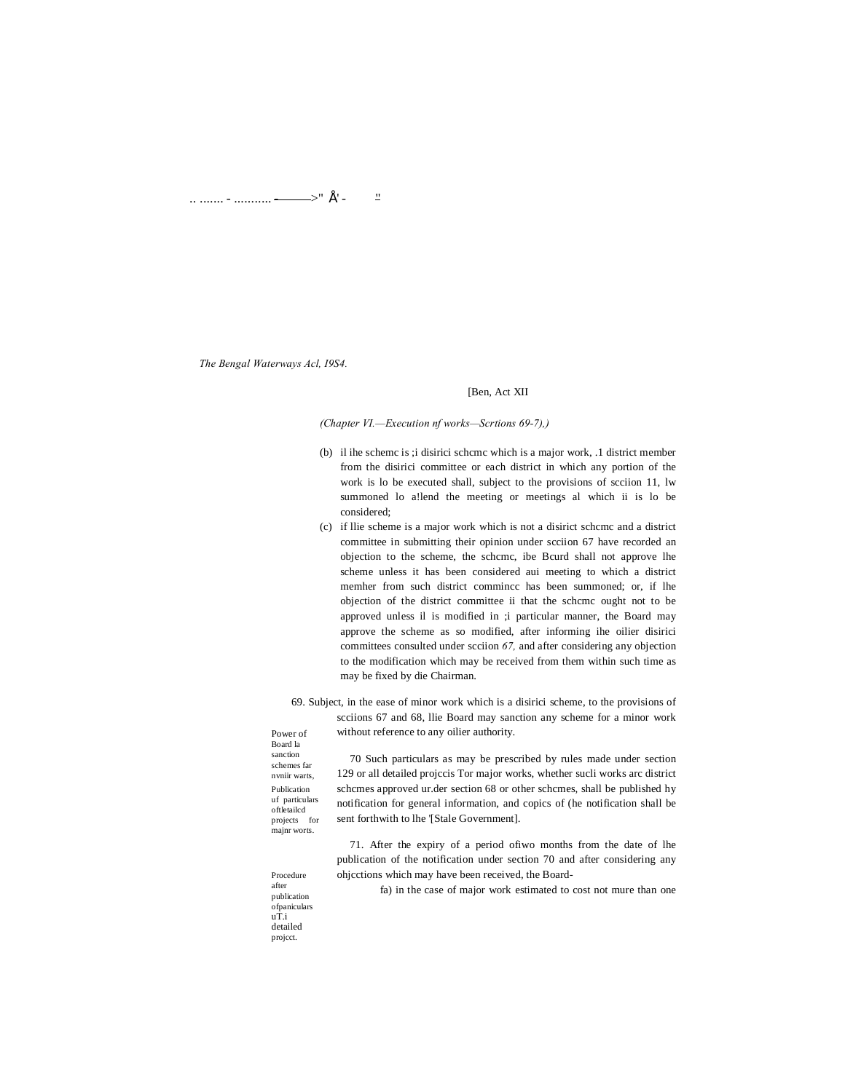.. ....... - ........... ------>" É' - $\frac{11}{2}$ 

The Bengal Waterways Acl, 19S4.

## [Ben, Act XII

(Chapter VI.-Execution nf works-Scrtions 69-7),)

- (b) il ihe scheme is ; i disirici scheme which is a major work, .1 district member from the disirici committee or each district in which any portion of the work is lo be executed shall, subject to the provisions of section 11, lw summoned lo allend the meeting or meetings al which ii is lo be considered;
- (c) if llie scheme is a major work which is not a disirict scheme and a district committee in submitting their opinion under scciion 67 have recorded an objection to the scheme, the scheme, ibe Beurd shall not approve lhe scheme unless it has been considered aui meeting to which a district member from such district commince has been summoned; or, if lhe objection of the district committee ii that the scheme ought not to be approved unless il is modified in ;i particular manner, the Board may approve the scheme as so modified, after informing ihe oilier disirici committees consulted under scciion  $67$ , and after considering any objection to the modification which may be received from them within such time as may be fixed by die Chairman.
- 69. Subject, in the ease of minor work which is a disirici scheme, to the provisions of seciions 67 and 68, llie Board may sanction any scheme for a minor work without reference to any oilier authority.

Power of Board la sanction schemes far nvniir warts, Publication uf particulars oftletailed projects for majnr worts.

70 Such particulars as may be prescribed by rules made under section 129 or all detailed projecis Tor major works, whether sucli works are district schcmes approved ur.der section 68 or other schcmes, shall be published hy notification for general information, and copics of (he notification shall be sent forthwith to lhe '[Stale Government].

71. After the expiry of a period of iwo months from the date of lhe publication of the notification under section 70 and after considering any ohjcctions which may have been received, the Board-

Procedure after<br>publication ofpaniculars  $\mathbf{u} \mathbf{\hat{T}}$ i detailed project.

fa) in the case of major work estimated to cost not mure than one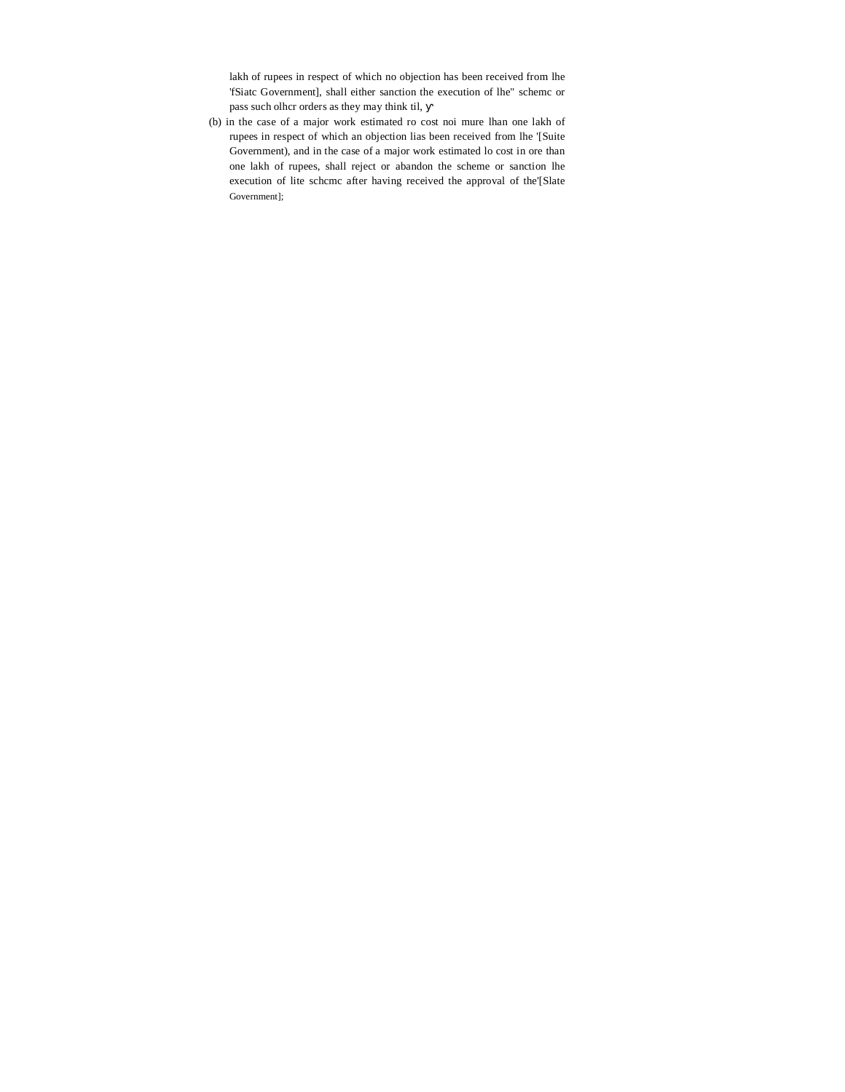lakh of rupees in respect of which no objection has been received from lhe 'fSiatc Government], shall either sanction the execution of lhe" schemc or pass such olhcr orders as they may think til,

(b) in the case of a major work estimated ro cost noi mure lhan one lakh of rupees in respect of which an objection lias been received from lhe '[Suite Government), and in the case of a major work estimated lo cost in ore than one lakh of rupees, shall reject or abandon the scheme or sanction lhe execution of lite schcmc after having received the approval of the'[Slate Government];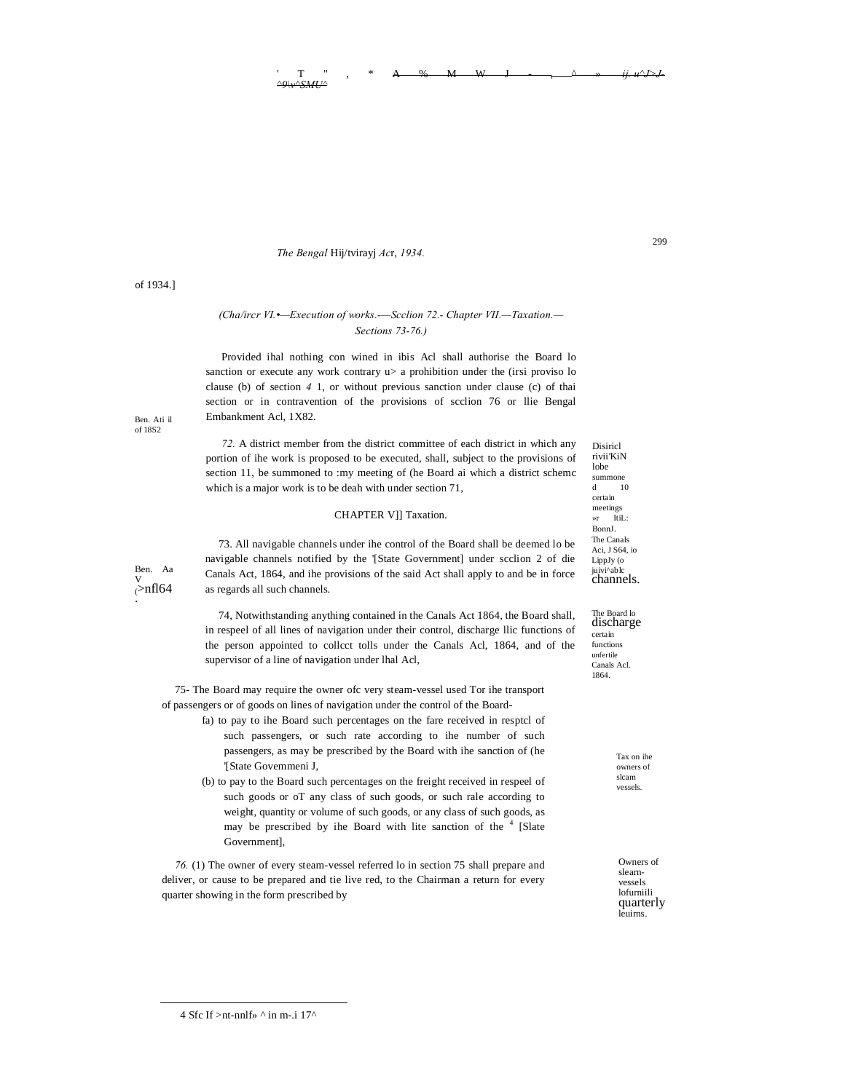#### $\begin{array}{ccccccccccccccccc}\n & T & " & , & * & A & \& & M & W & J & - & \& & & \& & & \& & & \end{array}$ *^9\v^SMU^*

#### *The Bengal* Hij/tvirayj *Ac*r, *1934.*

## *(Cha/ircr VI.•—Execution of works.-—Scclion 72.- Chapter VII.—Taxation.— Sections 73-76.)*

Provided ihal nothing con wined in ibis Acl shall authorise the Board lo sanction or execute any work contrary  $u$  a prohibition under the (irsi proviso lo clause (b) of section *4* 1, or without previous sanction under clause (c) of thai section or in contravention of the provisions of scclion 76 or llie Bengal Embankment Acl, 1X82.

*72.* A district member from the district committee of each district in which any portion of ihe work is proposed to be executed, shall, subject to the provisions of section 11, be summoned to :my meeting of (he Board ai which a district schemc which is a major work is to be deah with under section 71,

## CHAPTER V]] Taxation.

73. All navigable channels under ihe control of the Board shall be deemed lo be navigable channels notified by the '[State Government] under scclion 2 of die Canals Act, 1864, and ihe provisions of the said Act shall apply to and be in force as regards all such channels.

74, Notwithstanding anything contained in the Canals Act 1864, the Board shall, in respeel of all lines of navigation under their control, discharge llic functions of the person appointed to collcct tolls under the Canals Acl, 1864, and of the supervisor of a line of navigation under lhal Acl,

75- The Board may require the owner ofc very steam-vessel used Tor ihe transport of passengers or of goods on lines of navigation under the control of the Board-

- fa) to pay to ihe Board such percentages on the fare received in resptcl of such passengers, or such rate according to ihe number of such passengers, as may be prescribed by the Board with ihe sanction of (he '[State Govemmeni J,
- (b) to pay to the Board such percentages on the freight received in respeel of such goods or oT any class of such goods, or such rale according to weight, quantity or volume of such goods, or any class of such goods, as may be prescribed by ihe Board with lite sanction of the  $4$  [Slate Government],

*76.* (1) The owner of every steam-vessel referred lo in section 75 shall prepare and deliver, or cause to be prepared and tie live red, to the Chairman a return for every quarter showing in the form prescribed by

lobe summone d 10 certain meetings »r ItiL: BonnJ. The Canals Aci, J S64, io LippJy (o juivi^ablc channels.

Disiricl rivii'KiN 299

The Board lo discharge certain functions unfertile Canals Acl. 1864.

> Tax on ihe owners of slcam vessels.

Owners of slearnvessels lofurniili quarterly leuirns.

Ben. Ati il of 18S2

of 1934.]

Ben. Aa v<br><sub>(</sub>>nfl64<br>.

4 Sfc If > nt-nnlf>  $\land$  in m-.i 17 $\land$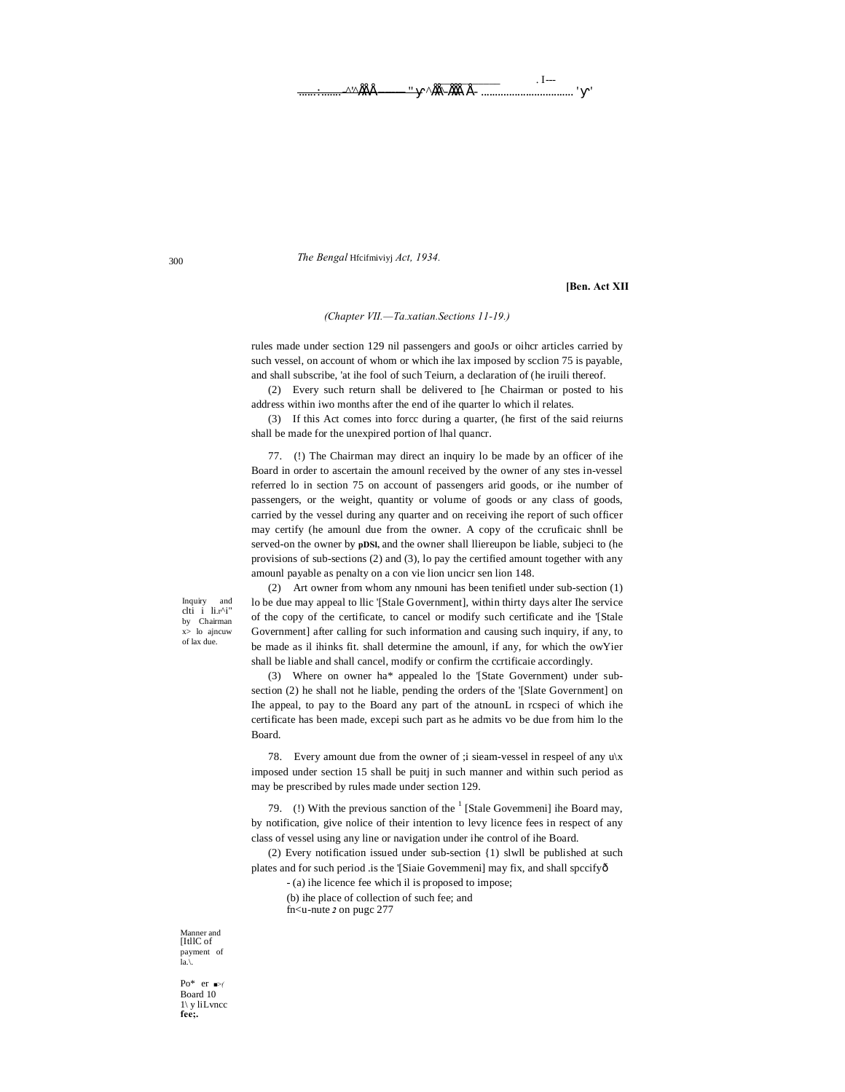$I -$ ^<del>的面</del>的一 <u>A'AÉÉ</u>

The Bengal Hfcifmiviyj Act, 1934.

[Ben. Act XII

## (Chapter VII.-Ta.xatian.Sections 11-19.)

rules made under section 129 nil passengers and gooJs or oiher articles carried by such vessel, on account of whom or which ihe lax imposed by scclion 75 is payable, and shall subscribe, 'at ihe fool of such Teiurn, a declaration of (he iruili thereof.

(2) Every such return shall be delivered to [he Chairman or posted to his address within iwo months after the end of ihe quarter lo which il relates.

(3) If this Act comes into force during a quarter, (he first of the said reiurns shall be made for the unexpired portion of lhal quancr.

77. (!) The Chairman may direct an inquiry lo be made by an officer of ihe Board in order to ascertain the amounl received by the owner of any stes in-vessel referred lo in section 75 on account of passengers arid goods, or ihe number of passengers, or the weight, quantity or volume of goods or any class of goods, carried by the vessel during any quarter and on receiving ihe report of such officer may certify (he amounl due from the owner. A copy of the ccruficaic shnll be served-on the owner by pDSI, and the owner shall lliereupon be liable, subjeci to (he provisions of sub-sections (2) and (3), lo pay the certified amount together with any amounl payable as penalty on a con vie lion uncicr sen lion 148.

Inquiry and<br>clti i li.r^i" by Chairman<br> $x > 10$  ajncuw of lax due.

(2) Art owner from whom any nmouni has been tenifietl under sub-section (1) lo be due may appeal to llic '[Stale Government], within thirty days alter Ihe service of the copy of the certificate, to cancel or modify such certificate and ihe '[Stale Government] after calling for such information and causing such inquiry, if any, to be made as il ihinks fit. shall determine the amounl, if any, for which the owYier shall be liable and shall cancel, modify or confirm the ccrtificaie accordingly.

(3) Where on owner ha\* appealed lo the '[State Government) under subsection (2) he shall not he liable, pending the orders of the '[Slate Government] on Ihe appeal, to pay to the Board any part of the atnounL in rcspeci of which ihe certificate has been made, excepi such part as he admits vo be due from him lo the Board.

78. Every amount due from the owner of ; i sieam-vessel in respeel of any  $u \mid x$ imposed under section 15 shall be puitj in such manner and within such period as may be prescribed by rules made under section 129.

79. (!) With the previous sanction of the  $<sup>1</sup>$  [Stale Governmeni] ihe Board may,</sup> by notification, give nolice of their intention to levy licence fees in respect of any class of vessel using any line or navigation under ihe control of ihe Board.

(2) Every notification issued under sub-section  $\{1\}$  slwll be published at such plates and for such period .is the '[Siaie Govemmeni] may fix, and shall spccifyô

- (a) ihe licence fee which il is proposed to impose; (b) ihe place of collection of such fee; and fn<u-nute 2 on pugc 277

Manner and [ItllC of] payment of<br>la.\.

Po\* er  $\blacktriangleright$ Board 10  $1\backslash$  y liLvncc fee:

300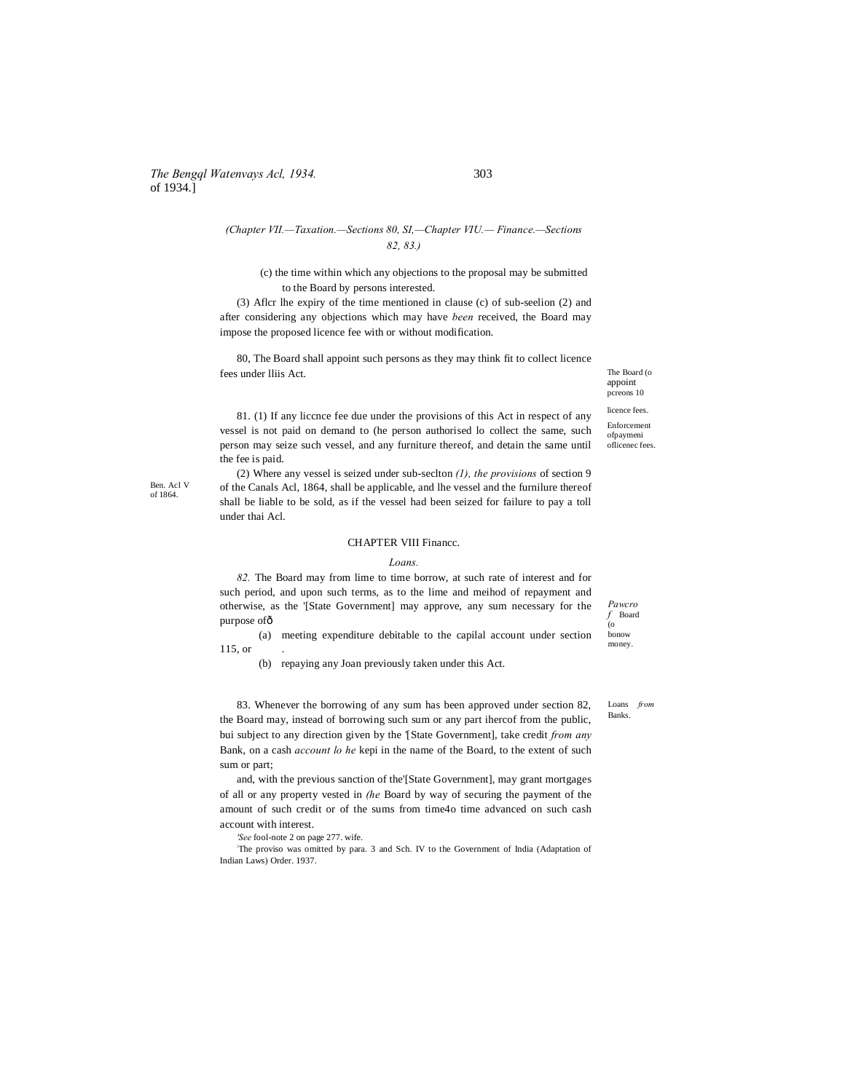## *The Bengql Watenvays Acl, 1934.* 303 of 1934.]

## *(Chapter VII.—Taxation.—Sections 80, SI,—Chapter VIU.— Finance.—Sections 82, 83.)*

(c) the time within which any objections to the proposal may be submitted to the Board by persons interested.

(3) Aflcr lhe expiry of the time mentioned in clause (c) of sub-seelion (2) and after considering any objections which may have *been* received, the Board may impose the proposed licence fee with or without modification.

80, The Board shall appoint such persons as they may think fit to collect licence fees under lliis Act.

The Board (o appoint pcreons 10 licence fees.

Enforcement ofpaymeni oflicenec fees.

81. (1) If any liccnce fee due under the provisions of this Act in respect of any vessel is not paid on demand to (he person authorised lo collect the same, such person may seize such vessel, and any furniture thereof, and detain the same until the fee is paid.

(2) Where any vessel is seized under sub-seclton *(1), the provisions* of section 9 of the Canals Acl, 1864, shall be applicable, and lhe vessel and the furnilure thereof shall be liable to be sold, as if the vessel had been seized for failure to pay a toll under thai Acl.

#### CHAPTER VIII Financc.

#### *Loans.*

*82.* The Board may from lime to time borrow, at such rate of interest and for such period, and upon such terms, as to the lime and meihod of repayment and otherwise, as the '[State Government] may approve, any sum necessary for the purpose ofô

(a) meeting expenditure debitable to the capilal account under section 115, or .

(b) repaying any Joan previously taken under this Act.

83. Whenever the borrowing of any sum has been approved under section 82, the Board may, instead of borrowing such sum or any part ihercof from the public, bui subject to any direction given by the '[State Government], take credit *from any* Bank, on a cash *account lo he* kepi in the name of the Board, to the extent of such sum or part;

and, with the previous sanction of the'[State Government], may grant mortgages of all or any property vested in *(he* Board by way of securing the payment of the amount of such credit or of the sums from time4o time advanced on such cash account with interest.

*'See* fool-note 2 on page 277. wife.

: The proviso was omitted by para. 3 and Sch. IV to the Government of India (Adaptation of Indian Laws) Order. 1937.

bonow money.

*Pawcro f* Board (o

Loans *from*  Banks.

Ben. Acl V of 1864.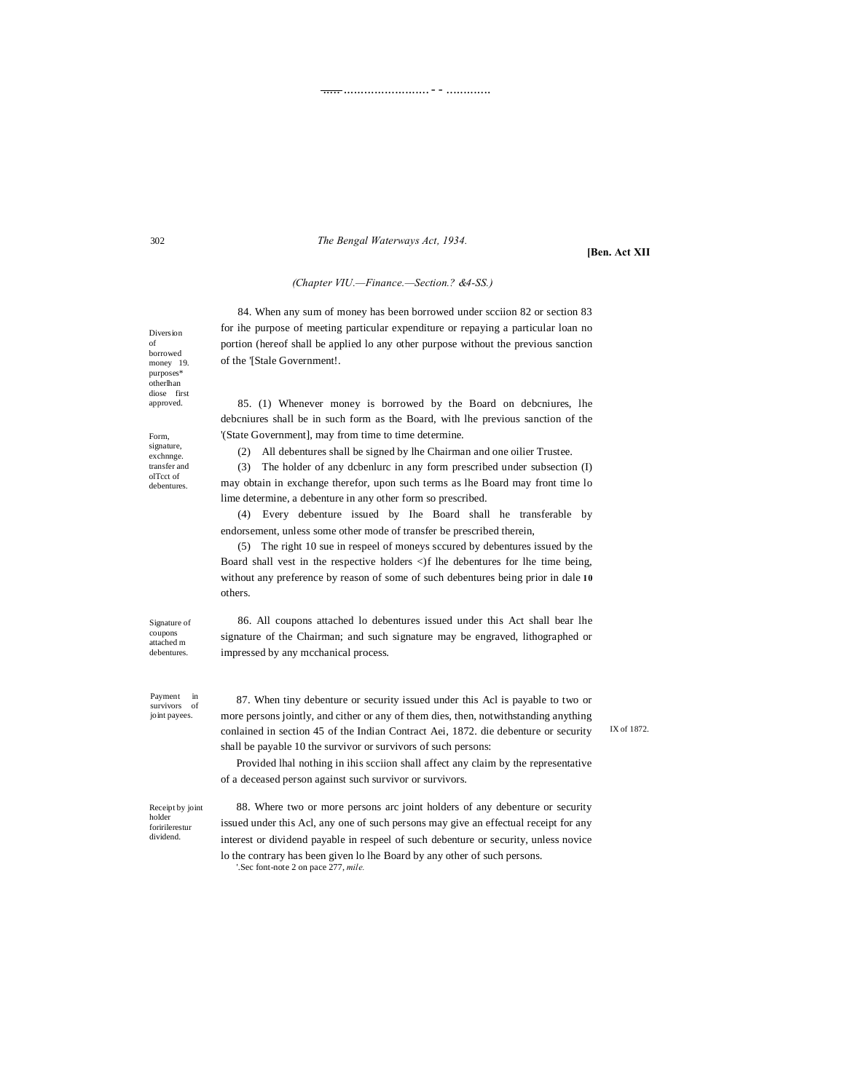The Bengal Waterways Act, 1934.

[Ben. Act XII

## (Chapter VIU.-Finance.-Section.? &4-SS.)

84. When any sum of money has been borrowed under scciion 82 or section 83 for ihe purpose of meeting particular expenditure or repaying a particular loan no portion (hereof shall be applied lo any other purpose without the previous sanction of the '[Stale Government!.

85. (1) Whenever money is borrowed by the Board on debeniures, lhe debeniures shall be in such form as the Board, with lhe previous sanction of the '(State Government], may from time to time determine.

(2) All debentures shall be signed by lhe Chairman and one oilier Trustee.

(3) The holder of any dcbenlurc in any form prescribed under subsection (I) may obtain in exchange therefor, upon such terms as lhe Board may front time lo lime determine, a debenture in any other form so prescribed.

(4) Every debenture issued by Ihe Board shall he transferable by endorsement, unless some other mode of transfer be prescribed therein,

(5) The right 10 sue in respect of moneys sccured by debentures issued by the Board shall vest in the respective holders <)f lhe debentures for lhe time being, without any preference by reason of some of such debentures being prior in dale 10 others.

Signature of coupons attached m debentures

86. All coupons attached lo debentures issued under this Act shall bear lhe signature of the Chairman; and such signature may be engraved, lithographed or impressed by any mcchanical process.

Payment  $\cdot$  in survivors of joint payees.

87. When tiny debenture or security issued under this Acl is payable to two or more persons jointly, and cither or any of them dies, then, notwithstanding anything conlained in section 45 of the Indian Contract Aei, 1872. die debenture or security shall be payable 10 the survivor or survivors of such persons:

Provided lhal nothing in ihis scciion shall affect any claim by the representative of a deceased person against such survivor or survivors.

Receipt by joint holder foririlerestur dividend.

88. Where two or more persons arc joint holders of any debenture or security issued under this Acl, any one of such persons may give an effectual receipt for any interest or dividend payable in respeel of such debenture or security, unless novice lo the contrary has been given lo lhe Board by any other of such persons.

Sec font-note 2 on pace 277, mile.

Diversion of borrowed money 19. purposes\*<br>otherlhan diose first approved.

Form, signature, exchnnge. transfer and ol<br/>T<br/>cct of  $% \left\vert \left( \mathcal{A},\mathcal{A}\right) \right\vert$ debentures

IX of 1872.

 $302$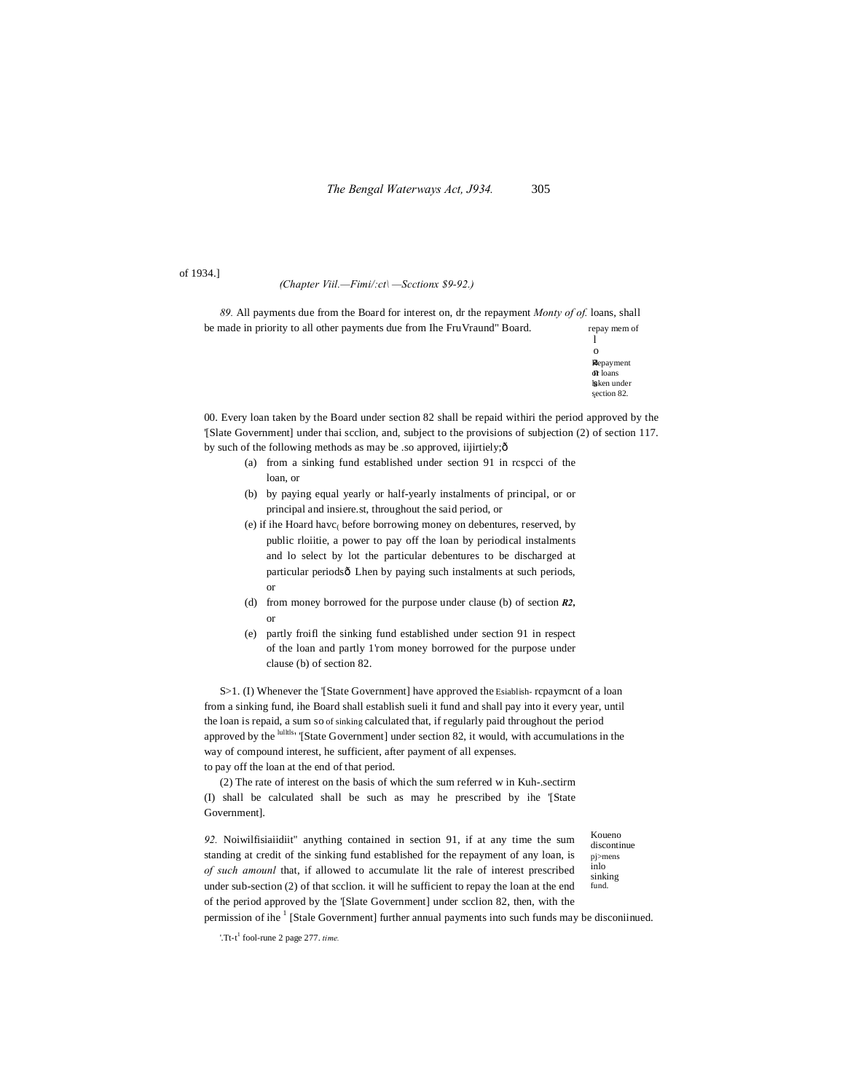of 1934.]

#### *(Chapter Viil.—Fimi/:ct\ —Scctionx \$9-92.)*

*89.* All payments due from the Board for interest on, dr the repayment *Monty of of.* loans, shall be made in priority to all other payments due from Ihe Fru Vraund" Board. repay mem of

**R**epayment or loans n läken under section 82. . l o

00. Every loan taken by the Board under section 82 shall be repaid withiri the period approved by the '[Slate Government] under thai scclion, and, subject to the provisions of subjection (2) of section 117. by such of the following methods as may be .so approved, iijirtiely; $\hat{o}$ 

- (a) from a sinking fund established under section 91 in rcspcci of the loan, or
- (b) by paying equal yearly or half-yearly instalments of principal, or or principal and insiere.st, throughout the said period, or
- (e) if ihe Hoard havc( before borrowing money on debentures, reserved, by public rloiitie, a power to pay off the loan by periodical instalments and lo select by lot the particular debentures to be discharged at particular periodsô Lhen by paying such instalments at such periods, or
- (d) from money borrowed for the purpose under clause (b) of section *R2,* or
- (e) partly froifl the sinking fund established under section 91 in respect of the loan and partly 1'rom money borrowed for the purpose under clause (b) of section 82.

S>1. (I) Whenever the '[State Government] have approved the Esiablish- rcpaymcnt of a loan from a sinking fund, ihe Board shall establish sueli it fund and shall pay into it every year, until the loan is repaid, a sum so of sinking calculated that, if regularly paid throughout the period approved by the lullils' '[State Government] under section 82, it would, with accumulations in the way of compound interest, he sufficient, after payment of all expenses. to pay off the loan at the end of that period.

(2) The rate of interest on the basis of which the sum referred w in Kuh-.sectirm (I) shall be calculated shall be such as may he prescribed by ihe '[State Government].

*92.* Noiwilfisiaiidiit" anything contained in section 91, if at any time the sum standing at credit of the sinking fund established for the repayment of any loan, is *of such amounl* that, if allowed to accumulate lit the rale of interest prescribed under sub-section (2) of that scclion. it will he sufficient to repay the loan at the end of the period approved by the '[Slate Government] under scclion 82, then, with the permission of ihe <sup>1</sup> [Stale Government] further annual payments into such funds may be disconiinued.

Koueno discontinue pj>mens inlo sinking fund.

'.Tt-t <sup>1</sup> fool-rune 2 page 277. *time.*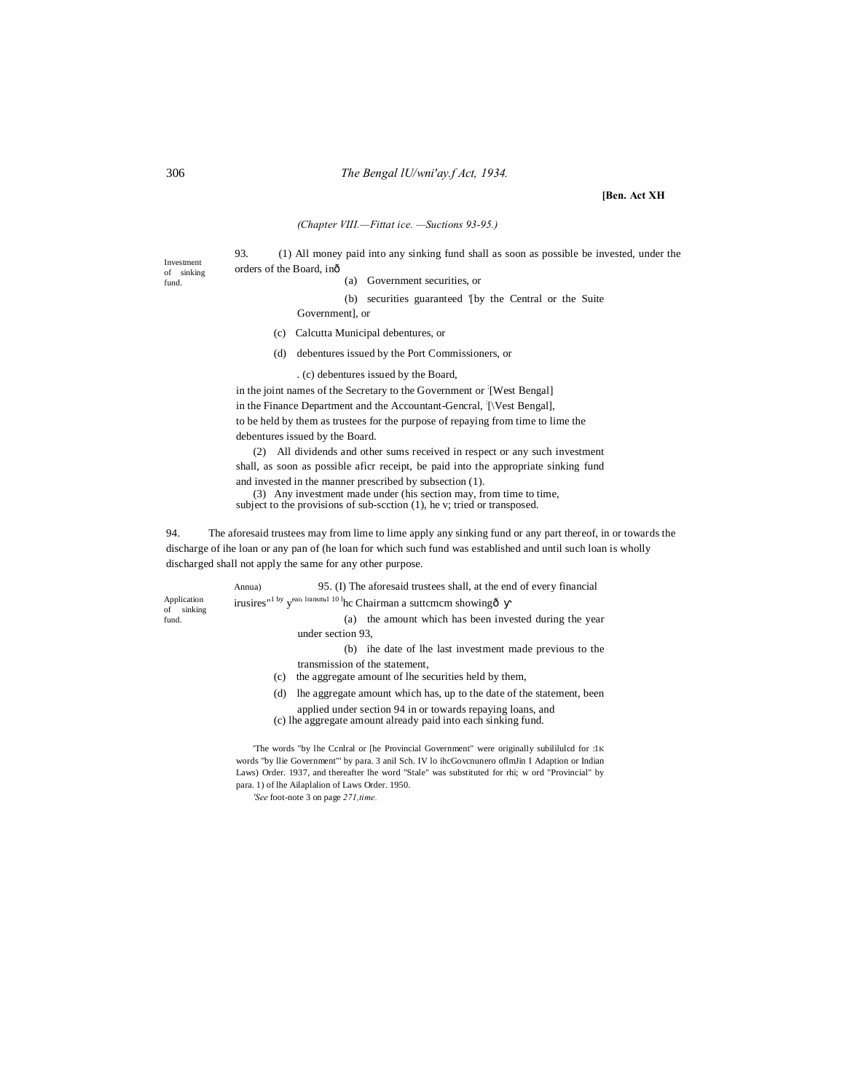## 306 *The Bengal lU/wni'ay.f Act, 1934.*

### **[Ben. Act XH**

## *(Chapter VIII.—Fittat ice. —Suctions 93-95.)*

93. (1) All money paid into any sinking fund shall as soon as possible be invested, under the orders of the Board, in—

(a) Government securities, or

(b) securities guaranteed '[by the Central or the Suite

- Government], or
- (c) Calcutta Municipal debentures, or
- (d) debentures issued by the Port Commissioners, or
	- . (c) debentures issued by the Board,

in the joint names of the Secretary to the Government or [West Bengal] in the Finance Department and the Accountant-Gencral, [Vest Bengal], to be held by them as trustees for the purpose of repaying from time to lime the debentures issued by the Board.

(2) All dividends and other sums received in respect or any such investment shall, as soon as possible aficr receipt, be paid into the appropriate sinking fund and invested in the manner prescribed by subsection (1).

(3) Any investment made under (his section may, from time to time, subject to the provisions of sub-scction (1), he v; tried or transposed.

94. The aforesaid trustees may from lime to lime apply any sinking fund or any part thereof, in or towards the discharge of ihe loan or any pan of (he loan for which such fund was established and until such loan is wholly discharged shall not apply the same for any other purpose.

|                              | Annua) | 95. (I) The aforesaid trustees shall, at the end of every financial                                          |
|------------------------------|--------|--------------------------------------------------------------------------------------------------------------|
| Application<br>sinking<br>of |        | irusires" <sup>1</sup> by y <sup>ear, Iransm<sub>1</sub> 10<sup>1</sup>hc Chairman a suttemem showingô</sup> |
| fund.                        |        | the amount which has been invested during the year<br>(a)                                                    |
|                              |        | under section 93.                                                                                            |
|                              |        | ihe date of the last investment made previous to the<br>(b)                                                  |
|                              |        | transmission of the statement,                                                                               |
|                              | (c)    | the aggregate amount of lhe securities held by them,                                                         |
|                              | (d)    | The aggregate amount which has, up to the date of the statement, been                                        |
|                              |        | applied under section 94 in or towards repaying loans, and                                                   |
|                              |        |                                                                                                              |

(c) lhe aggregate amount already paid into each sinking fund.

'The words "by lhe Ccnlral or [he Provincial Government" were originally subililulcd for :1K words "by llie Government"' by para. 3 anil Sch. IV lo ihcGovcnunero oflmJin I Adaption or Indian Laws) Order. 1937, and thereafter lhe word "Stale" was substituted for rhi; w ord "Provincial" by para. 1) of lhe Ailaplalion of Laws Order. 1950.

*'See* foot-note 3 on page *271,time.*

Investment of sinking fund.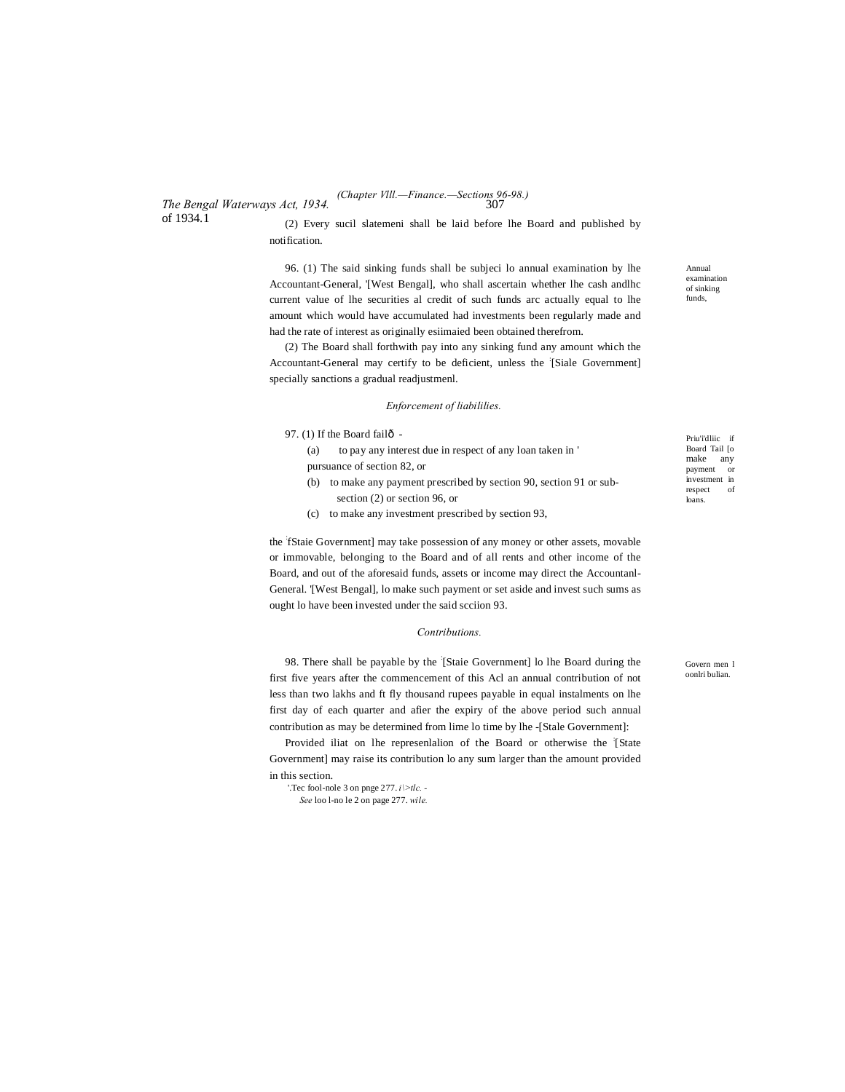*The Bengal Waterways Act, 1934.* of 1934.1

(2) Every sucil slatemeni shall be laid before lhe Board and published by notification.

96. (1) The said sinking funds shall be subjeci lo annual examination by lhe Accountant-General, '[West Bengal], who shall ascertain whether lhe cash andlhc current value of lhe securities al credit of such funds arc actually equal to lhe amount which would have accumulated had investments been regularly made and had the rate of interest as originally esiimaied been obtained therefrom.

(2) The Board shall forthwith pay into any sinking fund any amount which the Accountant-General may certify to be deficient, unless the [Siale Government] specially sanctions a gradual readjustmenl.

#### *Enforcement of liabililies.*

97. (1) If the Board fail $\hat{0}$  -

(a) to pay any interest due in respect of any loan taken in ' pursuance of section 82, or

- (b) to make any payment prescribed by section 90, section 91 or subsection (2) or section 96, or
- (c) to make any investment prescribed by section 93,

the : fStaie Government] may take possession of any money or other assets, movable or immovable, belonging to the Board and of all rents and other income of the Board, and out of the aforesaid funds, assets or income may direct the Accountanl-General. '[West Bengal], lo make such payment or set aside and invest such sums as ought lo have been invested under the said scciion 93.

#### *Contributions.*

98. There shall be payable by the : [Staie Government] lo lhe Board during the first five years after the commencement of this Acl an annual contribution of not less than two lakhs and ft fly thousand rupees payable in equal instalments on lhe first day of each quarter and afier the expiry of the above period such annual contribution as may be determined from lime lo time by lhe -[Stale Government]:

Provided iliat on lhe representalion of the Board or otherwise the [State Government] may raise its contribution lo any sum larger than the amount provided in this section.

'.Tec fool-nole 3 on pnge 277. *i\>tlc. -*

*See* loo l-no le 2 on page 277. *wile.*

Annual examination of sinking funds,

Priu'i'dliic if Board Tail [o make any payment or investment in<br>respect of  $respect$ loans.

Govern men l oonlri bulian.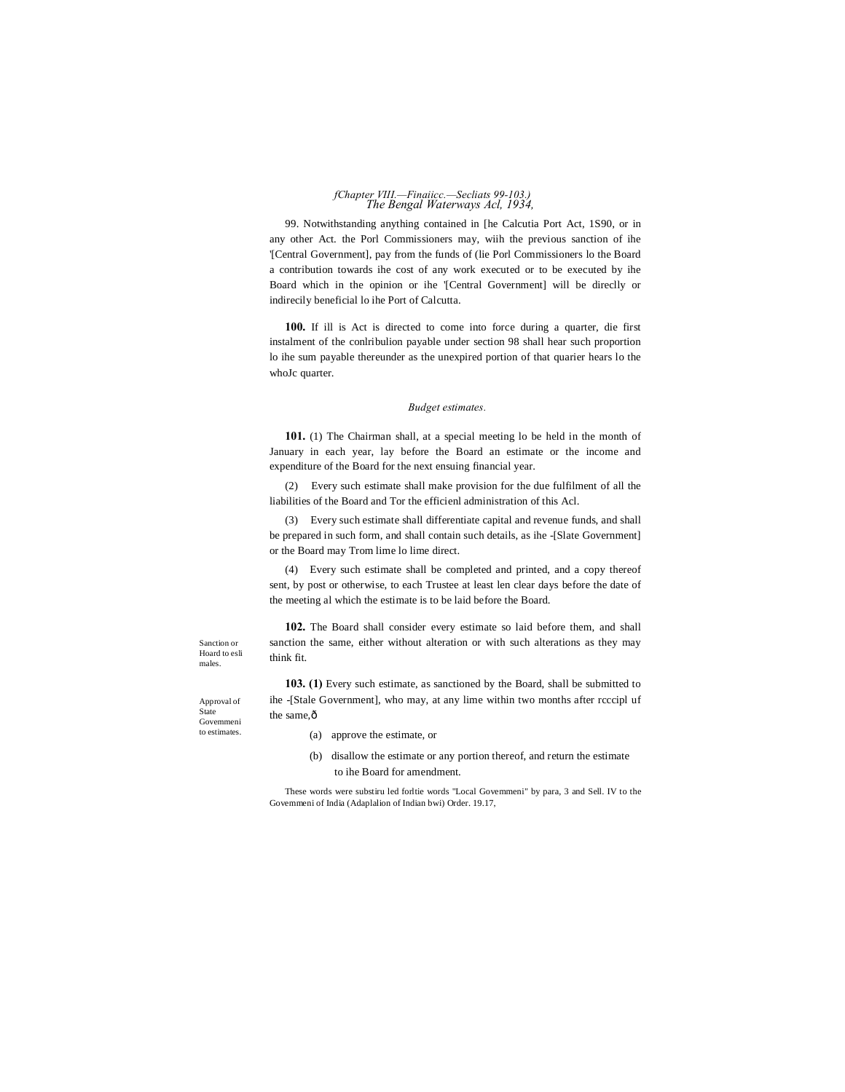## *The Bengal Waterways Acl, 1934, fChapter VIII.—Finaiicc.—Secliats 99-103.)*

99. Notwithstanding anything contained in [he Calcutia Port Act, 1S90, or in any other Act. the Porl Commissioners may, wiih the previous sanction of ihe '[Central Government], pay from the funds of (lie Porl Commissioners lo the Board a contribution towards ihe cost of any work executed or to be executed by ihe Board which in the opinion or ihe '[Central Government] will be direclly or indirecily beneficial lo ihe Port of Calcutta.

**100.** If ill is Act is directed to come into force during a quarter, die first instalment of the conlribulion payable under section 98 shall hear such proportion lo ihe sum payable thereunder as the unexpired portion of that quarier hears lo the whoJc quarter.

## *Budget estimates.*

**101.** (1) The Chairman shall, at a special meeting lo be held in the month of January in each year, lay before the Board an estimate or the income and expenditure of the Board for the next ensuing financial year.

(2) Every such estimate shall make provision for the due fulfilment of all the liabilities of the Board and Tor the efficienl administration of this Acl.

(3) Every such estimate shall differentiate capital and revenue funds, and shall be prepared in such form, and shall contain such details, as ihe -[Slate Government] or the Board may Trom lime lo lime direct.

(4) Every such estimate shall be completed and printed, and a copy thereof sent, by post or otherwise, to each Trustee at least len clear days before the date of the meeting al which the estimate is to be laid before the Board.

**102.** The Board shall consider every estimate so laid before them, and shall sanction the same, either without alteration or with such alterations as they may think fit.

Sanction or Hoard to esli males.

Approval of State Govemmeni to estimates.

- **103. (1)** Every such estimate, as sanctioned by the Board, shall be submitted to ihe -[Stale Government], who may, at any lime within two months after rcccipl uf the same, $\hat{0}$ 
	- (a) approve the estimate, or
	- (b) disallow the estimate or any portion thereof, and return the estimate to ihe Board for amendment.

These words were substiru led forltie words "Local Govemmeni" by para, 3 and Sell. IV to the Govemmeni of India (Adaplalion of Indian bwi) Order. 19.17,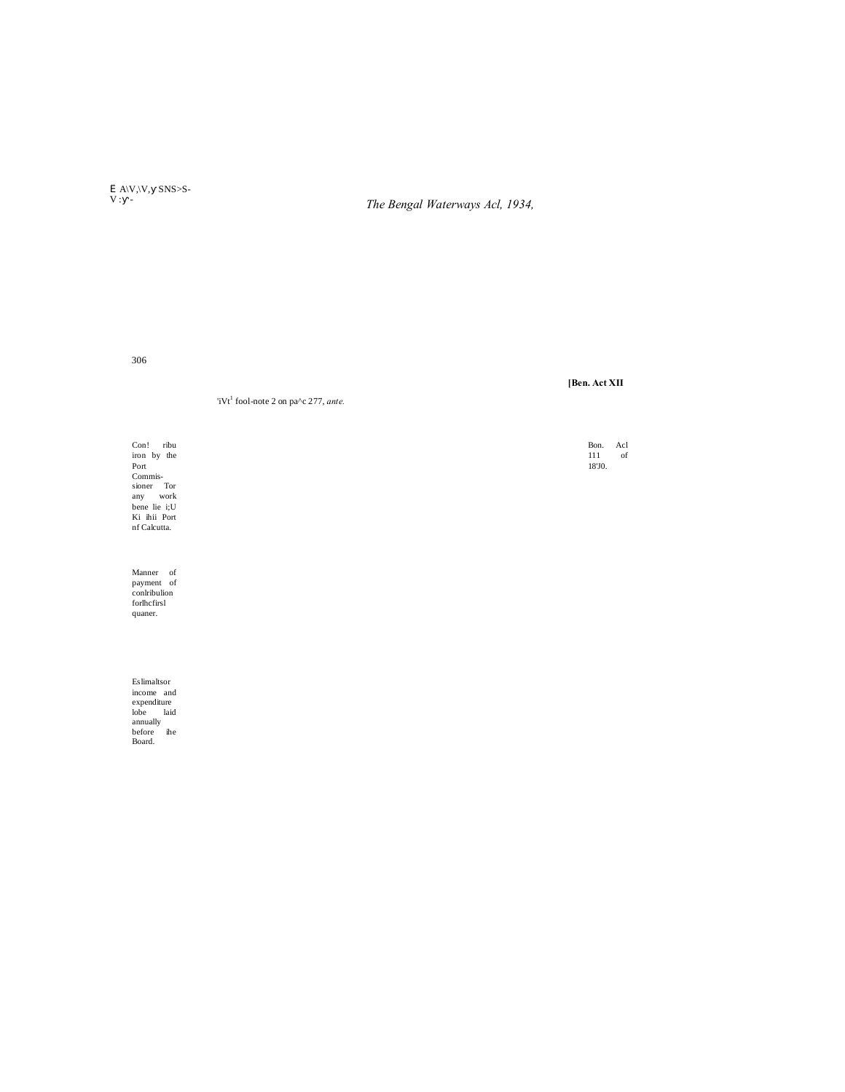$\label{eq:2.1} \begin{array}{ccc} \tilde{I} & A \backslash V, \backslash V, & SNS{>}S \\ V: & - \end{array}$ 

The Bengal Waterways Acl, 1934,

306

'iVt<sup>1</sup> fool-note 2 on pa^c 277, ante.

Con! ribu<br>
iron by the<br>
Port<br>
Commis-<br>
sioner Tor<br>
any work<br>
bene lie i;U<br>
Ki ihii Port<br>
nf Calcutta.

Manner of<br>payment of<br>conlribulion<br>forlhcfirsl quaner.

Eslimaltsor Eslimaltsor<br>income and<br>expenditure<br>lobe laid<br>annually<br>before ihe<br>Board. [Ben. Act XII

Bon. Acl вон.<br>111<br>18'J0.  $% \left( \left( \mathcal{A},\mathcal{A}\right) \right)$  of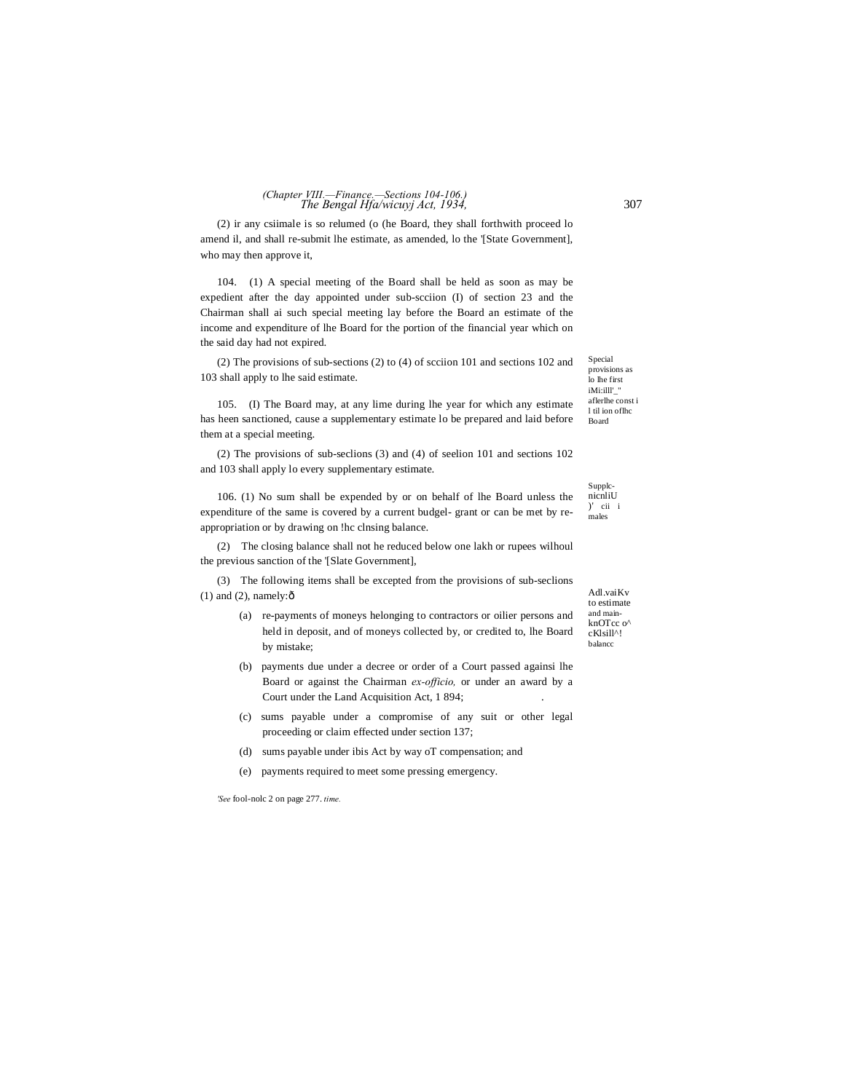### *The Bengal Hfa/wicuyj Act, 1934,* 307 *(Chapter VIII.—Finance.—Sections 104-106.)*

(2) ir any csiimale is so relumed (o (he Board, they shall forthwith proceed lo amend il, and shall re-submit lhe estimate, as amended, lo the '[State Government], who may then approve it,

104. (1) A special meeting of the Board shall be held as soon as may be expedient after the day appointed under sub-scciion (I) of section 23 and the Chairman shall ai such special meeting lay before the Board an estimate of the income and expenditure of lhe Board for the portion of the financial year which on the said day had not expired.

(2) The provisions of sub-sections (2) to (4) of scciion 101 and sections 102 and 103 shall apply to lhe said estimate.

105. (I) The Board may, at any lime during lhe year for which any estimate has heen sanctioned, cause a supplementary estimate lo be prepared and laid before them at a special meeting.

(2) The provisions of sub-seclions (3) and (4) of seelion 101 and sections 102 and 103 shall apply lo every supplementary estimate.

106. (1) No sum shall be expended by or on behalf of lhe Board unless the expenditure of the same is covered by a current budgel- grant or can be met by reappropriation or by drawing on !hc clnsing balance.

(2) The closing balance shall not he reduced below one lakh or rupees wilhoul the previous sanction of the '[Slate Government],

(3) The following items shall be excepted from the provisions of sub-seclions  $(1)$  and  $(2)$ , namely: $\hat{o}$ 

- (a) re-payments of moneys helonging to contractors or oilier persons and held in deposit, and of moneys collected by, or credited to, lhe Board by mistake;
- (b) payments due under a decree or order of a Court passed againsi lhe Board or against the Chairman *ex-officio,* or under an award by a Court under the Land Acquisition Act, 1 894;
- (c) sums payable under a compromise of any suit or other legal proceeding or claim effected under section 137;
- (d) sums payable under ibis Act by way oT compensation; and
- (e) payments required to meet some pressing emergency.

*'See* fool-nolc 2 on page 277. *time.*

Adl.vaiKv to estimate and mainknOTcc o<sup>^</sup> cKlsill^! balancc

SupplcnicnliU

)' cii i males

Special provisions as lo lhe first iMi:illl'\_" aflerlhe const i l til ion oflhc Board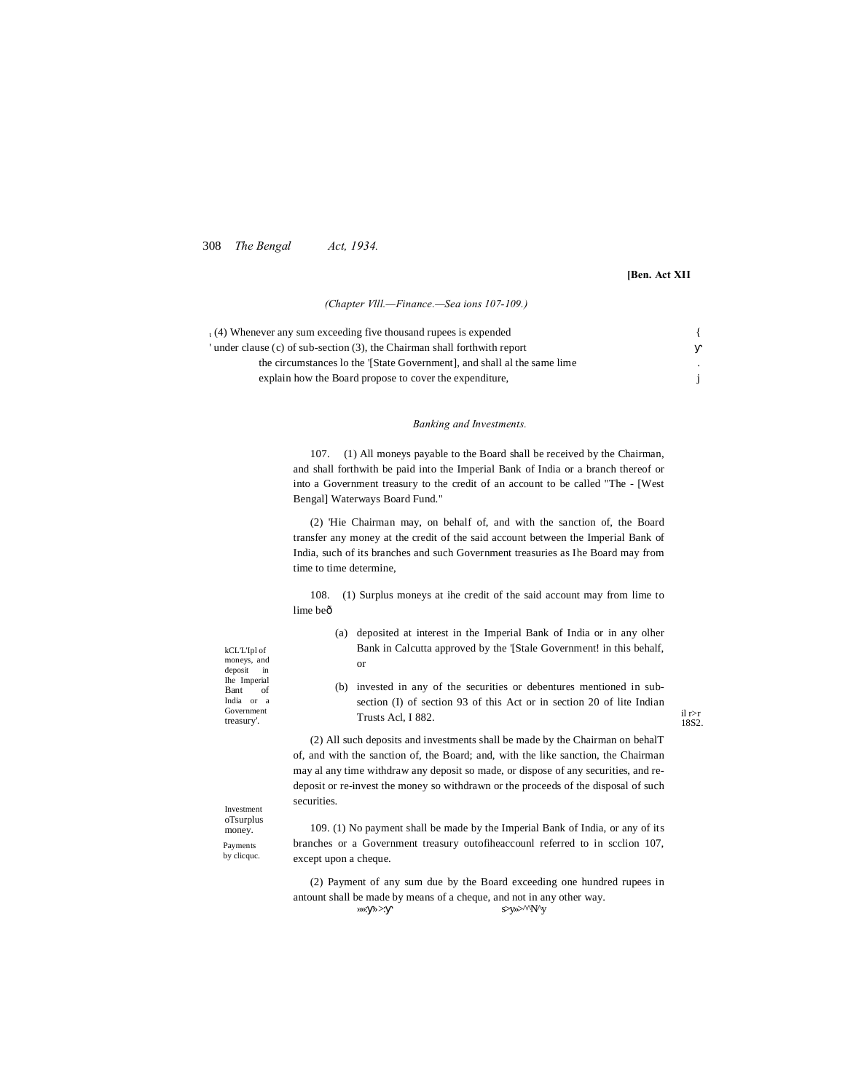308 *The Bengal Act, 1934.*

## **[Ben. Act XII**

*(Chapter Vlll.—Finance.—Sea ions 107-109.)*

| $_{1}$ (4) Whenever any sum exceeding five thousand rupees is expended    |  |
|---------------------------------------------------------------------------|--|
| under clause (c) of sub-section (3), the Chairman shall forthwith report  |  |
| the circumstances to the '[State Government], and shall all the same lime |  |
| explain how the Board propose to cover the expenditure.                   |  |

## *Banking and Investments.*

107. (1) All moneys payable to the Board shall be received by the Chairman, and shall forthwith be paid into the Imperial Bank of India or a branch thereof or into a Government treasury to the credit of an account to be called "The - [West Bengal] Waterways Board Fund."

(2) 'Hie Chairman may, on behalf of, and with the sanction of, the Board transfer any money at the credit of the said account between the Imperial Bank of India, such of its branches and such Government treasuries as Ihe Board may from time to time determine,

108. (1) Surplus moneys at ihe credit of the said account may from lime to lime beô

| kCL'L'Ipl of |  |    |  |
|--------------|--|----|--|
| moneys, and  |  |    |  |
| deposit      |  | in |  |
| Ihe Imperial |  |    |  |
| Bant         |  | of |  |
| India or a   |  |    |  |
| Government   |  |    |  |
| treasury'.   |  |    |  |

Bank in Calcutta approved by the '[Stale Government! in this behalf, or (b) invested in any of the securities or debentures mentioned in subsection (I) of section 93 of this Act or in section 20 of lite Indian

(a) deposited at interest in the Imperial Bank of India or in any olher

il r>r 18S2.

(2) All such deposits and investments shall be made by the Chairman on behalT of, and with the sanction of, the Board; and, with the like sanction, the Chairman may al any time withdraw any deposit so made, or dispose of any securities, and redeposit or re-invest the money so withdrawn or the proceeds of the disposal of such securities.

Investment oTsurplus money. Payments by clicque.

109. (1) No payment shall be made by the Imperial Bank of India, or any of its branches or a Government treasury outofiheaccounl referred to in scclion 107, except upon a cheque.

(2) Payment of any sum due by the Board exceeding one hundred rupees in antount shall be made by means of a cheque, and not in any other way. »»: » >: s>y»>^^N^y

Trusts Acl, I 882.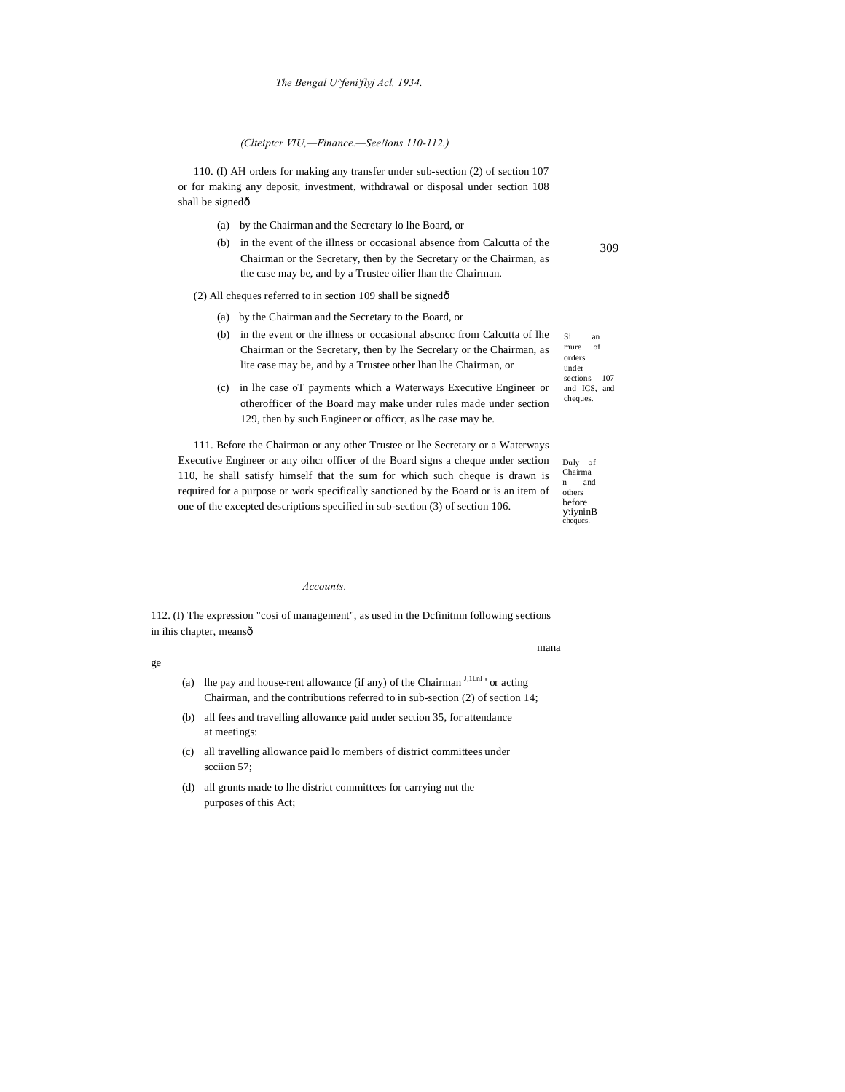*(Clteiptcr VIU,—Finance.—See!ions 110-112.)*

110. (I) AH orders for making any transfer under sub-section (2) of section 107 or for making any deposit, investment, withdrawal or disposal under section 108 shall be signedô

- (a) by the Chairman and the Secretary lo lhe Board, or
- (b) in the event of the illness or occasional absence from Calcutta of the Chairman or the Secretary, then by the Secretary or the Chairman, as the case may be, and by a Trustee oilier lhan the Chairman.

(2) All cheques referred to in section 109 shall be signedô

- (a) by the Chairman and the Secretary to the Board, or
- Si an mure of orders under sections 107 (b) in the event or the illness or occasional abscncc from Calcutta of lhe Chairman or the Secretary, then by lhe Secrelary or the Chairman, as lite case may be, and by a Trustee other lhan lhe Chairman, or
- (c) in lhe case oT payments which a Waterways Executive Engineer or otherofficer of the Board may make under rules made under section 129, then by such Engineer or officcr, as lhe case may be.

111. Before the Chairman or any other Trustee or lhe Secretary or a Waterways Executive Engineer or any oihcr officer of the Board signs a cheque under section 110, he shall satisfy himself that the sum for which such cheque is drawn is required for a purpose or work specifically sanctioned by the Board or is an item of one of the excepted descriptions specified in sub-section (3) of section 106.

#### *Accounts.*

112. (I) The expression "cosi of management", as used in the Dcfinitmn following sections in ihis chapter, meansô

mana

- ge
- (a) lhe pay and house-rent allowance (if any) of the Chairman  $<sup>J,1Ln1</sup>$  or acting</sup> Chairman, and the contributions referred to in sub-section (2) of section 14;
- (b) all fees and travelling allowance paid under section 35, for attendance at meetings:
- (c) all travelling allowance paid lo members of district committees under scciion 57;
- (d) all grunts made to lhe district committees for carrying nut the purposes of this Act;

| ۰ |  |
|---|--|
|   |  |
|   |  |

and ICS, and cheques.

Duly of Chairma n and others before .iyninB chequcs.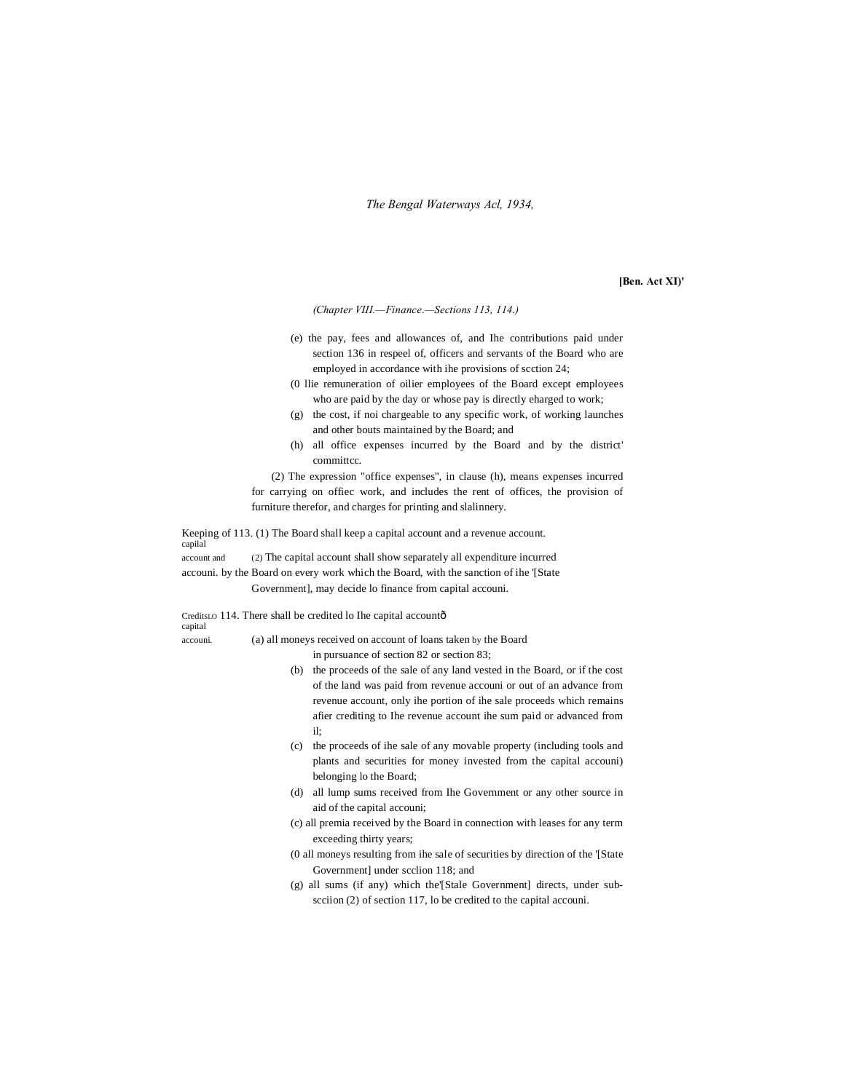*The Bengal Waterways Acl, 1934,*

**[Ben. Act XI)'**

*(Chapter VIII.—Finance.—Sections 113, 114.)*

- (e) the pay, fees and allowances of, and Ihe contributions paid under section 136 in respeel of, officers and servants of the Board who are employed in accordance with ihe provisions of scction 24;
- (0 llie remuneration of oilier employees of the Board except employees who are paid by the day or whose pay is directly eharged to work;
- (g) the cost, if noi chargeable to any specific work, of working launches and other bouts maintained by the Board; and
- (h) all office expenses incurred by the Board and by the district' committcc.

(2) The expression "office expenses", in clause (h), means expenses incurred for carrying on offiec work, and includes the rent of offices, the provision of furniture therefor, and charges for printing and slalinnery.

Keeping of 113. (1) The Board shall keep a capital account and a revenue account. capilal account and (2) The capital account shall show separately all expenditure incurred

accouni. by the Board on every work which the Board, with the sanction of ihe '[State Government], may decide lo finance from capital accouni.

CreditsLO 114. There shall be credited lo Ihe capital accountô capital accouni. (a) all moneys received on account of loans taken by the Board

in pursuance of section 82 or section 83;

- (b) the proceeds of the sale of any land vested in the Board, or if the cost of the land was paid from revenue accouni or out of an advance from revenue account, only ihe portion of ihe sale proceeds which remains afier crediting to Ihe revenue account ihe sum paid or advanced from il;
- (c) the proceeds of ihe sale of any movable property (including tools and plants and securities for money invested from the capital accouni) belonging lo the Board;
- (d) all lump sums received from Ihe Government or any other source in aid of the capital accouni;
- (c) all premia received by the Board in connection with leases for any term exceeding thirty years;
- (0 all moneys resulting from ihe sale of securities by direction of the '[State Government] under scclion 118; and
- (g) all sums (if any) which the'[Stale Government] directs, under subscciion (2) of section 117, lo be credited to the capital accouni.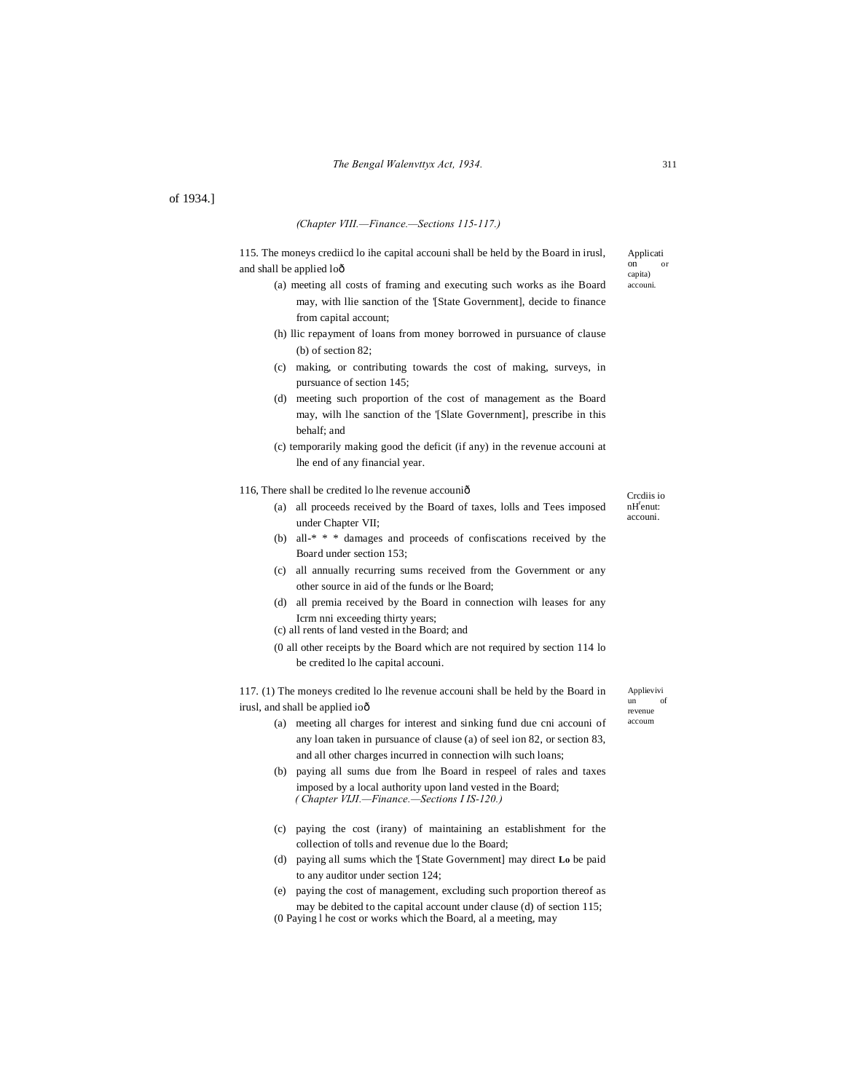of 1934.]

## *(Chapter VIII.—Finance.—Sections 115-117.)*

115. The moneys crediicd lo ihe capital accouni shall be held by the Board in irusl, and shall be applied loô

- (a) meeting all costs of framing and executing such works as ihe Board may, with llie sanction of the '[State Government], decide to finance from capital account;
- (h) llic repayment of loans from money borrowed in pursuance of clause (b) of section 82;
- (c) making, or contributing towards the cost of making, surveys, in pursuance of section 145;
- (d) meeting such proportion of the cost of management as the Board may, wilh lhe sanction of the '[Slate Government], prescribe in this behalf; and
- (c) temporarily making good the deficit (if any) in the revenue accouni at lhe end of any financial year.

#### 116, There shall be credited lo lhe revenue accouniô

- (a) all proceeds received by the Board of taxes, lolls and Tees imposed under Chapter VII;
- (b) all-\* \* \* damages and proceeds of confiscations received by the Board under section 153;
- (c) all annually recurring sums received from the Government or any other source in aid of the funds or lhe Board;
- (d) all premia received by the Board in connection wilh leases for any Icrm nni exceeding thirty years;
- (c) all rents of land vested in the Board; and
- (0 all other receipts by the Board which are not required by section 114 lo be credited lo lhe capital accouni.

117. (1) The moneys credited lo lhe revenue accouni shall be held by the Board in irusl, and shall be applied ioô

- (a) meeting all charges for interest and sinking fund due cni accouni of any loan taken in pursuance of clause (a) of seel ion 82, or section 83, and all other charges incurred in connection wilh such loans;
- (b) paying all sums due from lhe Board in respeel of rales and taxes imposed by a local authority upon land vested in the Board; *( Chapter VIJI.—Finance.—Sections I IS-120.)*
- (c) paying the cost (irany) of maintaining an establishment for the collection of tolls and revenue due lo the Board;
- (d) paying all sums which the '[State Government] may direct **Lo** be paid to any auditor under section 124;
- (e) paying the cost of management, excluding such proportion thereof as may be debited to the capital account under clause (d) of section 115; (0 Paying l he cost or works which the Board, al a meeting, may

Applievivi un of revenue accoum

Applicati on or capita) accouni.

Crcdiis io  $n$ H<sup>r</sup>enut: accouni.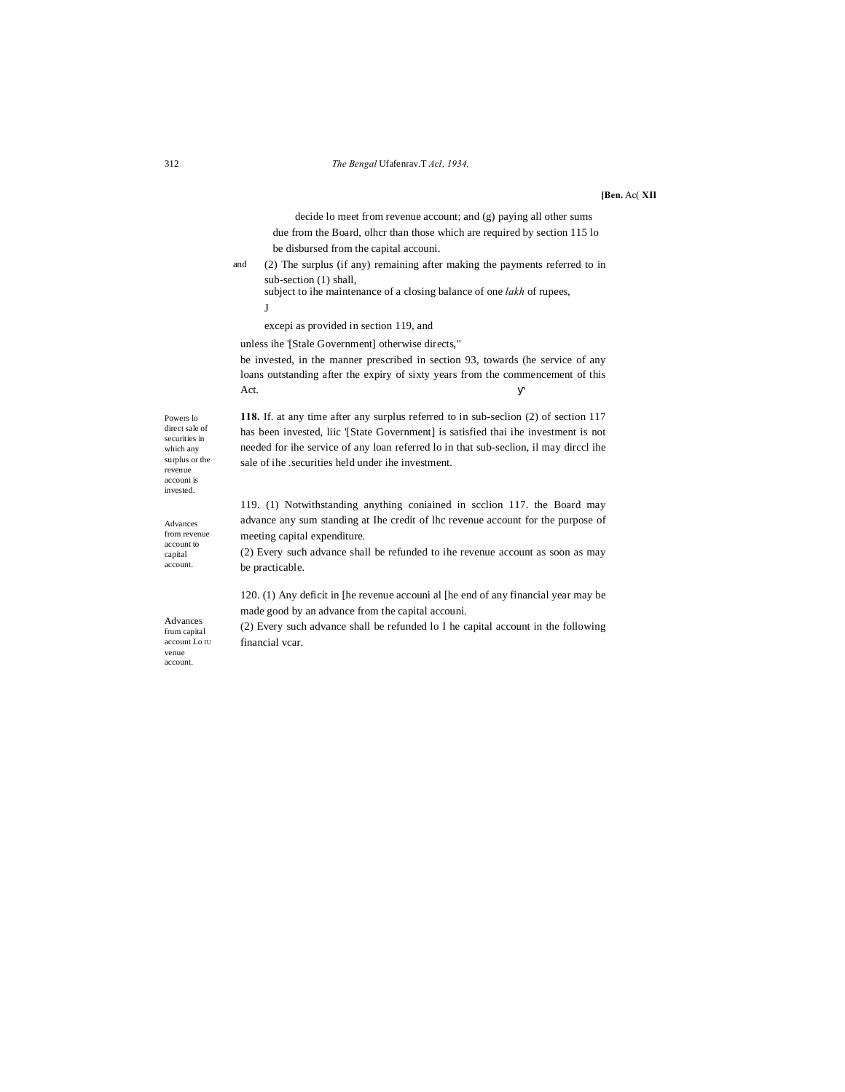#### **[Ben.** Ac( **XII**

decide lo meet from revenue account; and (g) paying all other sums due from the Board, olhcr than those which are required by section 115 lo be disbursed from the capital accouni.

and (2) The surplus (if any) remaining after making the payments referred to in sub-section (1) shall,

subject to ihe maintenance of a closing balance of one *lakh* of rupees, J

excepi as provided in section 119, and

sale of ihe .securities held under ihe investment.

unless ihe '[Stale Government] otherwise directs,"

be invested, in the manner prescribed in section 93, towards (he service of any loans outstanding after the expiry of sixty years from the commencement of this Act.

**118.** If. at any time after any surplus referred to in sub-seclion (2) of section 117 has been invested, liic '[State Government] is satisfied thai ihe investment is not needed for ihe service of any loan referred lo in that sub-seclion, il may dirccl ihe

Powers lo direct sale of securities in which any surplus or the revenue accouni is invested.

Advances from revenue account to capital account.

Advances frum capital account Lo IU venue account.

119. (1) Notwithstanding anything coniained in scclion 117. the Board may advance any sum standing at Ihe credit of lhc revenue account for the purpose of

meeting capital expenditure. (2) Every such advance shall be refunded to ihe revenue account as soon as may be practicable.

120. (1) Any deficit in [he revenue accouni al [he end of any financial year may be made good by an advance from the capital accouni.

(2) Every such advance shall be refunded lo I he capital account in the following financial vcar.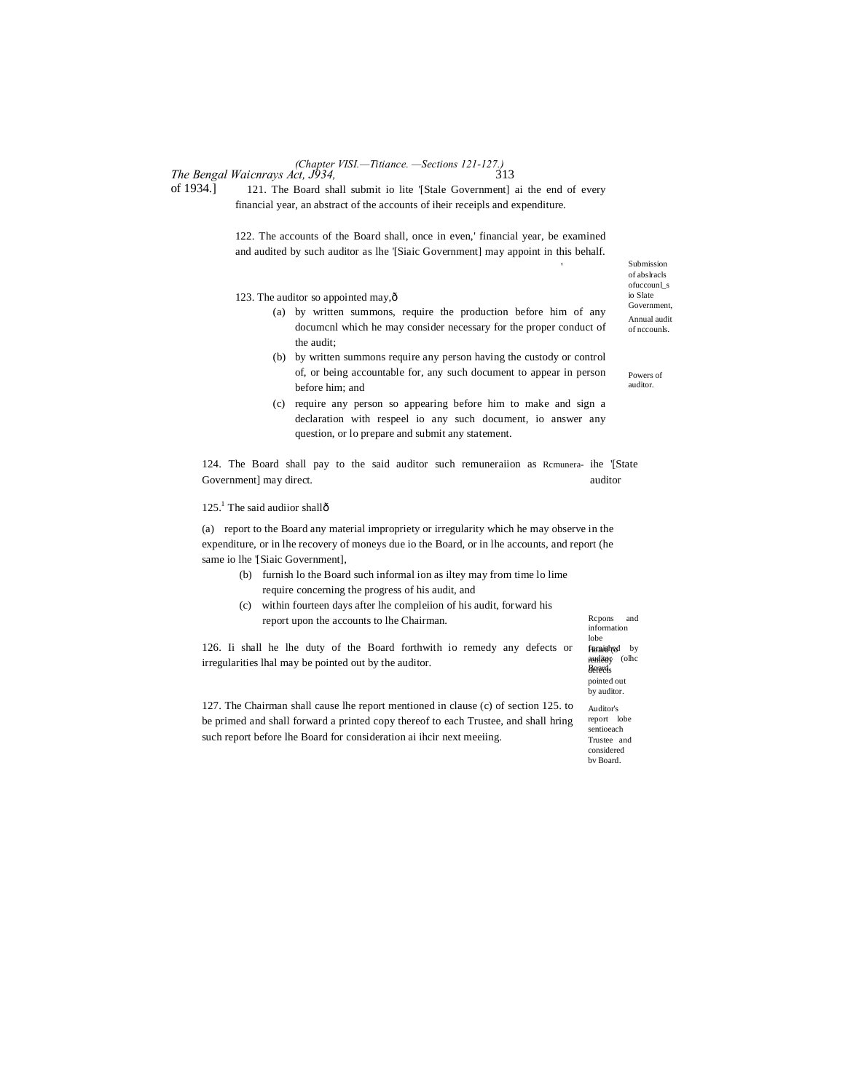## *The Bengal Waicnrays Act, J934,* 313 *(Chapter VISI.—Titiance. —Sections 121-127.)*

of 1934.] 121. The Board shall submit io lite '[Stale Government] ai the end of every financial year, an abstract of the accounts of iheir receipls and expenditure.

> 122. The accounts of the Board shall, once in even,' financial year, be examined and audited by such auditor as lhe '[Siaic Government] may appoint in this behalf.

123. The auditor so appointed may, ô

- (a) by written summons, require the production before him of any documcnl which he may consider necessary for the proper conduct of the audit;
- (b) by written summons require any person having the custody or control of, or being accountable for, any such document to appear in person before him; and
- (c) require any person so appearing before him to make and sign a declaration with respeel io any such document, io answer any question, or lo prepare and submit any statement.

124. The Board shall pay to the said auditor such remuneraiion as Rcmunera- ihe '[State Government] may direct.  $\blacksquare$ 

 $125<sup>1</sup>$ . The said audiior shallô

(a) report to the Board any material impropriety or irregularity which he may observe in the expenditure, or in lhe recovery of moneys due io the Board, or in lhe accounts, and report (he same io lhe '[Siaic Government],

- (b) furnish lo the Board such informal ion as iltey may from time lo lime require concerning the progress of his audit, and
- (c) within fourteen days after lhe compleiion of his audit, forward his report upon the accounts to lhe Chairman.

126. Ii shall he lhe duty of the Board forthwith io remedy any defects or irregularities lhal may be pointed out by the auditor.

127. The Chairman shall cause lhe report mentioned in clause (c) of section 125. to be primed and shall forward a printed copy thereof to each Trustee, and shall hring such report before lhe Board for consideration ai ihcir next meeiing.

Submission of abslracls ofuccounl\_s io Slate Government, Annual audit of nccounls.

'

Powers of auditor.

Rcpons and information lobe fuonalned by auditory (olhc Board. defects pointed out by auditor.

Auditor's report lobe sentioeach Trustee and considered bv Board.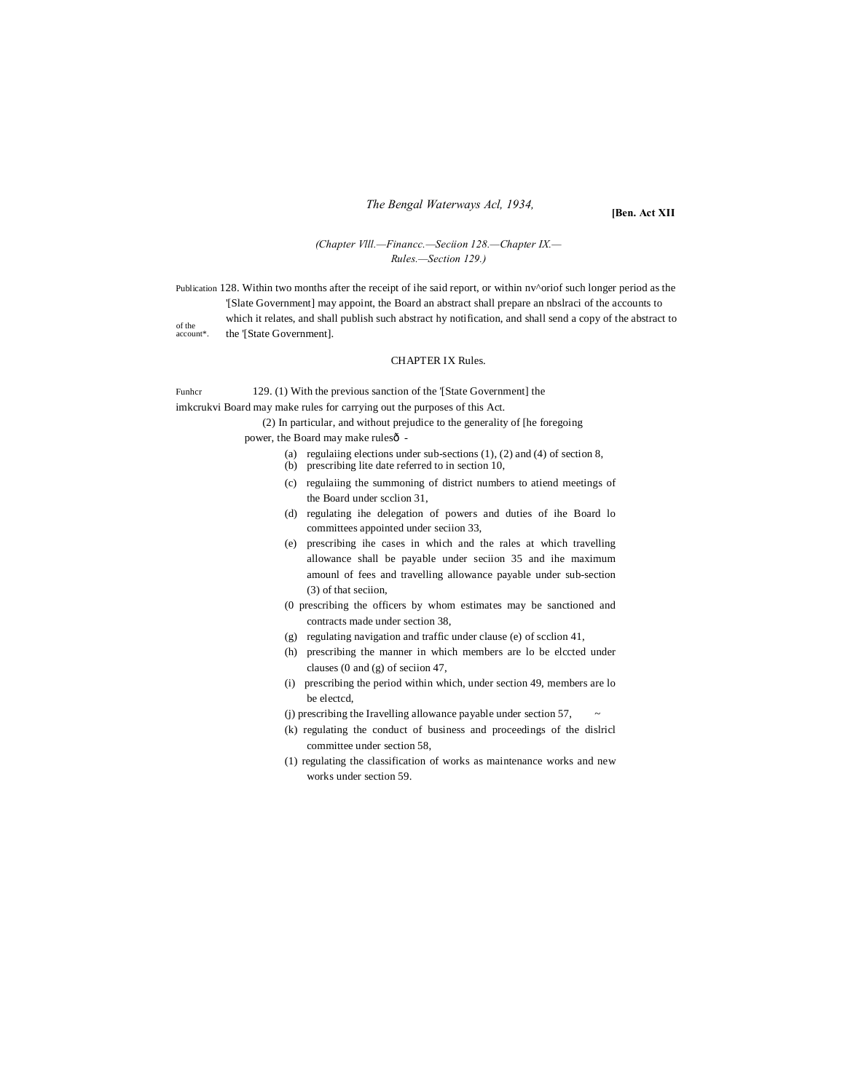## *The Bengal Waterways Acl, 1934,*

**[Ben. Act XII**

## *(Chapter Vlll.—Financc.—Seciion 128.—Chapter IX.— Rules.—Section 129.)*

of the account\*. Publication 128. Within two months after the receipt of ihe said report, or within  $nv^{\wedge}$ oriof such longer period as the '[Slate Government] may appoint, the Board an abstract shall prepare an nbslraci of the accounts to which it relates, and shall publish such abstract hy notification, and shall send a copy of the abstract to the '[State Government].

## CHAPTER IX Rules.

Funhcr 129. (1) With the previous sanction of the '[State Government] the imkcrukvi Board may make rules for carrying out the purposes of this Act.

(2) In particular, and without prejudice to the generality of [he foregoing power, the Board may make rulesô -

(a) regulaiing elections under sub-sections (1), (2) and (4) of section 8,

- (b) prescribing lite date referred to in section 10,
- (c) regulaiing the summoning of district numbers to atiend meetings of the Board under scclion 31,
- (d) regulating ihe delegation of powers and duties of ihe Board lo committees appointed under seciion 33,
- (e) prescribing ihe cases in which and the rales at which travelling allowance shall be payable under seciion 35 and ihe maximum amounl of fees and travelling allowance payable under sub-section (3) of that seciion,
- (0 prescribing the officers by whom estimates may be sanctioned and contracts made under section 38,
- (g) regulating navigation and traffic under clause (e) of scclion 41,
- (h) prescribing the manner in which members are lo be elccted under clauses (0 and (g) of seciion 47,
- (i) prescribing the period within which, under section 49, members are lo be electcd,
- (j) prescribing the Iravelling allowance payable under section 57, ~
- (k) regulating the conduct of business and proceedings of the dislricl committee under section 58,
- (1) regulating the classification of works as maintenance works and new works under section 59.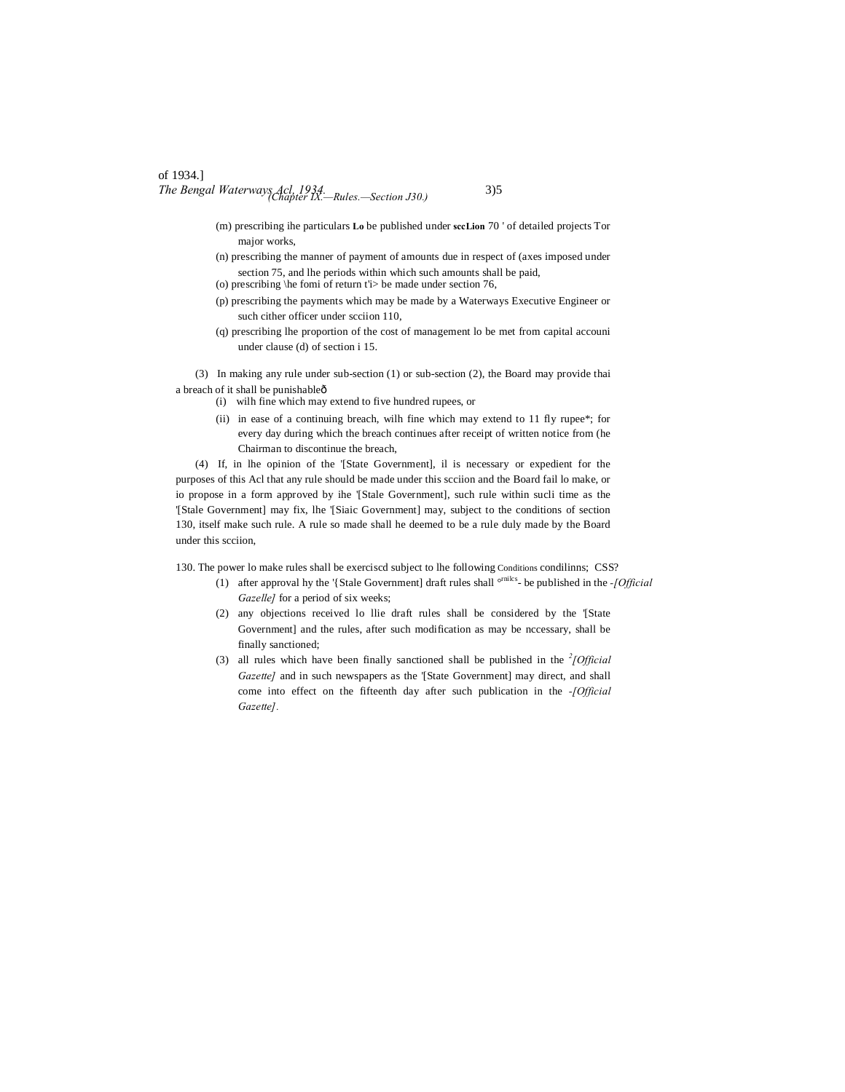## of 1934.] *The Bengal Waterways Acl, 1934. (Chapter IX.—Rules.—Section J30.)* 335

- (m) prescribing ihe particulars **Lo** be published under **sccLion** 70 ' of detailed projects Tor major works,
- (n) prescribing the manner of payment of amounts due in respect of (axes imposed under section 75, and lhe periods within which such amounts shall be paid,
- (o) prescribing  $\heartsuit$  he fomi of return t<sup>'</sup> be made under section 76,
- (p) prescribing the payments which may be made by a Waterways Executive Engineer or such cither officer under scciion 110,
- (q) prescribing lhe proportion of the cost of management lo be met from capital accouni under clause (d) of section i 15.

(3) In making any rule under sub-section (1) or sub-section (2), the Board may provide thai a breach of it shall be punishableô

- (i) wilh fine which may extend to five hundred rupees, or
- (ii) in ease of a continuing breach, wilh fine which may extend to 11 fly rupee\*; for every day during which the breach continues after receipt of written notice from (he Chairman to discontinue the breach,

(4) If, in lhe opinion of the '[State Government], il is necessary or expedient for the purposes of this Acl that any rule should be made under this scciion and the Board fail lo make, or io propose in a form approved by ihe '[Stale Government], such rule within sucli time as the '[Stale Government] may fix, lhe '[Siaic Government] may, subject to the conditions of section 130, itself make such rule. A rule so made shall he deemed to be a rule duly made by the Board under this scciion,

130. The power lo make rules shall be exerciscd subject to lhe following Conditions condilinns; CSS?

- (1) after approval hy the '{Stale Government] draft rules shall °rnilcs- be published in the *-[Official Gazelle]* for a period of six weeks;
- (2) any objections received lo llie draft rules shall be considered by the '[State Government] and the rules, after such modification as may be nccessary, shall be finally sanctioned;
- (3) all rules which have been finally sanctioned shall be published in the  $^{2}$ [Official *Gazette]* and in such newspapers as the '[State Government] may direct, and shall come into effect on the fifteenth day after such publication in the *-[Official Gazette].*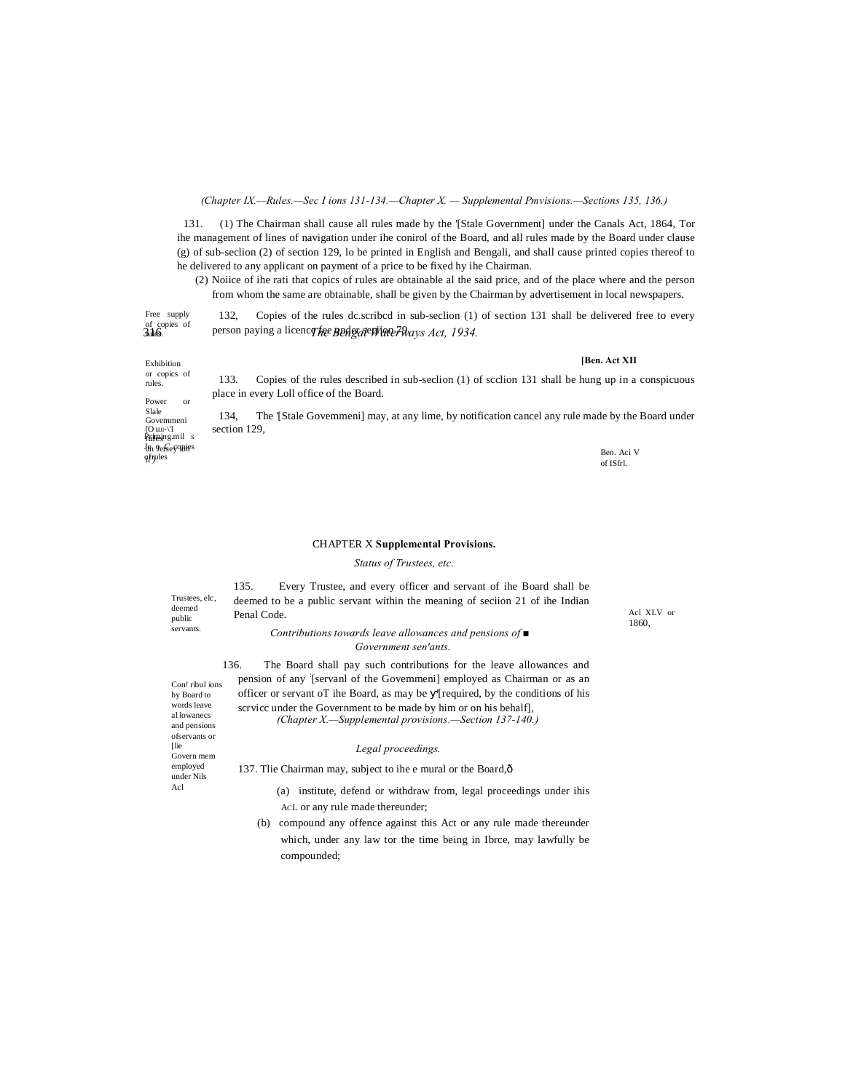#### *(Chapter IX.—Rules.—Sec I ions 131-134.—Chapter X. — Supplemental Pmvisions.—Sections 135, 136.)*

131. (1) The Chairman shall cause all rules made by the '[Stale Government] under the Canals Act, 1864, Tor ihe management of lines of navigation under ihe conirol of the Board, and all rules made by the Board under clause (g) of sub-seclion (2) of section 129, lo be printed in English and Bengali, and shall cause printed copies thereof to he delivered to any applicant on payment of a price to be fixed hy ihe Chairman.

(2) Noiice of ihe rati that copics of rules are obtainable al the said price, and of the place where and the person from whom the same are obtainable, shall be given by the Chairman by advertisement in local newspapers.

3.16. <sup>on</sup> person paying a licence fee Bengal WaterWays Act, 1934. Free supply<br>of copies of<br>**Jule9**. 132, Copies of the rules dc.scribcd in sub-seclion (1) of section 131 shall be delivered free to every

**[Ben. Act XII**

Exhibition or copics of rules. Power or Slale Govemmeni<br>[O iiJl-\'l<br>**Primes**ing.mil s  $In$  Oefsey apjes *il').* ofruit versety-ment of the second state of the second state of the second state of the Ben. Aci V Ben. Aci V B

133. Copies of the rules described in sub-seclion (1) of scclion 131 shall be hung up in a conspicuous place in every Loll office of the Board.

134, The '[Stale Govemmeni] may, at any lime, by notification cancel any rule made by the Board under section 129,

of ISfrl.

Acl XLV or 1860,

## CHAPTER X **Supplemental Provisions.**

*Status of Trustees, etc.*

Trustees, elc, deemed public servants.

135. Every Trustee, and every officer and servant of ihe Board shall be deemed to be a public servant within the meaning of seciion 21 of ihe Indian Penal Code.

*Contributions towards leave allowances and pensions of ■ Government sen'ants.*

136. The Board shall pay such contributions for the leave allowances and pension of any : [servanl of the Govemmeni] employed as Chairman or as an officer or servant oT ihe Board, as may be '[required, by the conditions of his scrvicc under the Government to be made by him or on his behalf], *(Chapter X.—Supplemental provisions.—Section 137-140.)*

#### *Legal proceedings.*

137. Tlie Chairman may, subject to ihe e mural or the Board,—

- (a) institute, defend or withdraw from, legal proceedings under ihis ACL or any rule made thereunder;
- (b) compound any offence against this Act or any rule made thereunder which, under any law tor the time being in Ibrce, may lawfully be compounded;

Con! ribul ions by Board to words leave al lowanecs and pensions ofservants or [lie Govern mem employed under Nils Acl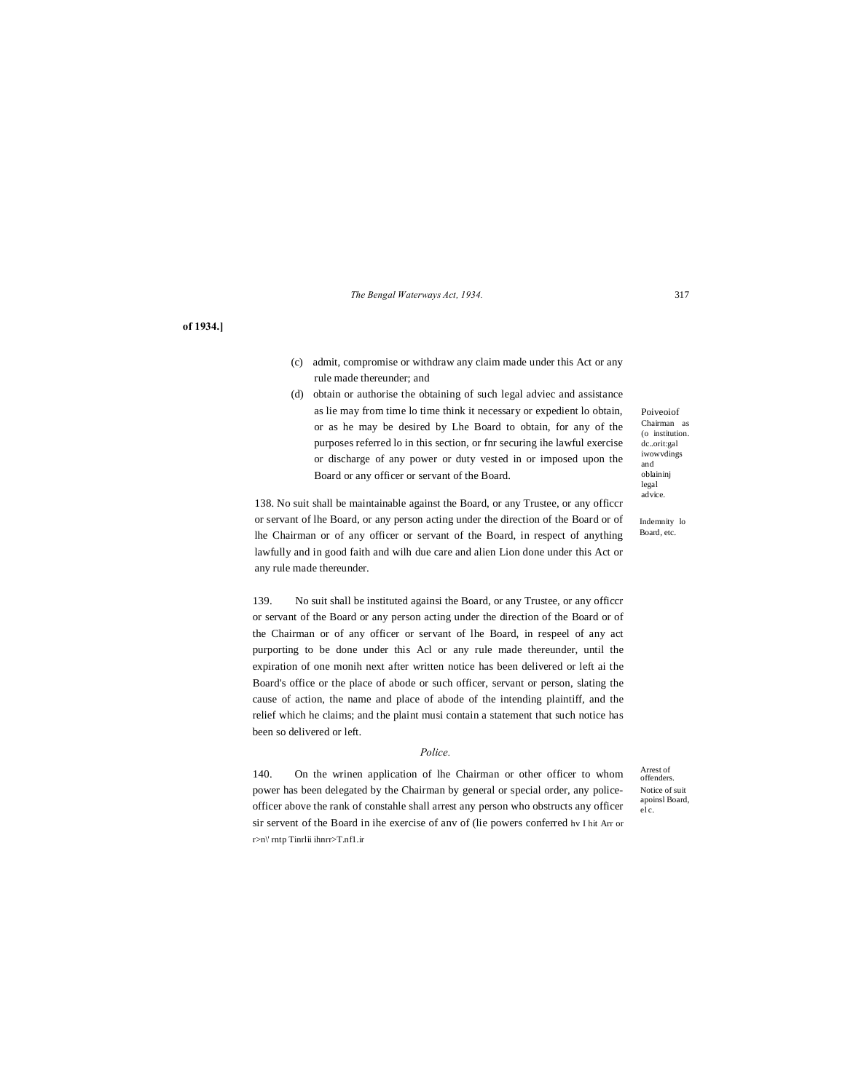## *The Bengal Waterways Act, 1934.* 317

**of 1934.]**

- (c) admit, compromise or withdraw any claim made under this Act or any rule made thereunder; and
- (d) obtain or authorise the obtaining of such legal adviec and assistance as lie may from time lo time think it necessary or expedient lo obtain, or as he may be desired by Lhe Board to obtain, for any of the purposes referred lo in this section, or fnr securing ihe lawful exercise or discharge of any power or duty vested in or imposed upon the Board or any officer or servant of the Board.

138. No suit shall be maintainable against the Board, or any Trustee, or any officcr or servant of lhe Board, or any person acting under the direction of the Board or of lhe Chairman or of any officer or servant of the Board, in respect of anything lawfully and in good faith and wilh due care and alien Lion done under this Act or

139. No suit shall be instituted againsi the Board, or any Trustee, or any officcr or servant of the Board or any person acting under the direction of the Board or of the Chairman or of any officer or servant of lhe Board, in respeel of any act purporting to be done under this Acl or any rule made thereunder, until the expiration of one monih next after written notice has been delivered or left ai the Board's office or the place of abode or such officer, servant or person, slating the cause of action, the name and place of abode of the intending plaintiff, and the relief which he claims; and the plaint musi contain a statement that such notice has been so delivered or left.

any rule made thereunder.

#### *Police.*

140. On the wrinen application of lhe Chairman or other officer to whom power has been delegated by the Chairman by general or special order, any policeofficer above the rank of constahle shall arrest any person who obstructs any officer sir servent of the Board in ihe exercise of anv of (lie powers conferred hv I hit Arr or r>n\' rntp Tinrlii ihnrr>T.nf1.ir

Poiveoiof Chairman as (o institution. dc..orit:gal iwowvdings and oblaininj legal advice.

Indemnity lo Board, etc.

Notice of suit apoinsl Board, el c. Arrest of offenders.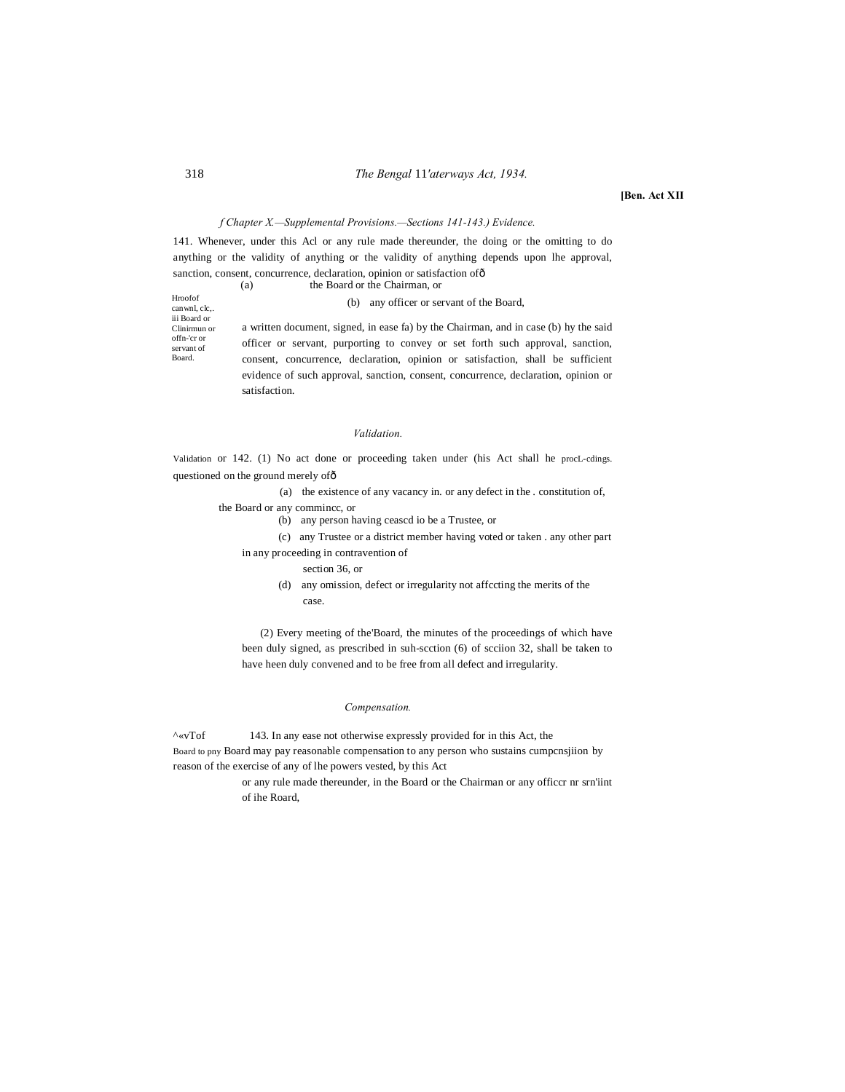## 318 *The Bengal* 11*'aterways Act, 1934.*

**[Ben. Act XII**

#### *f Chapter X.—Supplemental Provisions.—Sections 141-143.) Evidence.*

141. Whenever, under this Acl or any rule made thereunder, the doing or the omitting to do anything or the validity of anything or the validity of anything depends upon lhe approval, sanction, consent, concurrence, declaration, opinion or satisfaction of  $\delta$ 

Hroofof canwnl, clc,. iii Board or Clinirmun or offn-'cr or servant of Board. (a) the Board or the Chairman, or (b) any officer or servant of the Board, a written document, signed, in ease fa) by the Chairman, and in case (b) hy the said officer or servant, purporting to convey or set forth such approval, sanction, consent, concurrence, declaration, opinion or satisfaction, shall be sufficient evidence of such approval, sanction, consent, concurrence, declaration, opinion or satisfaction.

#### *Validation.*

Validation or 142. (1) No act done or proceeding taken under (his Act shall he procL-cdings. questioned on the ground merely of ô

(a) the existence of any vacancy in. or any defect in the . constitution of,

the Board or any commincc, or

(b) any person having ceascd io be a Trustee, or

(c) any Trustee or a district member having voted or taken . any other part in any proceeding in contravention of

- section 36, or
- (d) any omission, defect or irregularity not affccting the merits of the case.

(2) Every meeting of the'Board, the minutes of the proceedings of which have been duly signed, as prescribed in suh-scction (6) of scciion 32, shall be taken to have heen duly convened and to be free from all defect and irregularity.

#### *Compensation.*

^«vTof 143. In any ease not otherwise expressly provided for in this Act, the Board to pny Board may pay reasonable compensation to any person who sustains cumpcnsjiion by reason of the exercise of any of lhe powers vested, by this Act

> or any rule made thereunder, in the Board or the Chairman or any officcr nr srn'iint of ihe Roard,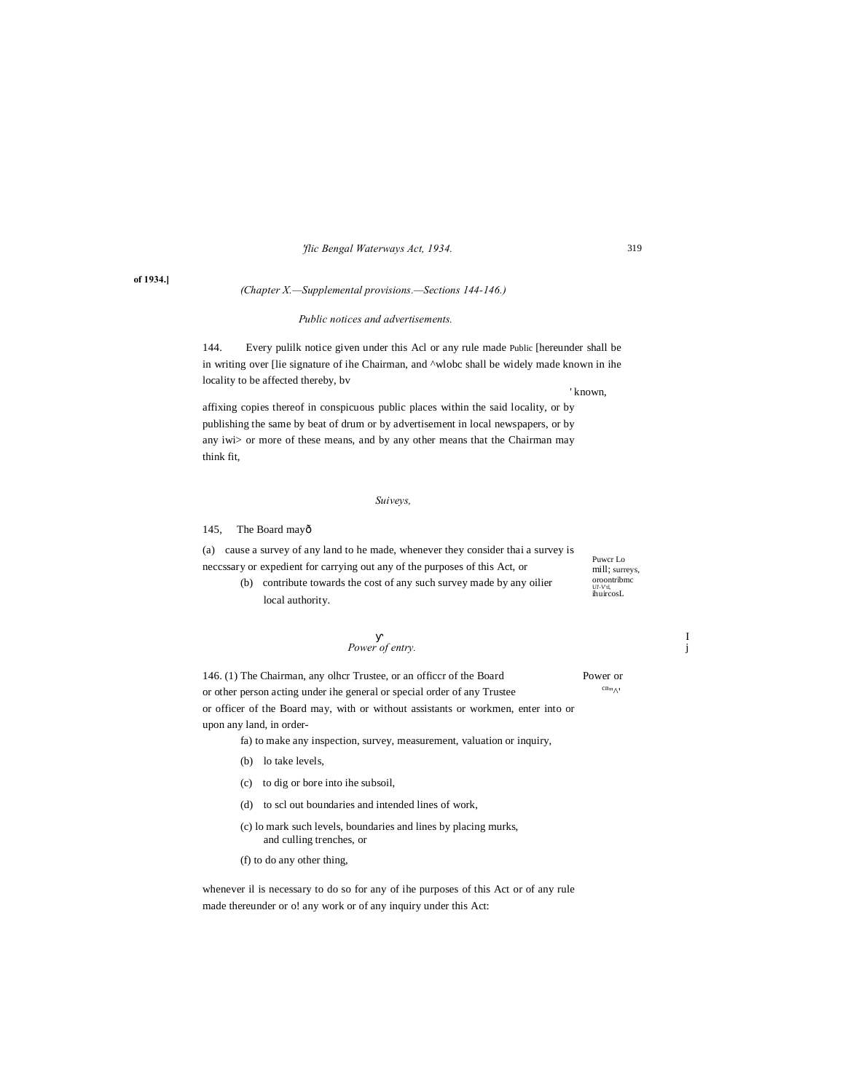## *'flic Bengal Waterways Act, 1934.*

## *(Chapter X.—Supplemental provisions.—Sections 144-146.)*

## *Public notices and advertisements.*

144. Every pulilk notice given under this Acl or any rule made Public [hereunder shall be in writing over [lie signature of ihe Chairman, and ^wlobc shall be widely made known in ihe locality to be affected thereby, bv

' known,

affixing copies thereof in conspicuous public places within the said locality, or by publishing the same by beat of drum or by advertisement in local newspapers, or by any iwi> or more of these means, and by any other means that the Chairman may think fit,

#### *Suiveys,*

145, The Board mayô

Puwcr Lo mill; surreys, oroontribmc Ul'-V'tl, ihuircosL (a) cause a survey of any land to he made, whenever they consider thai a survey is neccssary or expedient for carrying out any of the purposes of this Act, or (b) contribute towards the cost of any such survey made by any oilier local authority.

Power of entry.

146. (1) The Chairman, any olhcr Trustee, or an officcr of the Board Power or or other person acting under ihe general or special order of any Trustee  $\frac{cn_{\alpha_1}}{c_1}$ or officer of the Board may, with or without assistants or workmen, enter into or upon any land, in order-

fa) to make any inspection, survey, measurement, valuation or inquiry,

- (b) lo take levels,
- (c) to dig or bore into ihe subsoil,
- (d) to scl out boundaries and intended lines of work,
- (c) lo mark such levels, boundaries and lines by placing murks, and culling trenches, or
- (f) to do any other thing,

whenever il is necessary to do so for any of ihe purposes of this Act or of any rule made thereunder or o! any work or of any inquiry under this Act:

**of 1934.]**

319

I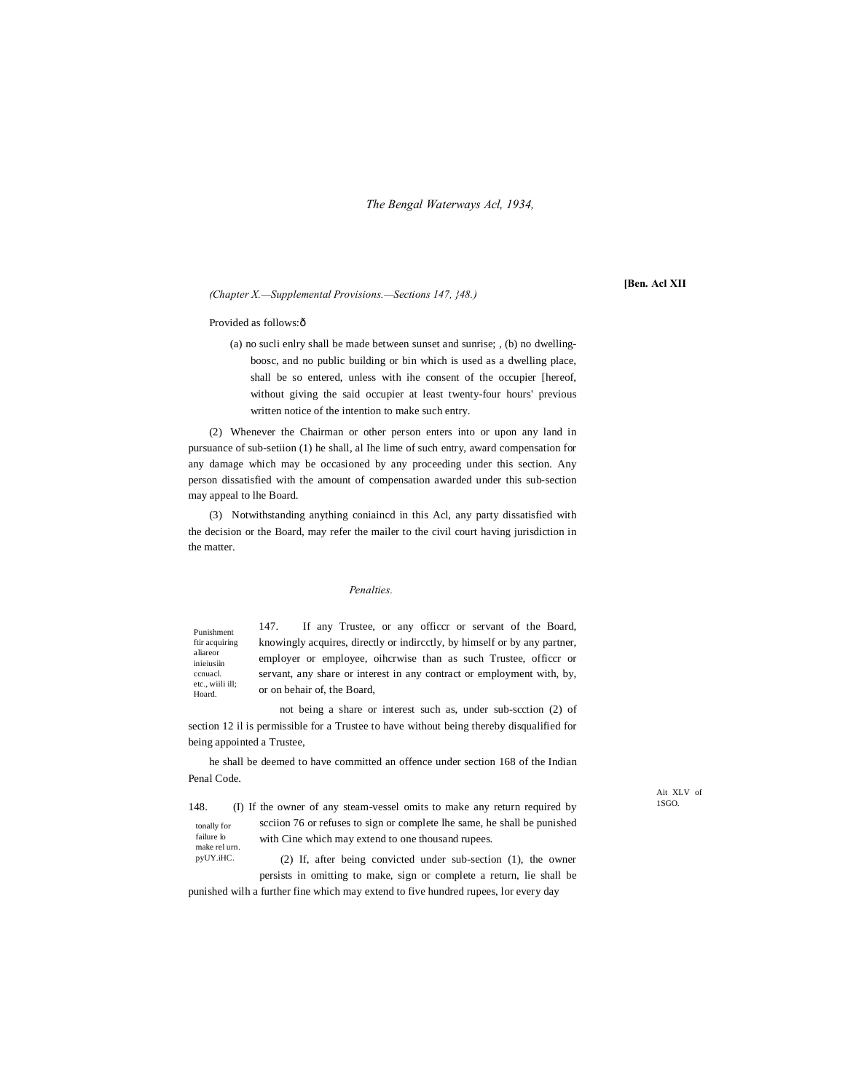*The Bengal Waterways Acl, 1934,*

#### *(Chapter X.—Supplemental Provisions.—Sections 147, }48.)*

## **[Ben. Acl XII**

#### Provided as follows: ô

(a) no sucli enlry shall be made between sunset and sunrise; , (b) no dwellingboosc, and no public building or bin which is used as a dwelling place, shall be so entered, unless with ihe consent of the occupier [hereof, without giving the said occupier at least twenty-four hours' previous written notice of the intention to make such entry.

(2) Whenever the Chairman or other person enters into or upon any land in pursuance of sub-setiion (1) he shall, al Ihe lime of such entry, award compensation for any damage which may be occasioned by any proceeding under this section. Any person dissatisfied with the amount of compensation awarded under this sub-section may appeal to lhe Board.

(3) Notwithstanding anything coniaincd in this Acl, any party dissatisfied with the decision or the Board, may refer the mailer to the civil court having jurisdiction in the matter.

## *Penalties.*

Punishment ftir acquiring aliareor inieiusiin ccnuacl. etc., wiili ill; Hoard.

pyUY.iHC.

147. If any Trustee, or any officcr or servant of the Board, knowingly acquires, directly or indircctly, by himself or by any partner, employer or employee, oihcrwise than as such Trustee, officcr or servant, any share or interest in any contract or employment with, by, or on behair of, the Board,

not being a share or interest such as, under sub-scction (2) of section 12 il is permissible for a Trustee to have without being thereby disqualified for being appointed a Trustee,

he shall be deemed to have committed an offence under section 168 of the Indian Penal Code.

tonally for failure lo make rel urn. 148. (I) If the owner of any steam-vessel omits to make any return required by scciion 76 or refuses to sign or complete lhe same, he shall be punished with Cine which may extend to one thousand rupees.

> (2) If, after being convicted under sub-section (1), the owner persists in omitting to make, sign or complete a return, lie shall be

punished wilh a further fine which may extend to five hundred rupees, lor every day

Ait XLV of 1SGO.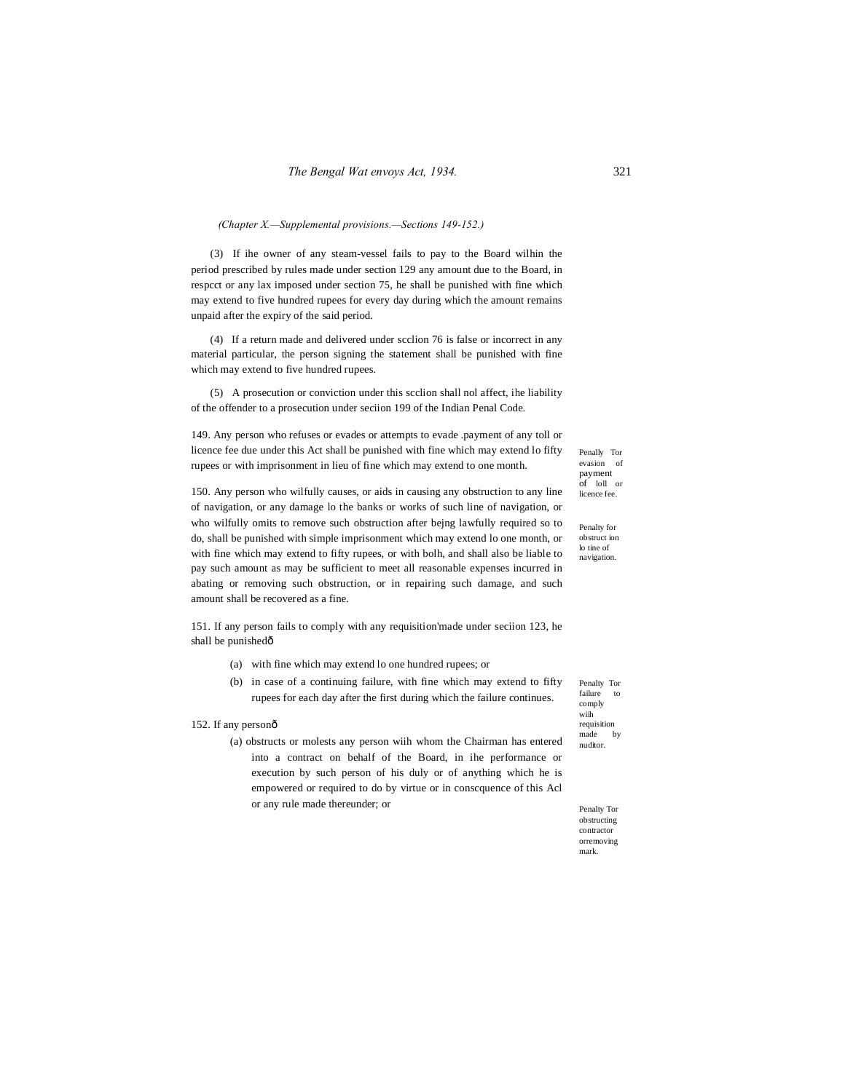### *(Chapter X.—Supplemental provisions.—Sections 149-152.)*

(3) If ihe owner of any steam-vessel fails to pay to the Board wilhin the period prescribed by rules made under section 129 any amount due to the Board, in respcct or any lax imposed under section 75, he shall be punished with fine which may extend to five hundred rupees for every day during which the amount remains unpaid after the expiry of the said period.

(4) If a return made and delivered under scclion 76 is false or incorrect in any material particular, the person signing the statement shall be punished with fine which may extend to five hundred rupees.

(5) A prosecution or conviction under this scclion shall nol affect, ihe liability of the offender to a prosecution under seciion 199 of the Indian Penal Code.

149. Any person who refuses or evades or attempts to evade .payment of any toll or licence fee due under this Act shall be punished with fine which may extend lo fifty rupees or with imprisonment in lieu of fine which may extend to one month.

150. Any person who wilfully causes, or aids in causing any obstruction to any line

Penally Tor evasion of payment of loll or licence fee.

of navigation, or any damage lo the banks or works of such line of navigation, or who wilfully omits to remove such obstruction after bejng lawfully required so to do, shall be punished with simple imprisonment which may extend lo one month, or with fine which may extend to fifty rupees, or with bolh, and shall also be liable to pay such amount as may be sufficient to meet all reasonable expenses incurred in abating or removing such obstruction, or in repairing such damage, and such amount shall be recovered as a fine.

151. If any person fails to comply with any requisition'made under seciion 123, he shall be punishedô

- (a) with fine which may extend lo one hundred rupees; or
- (b) in case of a continuing failure, with fine which may extend to fifty rupees for each day after the first during which the failure continues.

#### 152. If any personô

(a) obstructs or molests any person wiih whom the Chairman has entered into a contract on behalf of the Board, in ihe performance or execution by such person of his duly or of anything which he is empowered or required to do by virtue or in conscquence of this Acl or any rule made thereunder; or

obstruct ion lo tine of navigation.

Penalty for

Penalty Tor failure to comply wiih requisition made by nuditor.

Penalty Tor obstructing contractor orremoving mark.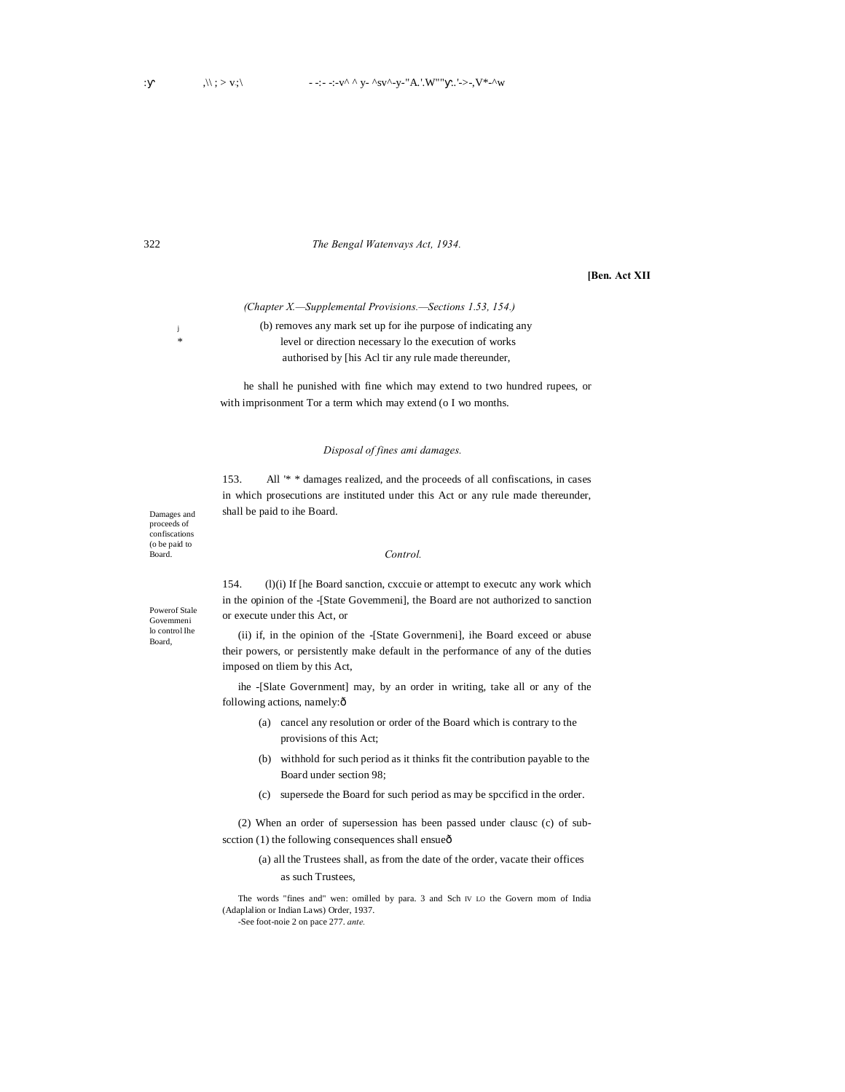322 *The Bengal Watenvays Act, 1934.*

#### **[Ben. Act XII**

*(Chapter X.—Supplemental Provisions.—Sections 1.53, 154.)*

<sup>j</sup> (b) removes any mark set up for ihe purpose of indicating any level or direction necessary lo the execution of works authorised by [his Acl tir any rule made thereunder,

> he shall he punished with fine which may extend to two hundred rupees, or with imprisonment Tor a term which may extend (o I wo months.

## *Disposal of fines ami damages.*

153. All '\* \* damages realized, and the proceeds of all confiscations, in cases in which prosecutions are instituted under this Act or any rule made thereunder, shall be paid to ihe Board.

#### *Control.*

154. (l)(i) If [he Board sanction, cxccuie or attempt to executc any work which in the opinion of the -[State Govemmeni], the Board are not authorized to sanction or execute under this Act, or

(ii) if, in the opinion of the -[State Governmeni], ihe Board exceed or abuse their powers, or persistently make default in the performance of any of the duties imposed on tliem by this Act,

ihe -[Slate Government] may, by an order in writing, take all or any of the following actions, namely: $\hat{o}$ 

- (a) cancel any resolution or order of the Board which is contrary to the provisions of this Act;
- (b) withhold for such period as it thinks fit the contribution payable to the Board under section 98;
- (c) supersede the Board for such period as may be spccificd in the order.

(2) When an order of supersession has been passed under clausc (c) of sub $section (1)$  the following consequences shall ensue $ô$ 

(a) all the Trustees shall, as from the date of the order, vacate their offices as such Trustees,

The words "fines and" wen: omilled by para. 3 and Sch IV LO the Govern mom of India (Adaplalion or Indian Laws) Order, 1937.

Damages and proceeds of confiscations (o be paid to Board.

Powerof Stale Govemmeni lo control Ihe Board,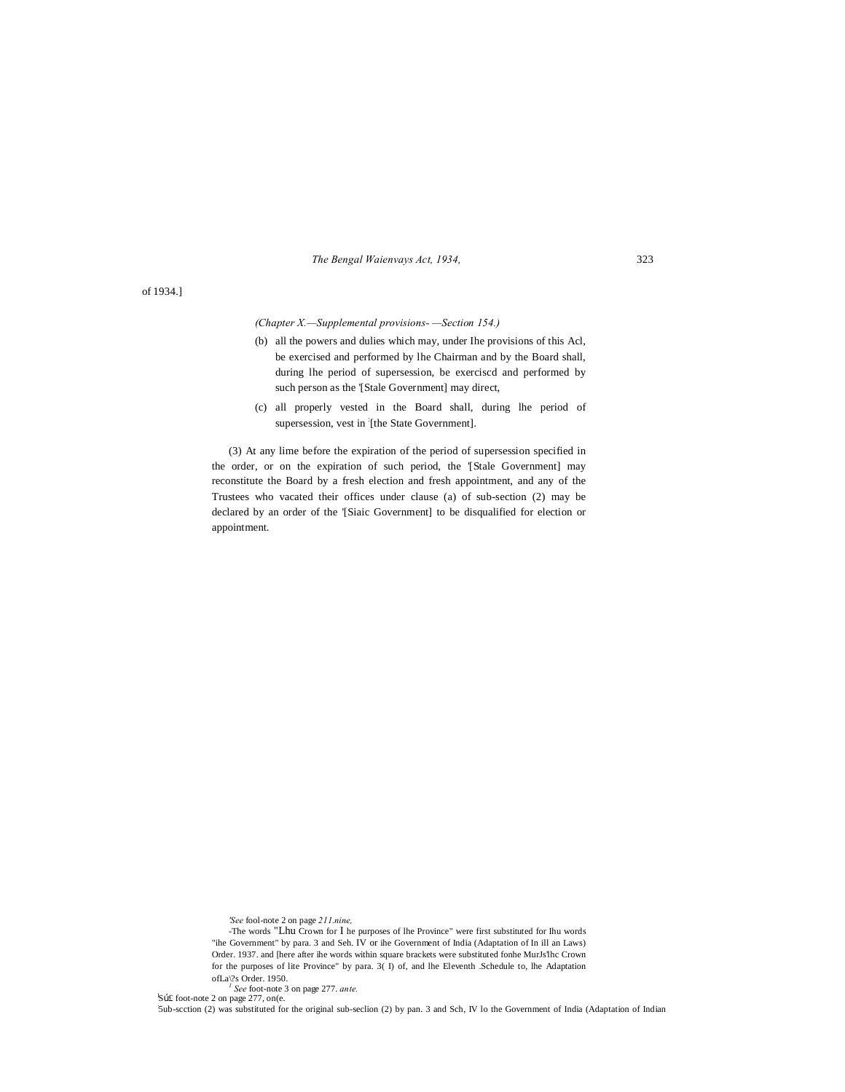*The Bengal Waienvays Act, 1934,* 323

of 1934.]

*(Chapter X.—Supplemental provisions- —Section 154.)*

- (b) all the powers and dulies which may, under Ihe provisions of this Acl, be exercised and performed by lhe Chairman and by the Board shall, during lhe period of supersession, be exerciscd and performed by such person as the '[Stale Government] may direct,
- (c) all properly vested in the Board shall, during lhe period of supersession, vest in [the State Government].

(3) At any lime before the expiration of the period of supersession specified in the order, or on the expiration of such period, the '[Stale Government] may reconstitute the Board by a fresh election and fresh appointment, and any of the Trustees who vacated their offices under clause (a) of sub-section (2) may be declared by an order of the '[Siaic Government] to be disqualified for election or appointment.

*'See* fool-note 2 on page *211.nine,*

<sup>1</sup> See foot-note 3 on page 277. ante.<br>Spf foot-note 2 on page 277, on(e.<br>5ub-scction (2) was substituted for the original sub-seclion (2) by pan. 3 and Sch, IV lo the Government of India (Adaptation of Indian

<sup>-</sup>The words "Lhu Crown for I he purposes of lhe Province" were first substituted for Ihu words "ihe Government" by para. 3 and Seh. IV or ihe Government of India (Adaptation of In ill an Laws) Order. 1937. and [here after ihe words within square brackets were substituted fonhe MurJs'lhc Crown for the purposes of lite Province" by para. 3( I) of, and lhe Eleventh .Schedule to, lhe Adaptation ofLa\?s Order. 1950.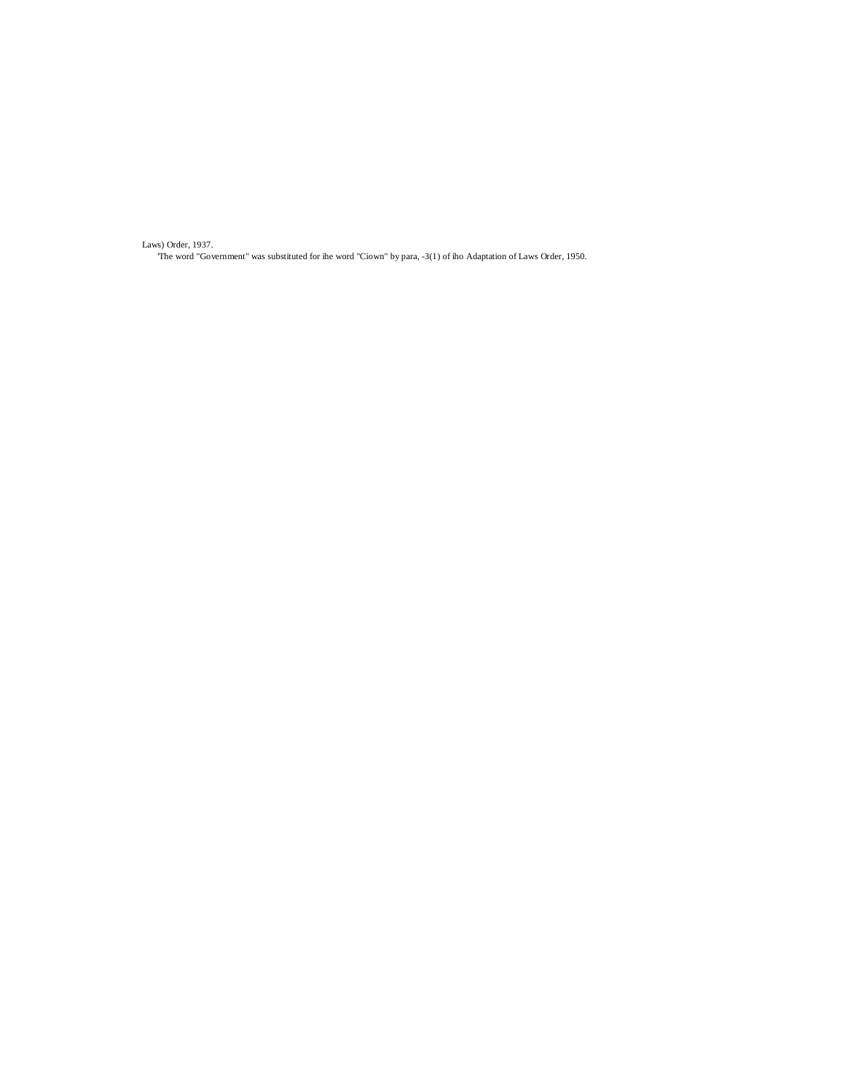Laws) Order, 1937.

'The word "Government" was substituted for ihe word "Ciown" by para, -3(1) of iho Adaptation of Laws Order, 1950.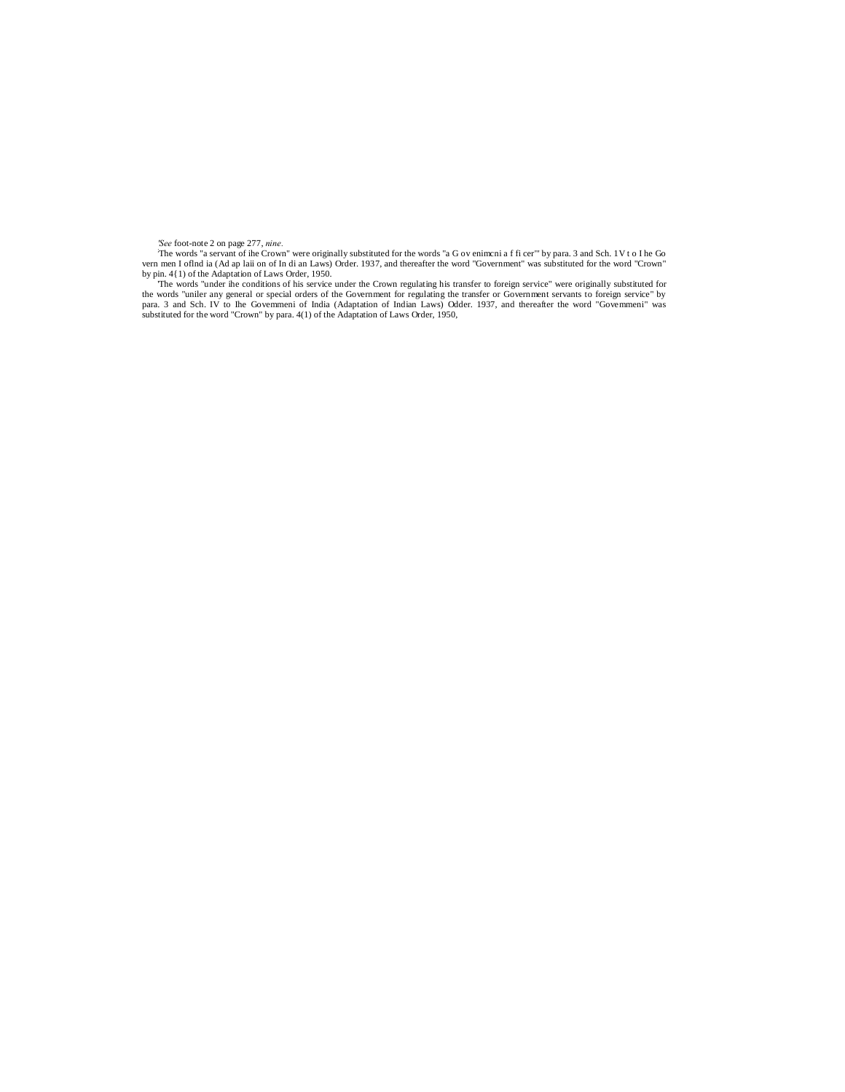See foot-note 2 on page 277, *nine*.<br>
The words "a Grown" were originally substituted for the words "a G oveniment a f fi cer" by para. 3 and Sch. 1V t o I he Go ven men I of had ia o f In di an Laws) Order. 1937, and the

the words "uniler any general or special orders of the Government for regulating the transfer or Government servants to foreign service" by<br>para. 3 and Sch. IV to Ihe Govemmeni of India (Adaptation of Indian Laws) Odder. 1 substituted for the word "Crown" by para. 4(1) of the Adaptation of Laws Order, 1950,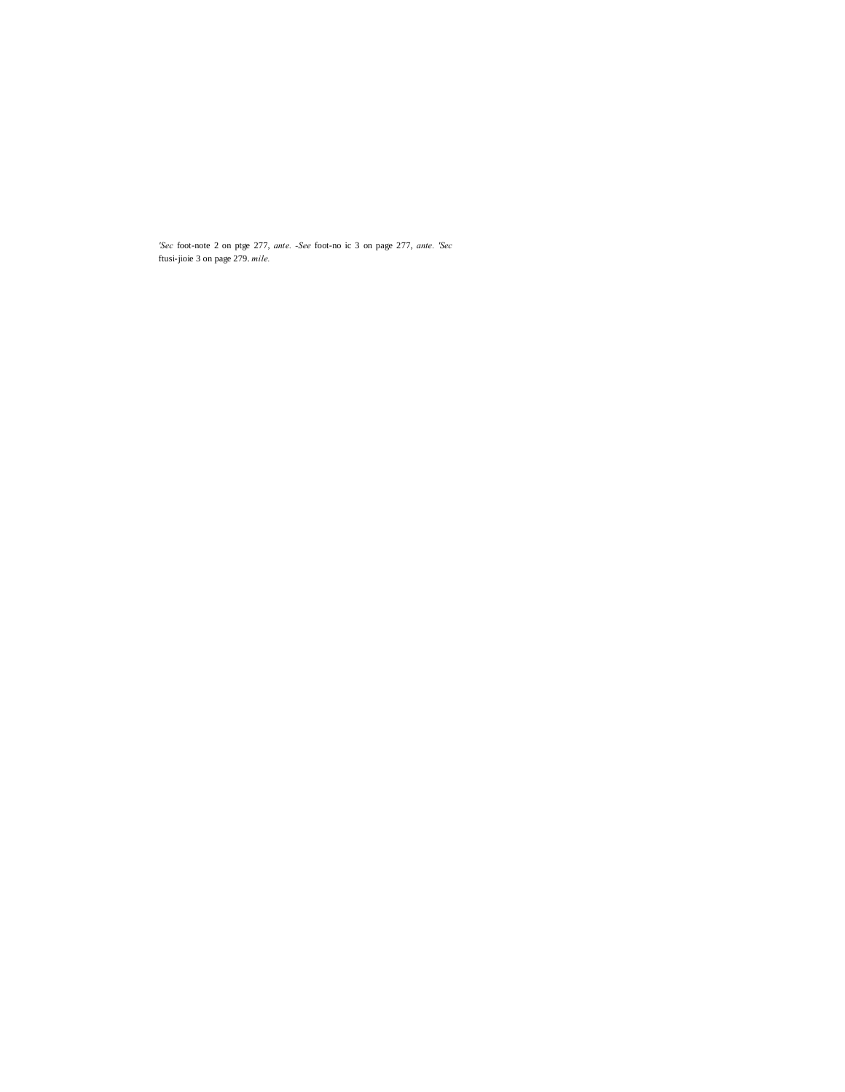*'Sec* foot-note 2 on ptge 277, *ante. -See* foot-no ic 3 on page 277, *ante. 'Sec* ftusi-jioie 3 on page 279. *mile.*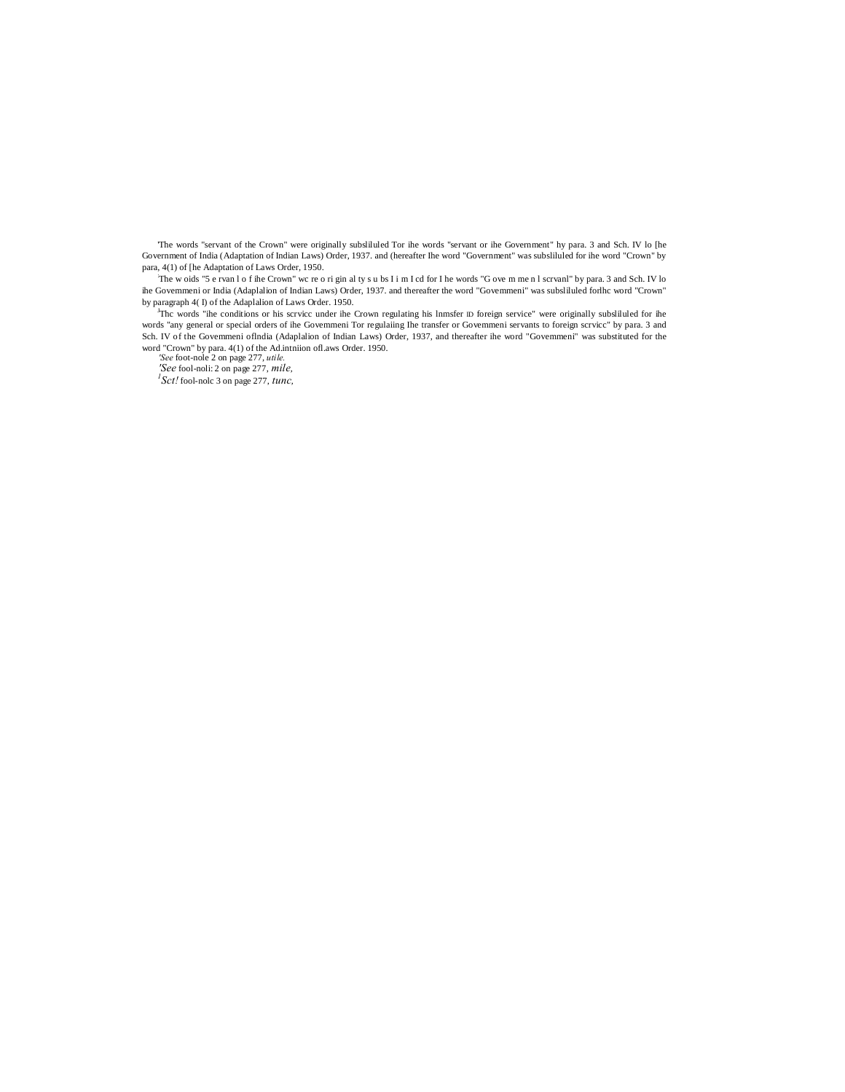'The words "servant of the Crown" were originally subsliluled Tor ihe words "servant or ihe Government" hy para. 3 and Sch. IV lo [he Government of India (Adaptation of Indian Laws) Order, 1937. and (hereafter Ihe word "Government" was subsliluled for ihe word "Crown" by para, 4(1) of [he Adaptation of Laws Order, 1950.

: The w oids "5 e rvan l o f ihe Crown" wc re o ri gin al ty s u bs I i m I cd for I he words "G ove m me n l scrvanl" by para. 3 and Sch. IV lo ihe Govemmeni or India (Adaplalion of Indian Laws) Order, 1937. and thereafter the word "Govemmeni" was subsliluled forlhc word "Crown" by paragraph 4( I) of the Adaplalion of Laws Order. 1950.

J Thc words "ihe conditions or his scrvicc under ihe Crown regulating his lnmsfer ID foreign service" were originally subsliluled for ihe words "any general or special orders of ihe Govemmeni Tor regulaiing Ihe transfer or Govemmeni servants to foreign scrvicc" by para. 3 and Sch. IV of the Govemmeni oflndia (Adaplalion of Indian Laws) Order, 1937, and thereafter ihe word "Govemmeni" was substituted for the word "Crown" by para. 4(1) of the Ad.intniion ofl.aws Order. 1950. *'See* foot-nole 2 on page 277, *utile.*

*'See* fool-noli: 2 on page 277, *mile, <sup>1</sup> Sct!* fool-nolc 3 on page 277, *tunc,*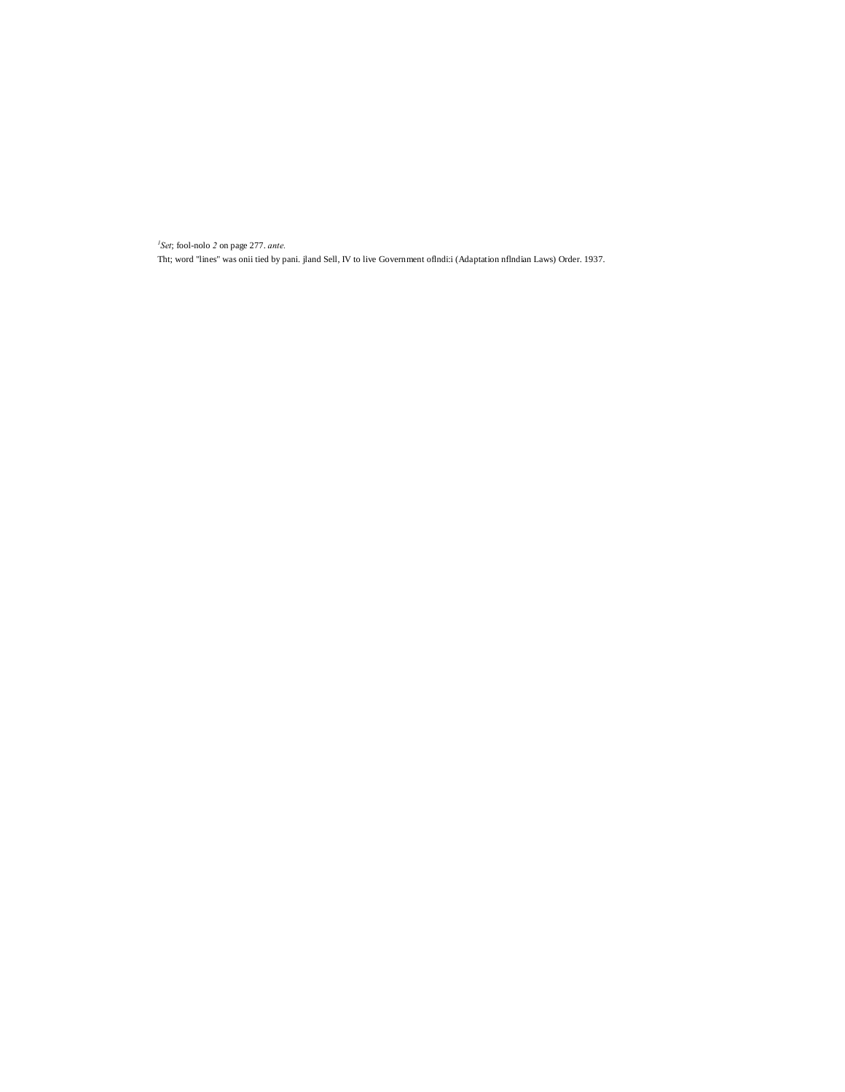*1 Set*; fool-nolo *2* on page 277. *ante.* Tht; word "lines" was onii tied by pani. jland Sell, IV to live Government oflndi:i (Adaptation nflndian Laws) Order. 1937.